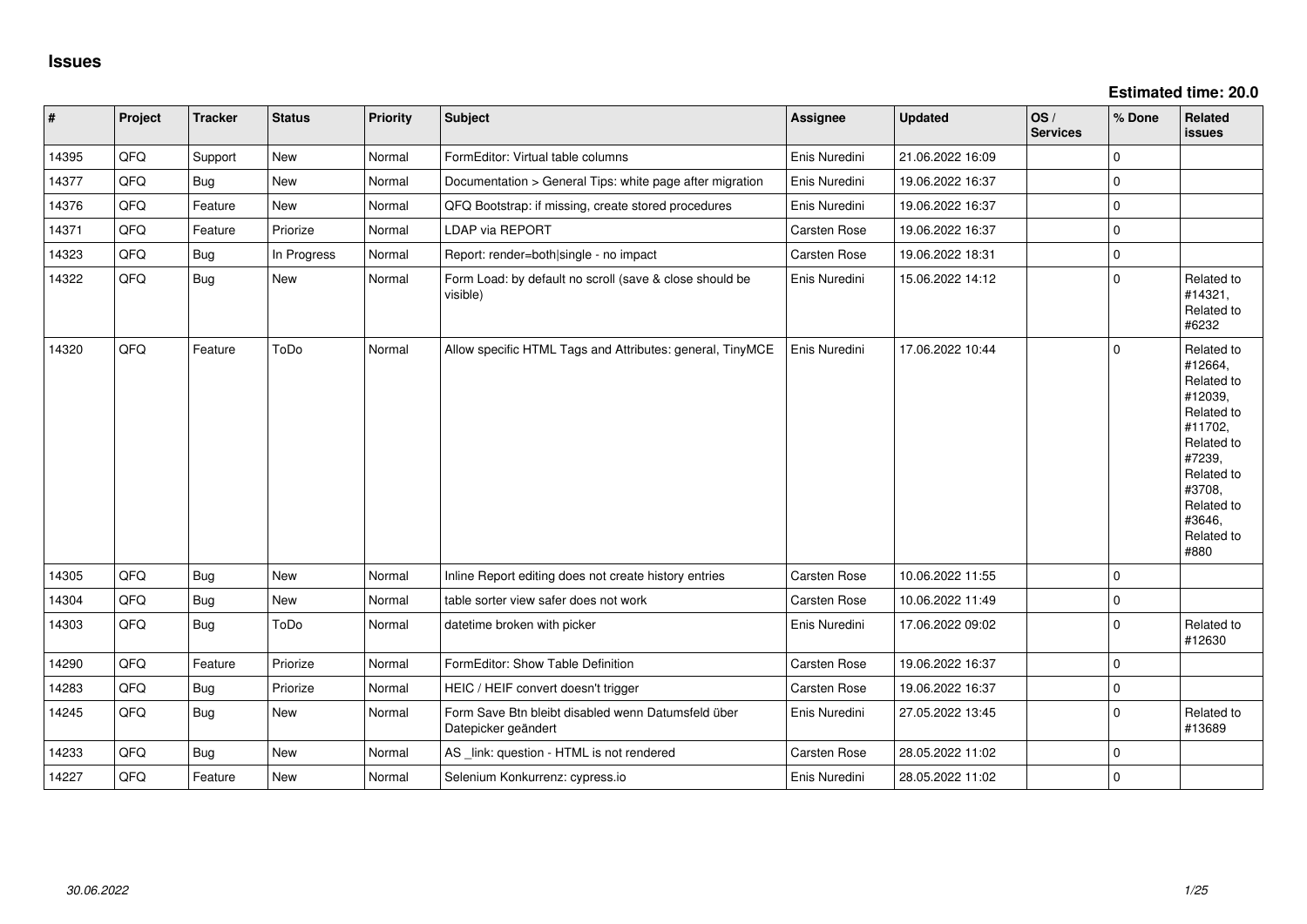| $\vert$ # | Project | <b>Tracker</b> | <b>Status</b> | <b>Priority</b> | <b>Subject</b>                                                            | <b>Assignee</b>     | <b>Updated</b>   | OS/<br><b>Services</b> | % Done      | Related<br><b>issues</b>                                                                                                                                              |
|-----------|---------|----------------|---------------|-----------------|---------------------------------------------------------------------------|---------------------|------------------|------------------------|-------------|-----------------------------------------------------------------------------------------------------------------------------------------------------------------------|
| 14395     | QFQ     | Support        | <b>New</b>    | Normal          | FormEditor: Virtual table columns                                         | Enis Nuredini       | 21.06.2022 16:09 |                        | $\mathbf 0$ |                                                                                                                                                                       |
| 14377     | QFQ     | <b>Bug</b>     | New           | Normal          | Documentation > General Tips: white page after migration                  | Enis Nuredini       | 19.06.2022 16:37 |                        | $\mathbf 0$ |                                                                                                                                                                       |
| 14376     | QFQ     | Feature        | <b>New</b>    | Normal          | QFQ Bootstrap: if missing, create stored procedures                       | Enis Nuredini       | 19.06.2022 16:37 |                        | $\mathbf 0$ |                                                                                                                                                                       |
| 14371     | QFQ     | Feature        | Priorize      | Normal          | LDAP via REPORT                                                           | Carsten Rose        | 19.06.2022 16:37 |                        | $\mathbf 0$ |                                                                                                                                                                       |
| 14323     | QFQ     | <b>Bug</b>     | In Progress   | Normal          | Report: render=both single - no impact                                    | Carsten Rose        | 19.06.2022 18:31 |                        | $\mathbf 0$ |                                                                                                                                                                       |
| 14322     | QFQ     | Bug            | <b>New</b>    | Normal          | Form Load: by default no scroll (save & close should be<br>visible)       | Enis Nuredini       | 15.06.2022 14:12 |                        | $\Omega$    | Related to<br>#14321,<br>Related to<br>#6232                                                                                                                          |
| 14320     | QFQ     | Feature        | ToDo          | Normal          | Allow specific HTML Tags and Attributes: general, TinyMCE                 | Enis Nuredini       | 17.06.2022 10:44 |                        | $\Omega$    | Related to<br>#12664,<br>Related to<br>#12039,<br>Related to<br>#11702,<br>Related to<br>#7239,<br>Related to<br>#3708,<br>Related to<br>#3646,<br>Related to<br>#880 |
| 14305     | QFQ     | Bug            | New           | Normal          | Inline Report editing does not create history entries                     | Carsten Rose        | 10.06.2022 11:55 |                        | 0           |                                                                                                                                                                       |
| 14304     | QFQ     | Bug            | New           | Normal          | table sorter view safer does not work                                     | Carsten Rose        | 10.06.2022 11:49 |                        | $\mathbf 0$ |                                                                                                                                                                       |
| 14303     | QFQ     | Bug            | ToDo          | Normal          | datetime broken with picker                                               | Enis Nuredini       | 17.06.2022 09:02 |                        | $\Omega$    | Related to<br>#12630                                                                                                                                                  |
| 14290     | QFQ     | Feature        | Priorize      | Normal          | FormEditor: Show Table Definition                                         | Carsten Rose        | 19.06.2022 16:37 |                        | $\mathbf 0$ |                                                                                                                                                                       |
| 14283     | QFQ     | Bug            | Priorize      | Normal          | HEIC / HEIF convert doesn't trigger                                       | Carsten Rose        | 19.06.2022 16:37 |                        | $\mathbf 0$ |                                                                                                                                                                       |
| 14245     | QFQ     | <b>Bug</b>     | <b>New</b>    | Normal          | Form Save Btn bleibt disabled wenn Datumsfeld über<br>Datepicker geändert | Enis Nuredini       | 27.05.2022 13:45 |                        | $\Omega$    | Related to<br>#13689                                                                                                                                                  |
| 14233     | QFQ     | Bug            | <b>New</b>    | Normal          | AS _link: question - HTML is not rendered                                 | <b>Carsten Rose</b> | 28.05.2022 11:02 |                        | $\Omega$    |                                                                                                                                                                       |
| 14227     | QFQ     | Feature        | <b>New</b>    | Normal          | Selenium Konkurrenz: cypress.io                                           | Enis Nuredini       | 28.05.2022 11:02 |                        | $\mathbf 0$ |                                                                                                                                                                       |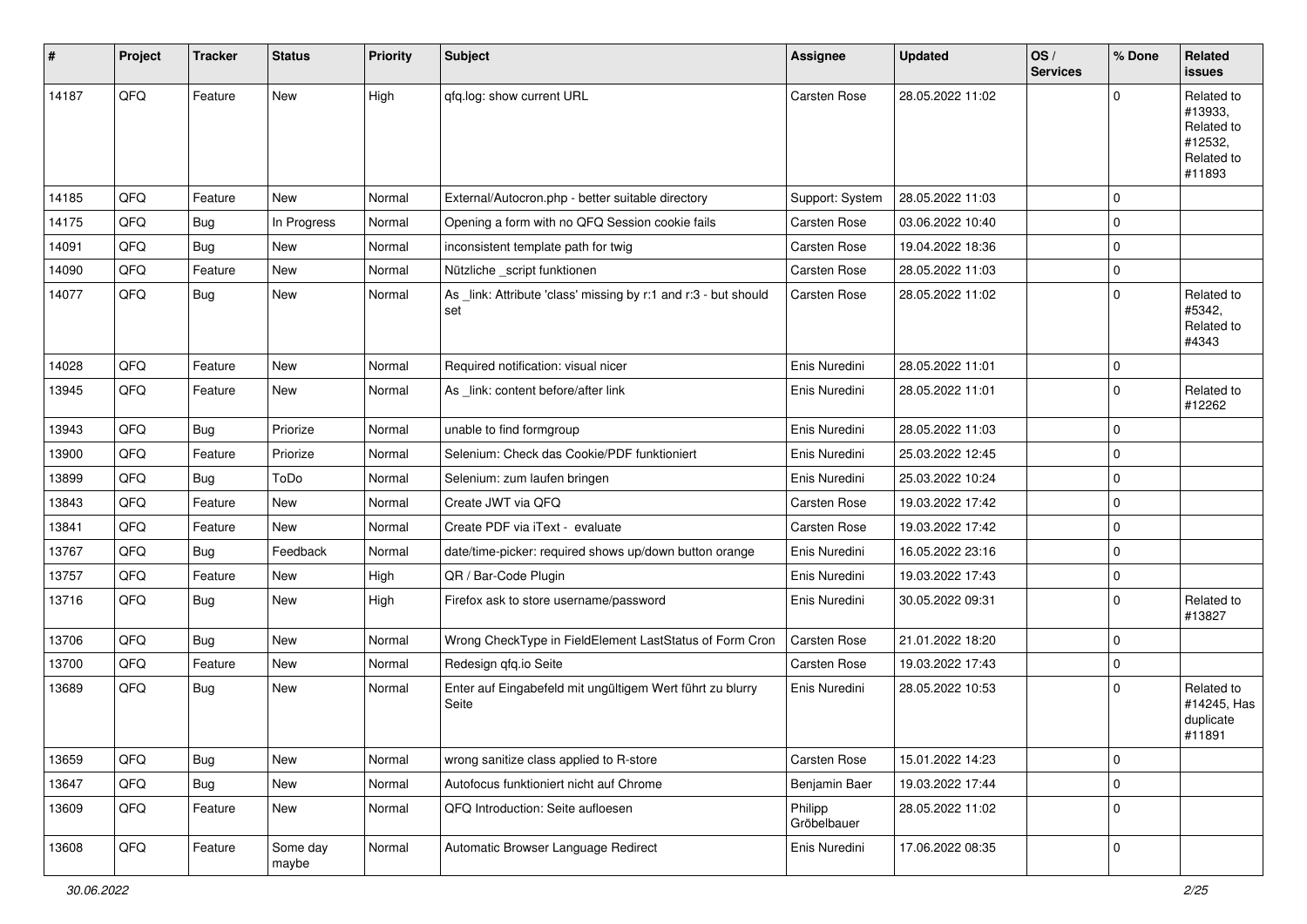| $\vert$ # | Project | <b>Tracker</b> | <b>Status</b>     | <b>Priority</b> | <b>Subject</b>                                                         | <b>Assignee</b>        | <b>Updated</b>   | OS/<br><b>Services</b> | % Done      | Related<br><b>issues</b>                                               |
|-----------|---------|----------------|-------------------|-----------------|------------------------------------------------------------------------|------------------------|------------------|------------------------|-------------|------------------------------------------------------------------------|
| 14187     | QFQ     | Feature        | New               | High            | qfq.log: show current URL                                              | <b>Carsten Rose</b>    | 28.05.2022 11:02 |                        | $\Omega$    | Related to<br>#13933,<br>Related to<br>#12532,<br>Related to<br>#11893 |
| 14185     | QFQ     | Feature        | New               | Normal          | External/Autocron.php - better suitable directory                      | Support: System        | 28.05.2022 11:03 |                        | $\mathbf 0$ |                                                                        |
| 14175     | QFQ     | <b>Bug</b>     | In Progress       | Normal          | Opening a form with no QFQ Session cookie fails                        | Carsten Rose           | 03.06.2022 10:40 |                        | $\mathbf 0$ |                                                                        |
| 14091     | QFQ     | <b>Bug</b>     | New               | Normal          | inconsistent template path for twig                                    | Carsten Rose           | 19.04.2022 18:36 |                        | $\mathbf 0$ |                                                                        |
| 14090     | QFQ     | Feature        | New               | Normal          | Nützliche _script funktionen                                           | Carsten Rose           | 28.05.2022 11:03 |                        | $\mathbf 0$ |                                                                        |
| 14077     | QFQ     | Bug            | New               | Normal          | As _link: Attribute 'class' missing by r:1 and r:3 - but should<br>set | Carsten Rose           | 28.05.2022 11:02 |                        | $\mathbf 0$ | Related to<br>#5342,<br>Related to<br>#4343                            |
| 14028     | QFQ     | Feature        | <b>New</b>        | Normal          | Required notification: visual nicer                                    | Enis Nuredini          | 28.05.2022 11:01 |                        | $\mathbf 0$ |                                                                        |
| 13945     | QFQ     | Feature        | New               | Normal          | As _link: content before/after link                                    | Enis Nuredini          | 28.05.2022 11:01 |                        | $\mathbf 0$ | Related to<br>#12262                                                   |
| 13943     | QFQ     | <b>Bug</b>     | Priorize          | Normal          | unable to find formgroup                                               | Enis Nuredini          | 28.05.2022 11:03 |                        | $\mathbf 0$ |                                                                        |
| 13900     | QFQ     | Feature        | Priorize          | Normal          | Selenium: Check das Cookie/PDF funktioniert                            | Enis Nuredini          | 25.03.2022 12:45 |                        | $\mathbf 0$ |                                                                        |
| 13899     | QFQ     | <b>Bug</b>     | ToDo              | Normal          | Selenium: zum laufen bringen                                           | Enis Nuredini          | 25.03.2022 10:24 |                        | $\mathbf 0$ |                                                                        |
| 13843     | QFQ     | Feature        | New               | Normal          | Create JWT via QFQ                                                     | Carsten Rose           | 19.03.2022 17:42 |                        | $\mathbf 0$ |                                                                        |
| 13841     | QFQ     | Feature        | New               | Normal          | Create PDF via iText - evaluate                                        | Carsten Rose           | 19.03.2022 17:42 |                        | $\mathbf 0$ |                                                                        |
| 13767     | QFQ     | <b>Bug</b>     | Feedback          | Normal          | date/time-picker: required shows up/down button orange                 | Enis Nuredini          | 16.05.2022 23:16 |                        | $\mathbf 0$ |                                                                        |
| 13757     | QFQ     | Feature        | New               | High            | QR / Bar-Code Plugin                                                   | Enis Nuredini          | 19.03.2022 17:43 |                        | $\mathbf 0$ |                                                                        |
| 13716     | QFQ     | <b>Bug</b>     | New               | High            | Firefox ask to store username/password                                 | Enis Nuredini          | 30.05.2022 09:31 |                        | $\mathbf 0$ | Related to<br>#13827                                                   |
| 13706     | QFQ     | <b>Bug</b>     | New               | Normal          | Wrong CheckType in FieldElement LastStatus of Form Cron                | Carsten Rose           | 21.01.2022 18:20 |                        | $\mathbf 0$ |                                                                        |
| 13700     | QFQ     | Feature        | New               | Normal          | Redesign qfq.io Seite                                                  | Carsten Rose           | 19.03.2022 17:43 |                        | $\mathbf 0$ |                                                                        |
| 13689     | QFQ     | <b>Bug</b>     | New               | Normal          | Enter auf Eingabefeld mit ungültigem Wert führt zu blurry<br>Seite     | Enis Nuredini          | 28.05.2022 10:53 |                        | $\mathbf 0$ | Related to<br>#14245, Has<br>duplicate<br>#11891                       |
| 13659     | QFQ     | Bug            | New               | Normal          | wrong sanitize class applied to R-store                                | Carsten Rose           | 15.01.2022 14:23 |                        | $\mathbf 0$ |                                                                        |
| 13647     | QFQ     | <b>Bug</b>     | New               | Normal          | Autofocus funktioniert nicht auf Chrome                                | Benjamin Baer          | 19.03.2022 17:44 |                        | $\mathbf 0$ |                                                                        |
| 13609     | QFQ     | Feature        | New               | Normal          | QFQ Introduction: Seite aufloesen                                      | Philipp<br>Gröbelbauer | 28.05.2022 11:02 |                        | $\mathbf 0$ |                                                                        |
| 13608     | QFQ     | Feature        | Some day<br>maybe | Normal          | Automatic Browser Language Redirect                                    | Enis Nuredini          | 17.06.2022 08:35 |                        | $\mathbf 0$ |                                                                        |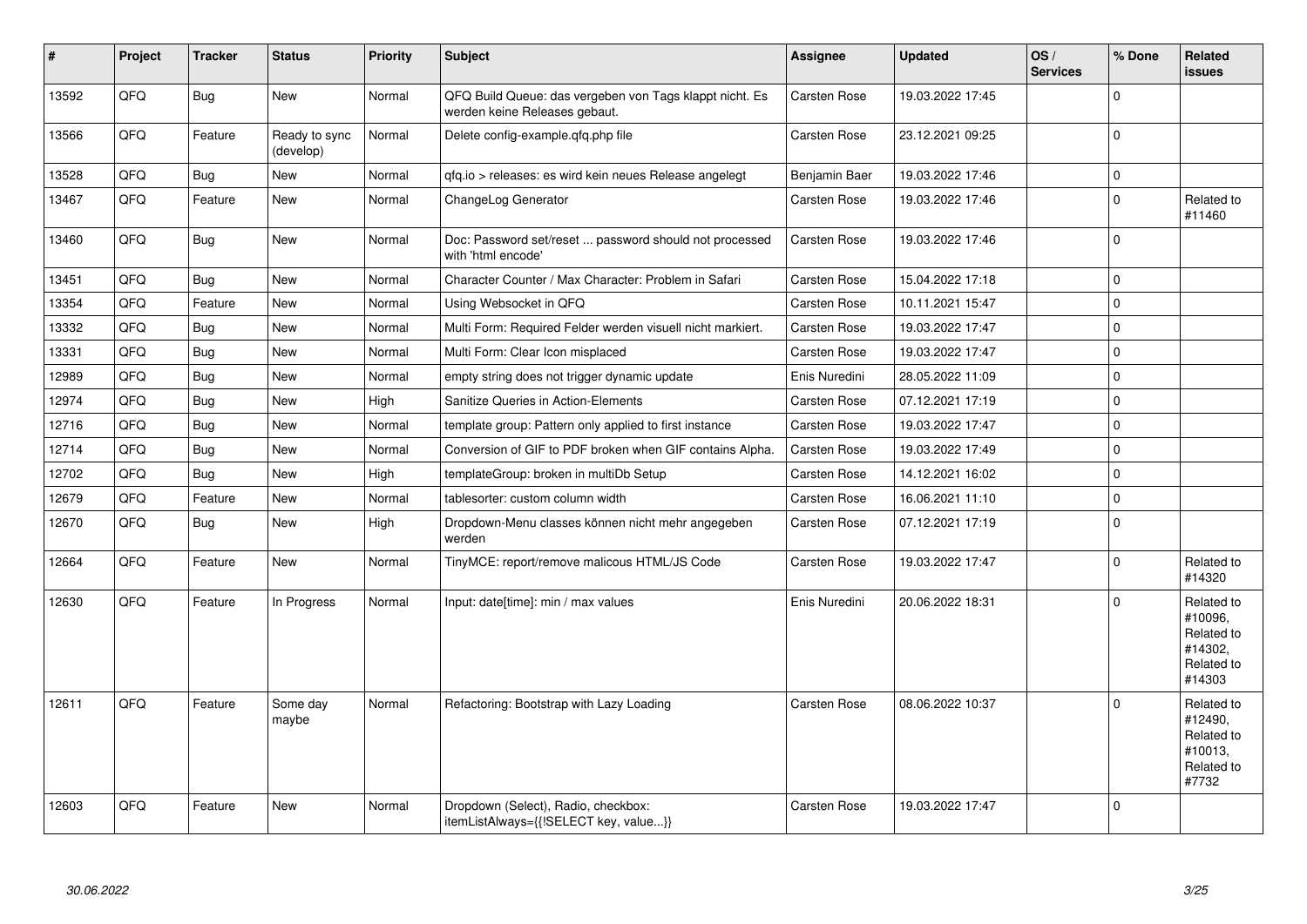| $\vert$ # | Project | <b>Tracker</b> | <b>Status</b>              | <b>Priority</b> | <b>Subject</b>                                                                           | Assignee            | <b>Updated</b>   | OS/<br><b>Services</b> | % Done      | Related<br><b>issues</b>                                               |
|-----------|---------|----------------|----------------------------|-----------------|------------------------------------------------------------------------------------------|---------------------|------------------|------------------------|-------------|------------------------------------------------------------------------|
| 13592     | QFQ     | <b>Bug</b>     | <b>New</b>                 | Normal          | QFQ Build Queue: das vergeben von Tags klappt nicht. Es<br>werden keine Releases gebaut. | Carsten Rose        | 19.03.2022 17:45 |                        | $\Omega$    |                                                                        |
| 13566     | QFQ     | Feature        | Ready to sync<br>(develop) | Normal          | Delete config-example.gfg.php file                                                       | Carsten Rose        | 23.12.2021 09:25 |                        | $\mathbf 0$ |                                                                        |
| 13528     | QFQ     | Bug            | <b>New</b>                 | Normal          | gfg.io > releases: es wird kein neues Release angelegt                                   | Benjamin Baer       | 19.03.2022 17:46 |                        | $\pmb{0}$   |                                                                        |
| 13467     | QFQ     | Feature        | <b>New</b>                 | Normal          | ChangeLog Generator                                                                      | Carsten Rose        | 19.03.2022 17:46 |                        | $\mathbf 0$ | Related to<br>#11460                                                   |
| 13460     | QFQ     | Bug            | <b>New</b>                 | Normal          | Doc: Password set/reset  password should not processed<br>with 'html encode'             | Carsten Rose        | 19.03.2022 17:46 |                        | $\mathbf 0$ |                                                                        |
| 13451     | QFQ     | Bug            | <b>New</b>                 | Normal          | Character Counter / Max Character: Problem in Safari                                     | Carsten Rose        | 15.04.2022 17:18 |                        | $\mathbf 0$ |                                                                        |
| 13354     | QFQ     | Feature        | <b>New</b>                 | Normal          | Using Websocket in QFQ                                                                   | Carsten Rose        | 10.11.2021 15:47 |                        | $\mathbf 0$ |                                                                        |
| 13332     | QFQ     | Bug            | New                        | Normal          | Multi Form: Required Felder werden visuell nicht markiert.                               | Carsten Rose        | 19.03.2022 17:47 |                        | $\mathbf 0$ |                                                                        |
| 13331     | QFQ     | Bug            | <b>New</b>                 | Normal          | Multi Form: Clear Icon misplaced                                                         | Carsten Rose        | 19.03.2022 17:47 |                        | $\mathbf 0$ |                                                                        |
| 12989     | QFQ     | Bug            | <b>New</b>                 | Normal          | empty string does not trigger dynamic update                                             | Enis Nuredini       | 28.05.2022 11:09 |                        | $\mathbf 0$ |                                                                        |
| 12974     | QFQ     | Bug            | <b>New</b>                 | High            | Sanitize Queries in Action-Elements                                                      | Carsten Rose        | 07.12.2021 17:19 |                        | $\mathbf 0$ |                                                                        |
| 12716     | QFQ     | Bug            | New                        | Normal          | template group: Pattern only applied to first instance                                   | Carsten Rose        | 19.03.2022 17:47 |                        | $\mathbf 0$ |                                                                        |
| 12714     | QFQ     | Bug            | New                        | Normal          | Conversion of GIF to PDF broken when GIF contains Alpha.                                 | Carsten Rose        | 19.03.2022 17:49 |                        | $\mathbf 0$ |                                                                        |
| 12702     | QFQ     | <b>Bug</b>     | <b>New</b>                 | High            | templateGroup: broken in multiDb Setup                                                   | Carsten Rose        | 14.12.2021 16:02 |                        | $\mathbf 0$ |                                                                        |
| 12679     | QFQ     | Feature        | <b>New</b>                 | Normal          | tablesorter: custom column width                                                         | Carsten Rose        | 16.06.2021 11:10 |                        | $\mathsf 0$ |                                                                        |
| 12670     | QFQ     | Bug            | <b>New</b>                 | High            | Dropdown-Menu classes können nicht mehr angegeben<br>werden                              | Carsten Rose        | 07.12.2021 17:19 |                        | $\mathbf 0$ |                                                                        |
| 12664     | QFQ     | Feature        | <b>New</b>                 | Normal          | TinyMCE: report/remove malicous HTML/JS Code                                             | Carsten Rose        | 19.03.2022 17:47 |                        | $\Omega$    | Related to<br>#14320                                                   |
| 12630     | QFQ     | Feature        | In Progress                | Normal          | Input: date[time]: min / max values                                                      | Enis Nuredini       | 20.06.2022 18:31 |                        | $\mathbf 0$ | Related to<br>#10096,<br>Related to<br>#14302.<br>Related to<br>#14303 |
| 12611     | QFQ     | Feature        | Some day<br>maybe          | Normal          | Refactoring: Bootstrap with Lazy Loading                                                 | <b>Carsten Rose</b> | 08.06.2022 10:37 |                        | $\mathbf 0$ | Related to<br>#12490,<br>Related to<br>#10013,<br>Related to<br>#7732  |
| 12603     | QFQ     | Feature        | New                        | Normal          | Dropdown (Select), Radio, checkbox:<br>itemListAlways={{!SELECT key, value}}             | Carsten Rose        | 19.03.2022 17:47 |                        | $\mathbf 0$ |                                                                        |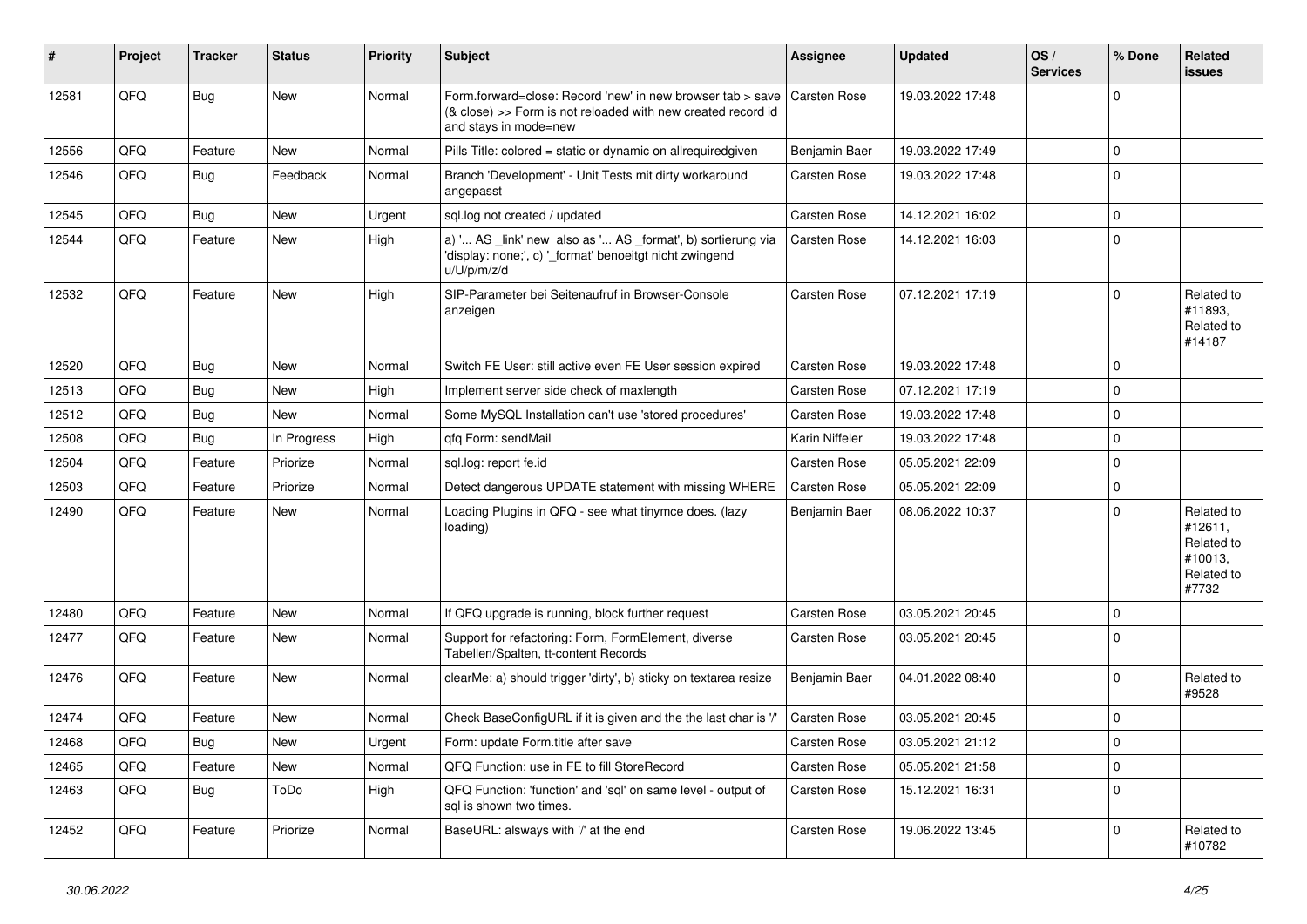| #     | Project | <b>Tracker</b> | <b>Status</b> | <b>Priority</b> | <b>Subject</b>                                                                                                                                      | Assignee            | <b>Updated</b>   | OS/<br><b>Services</b> | % Done         | Related<br><b>issues</b>                                              |
|-------|---------|----------------|---------------|-----------------|-----------------------------------------------------------------------------------------------------------------------------------------------------|---------------------|------------------|------------------------|----------------|-----------------------------------------------------------------------|
| 12581 | QFQ     | Bug            | <b>New</b>    | Normal          | Form.forward=close: Record 'new' in new browser tab > save<br>(& close) >> Form is not reloaded with new created record id<br>and stays in mode=new | <b>Carsten Rose</b> | 19.03.2022 17:48 |                        | $\Omega$       |                                                                       |
| 12556 | QFQ     | Feature        | <b>New</b>    | Normal          | Pills Title: colored = static or dynamic on allrequiredgiven                                                                                        | Benjamin Baer       | 19.03.2022 17:49 |                        | $\Omega$       |                                                                       |
| 12546 | QFQ     | <b>Bug</b>     | Feedback      | Normal          | Branch 'Development' - Unit Tests mit dirty workaround<br>angepasst                                                                                 | Carsten Rose        | 19.03.2022 17:48 |                        | $\overline{0}$ |                                                                       |
| 12545 | QFQ     | Bug            | <b>New</b>    | Urgent          | sql.log not created / updated                                                                                                                       | Carsten Rose        | 14.12.2021 16:02 |                        | $\Omega$       |                                                                       |
| 12544 | QFQ     | Feature        | <b>New</b>    | High            | a) ' AS _link' new also as ' AS _format', b) sortierung via<br>'display: none;', c) ' format' benoeitgt nicht zwingend<br>u/U/p/m/z/d               | Carsten Rose        | 14.12.2021 16:03 |                        | $\Omega$       |                                                                       |
| 12532 | QFQ     | Feature        | <b>New</b>    | High            | SIP-Parameter bei Seitenaufruf in Browser-Console<br>anzeigen                                                                                       | Carsten Rose        | 07.12.2021 17:19 |                        | $\Omega$       | Related to<br>#11893,<br>Related to<br>#14187                         |
| 12520 | QFQ     | Bug            | New           | Normal          | Switch FE User: still active even FE User session expired                                                                                           | <b>Carsten Rose</b> | 19.03.2022 17:48 |                        | $\overline{0}$ |                                                                       |
| 12513 | QFQ     | Bug            | <b>New</b>    | High            | Implement server side check of maxlength                                                                                                            | Carsten Rose        | 07.12.2021 17:19 |                        | $\mathbf 0$    |                                                                       |
| 12512 | QFQ     | Bug            | New           | Normal          | Some MySQL Installation can't use 'stored procedures'                                                                                               | Carsten Rose        | 19.03.2022 17:48 |                        | $\mathbf 0$    |                                                                       |
| 12508 | QFQ     | Bug            | In Progress   | High            | qfq Form: sendMail                                                                                                                                  | Karin Niffeler      | 19.03.2022 17:48 |                        | $\mathbf 0$    |                                                                       |
| 12504 | QFQ     | Feature        | Priorize      | Normal          | sql.log: report fe.id                                                                                                                               | Carsten Rose        | 05.05.2021 22:09 |                        | $\mathbf 0$    |                                                                       |
| 12503 | QFQ     | Feature        | Priorize      | Normal          | Detect dangerous UPDATE statement with missing WHERE                                                                                                | Carsten Rose        | 05.05.2021 22:09 |                        | $\mathbf 0$    |                                                                       |
| 12490 | QFQ     | Feature        | New           | Normal          | Loading Plugins in QFQ - see what tinymce does. (lazy<br>loading)                                                                                   | Benjamin Baer       | 08.06.2022 10:37 |                        | $\Omega$       | Related to<br>#12611,<br>Related to<br>#10013,<br>Related to<br>#7732 |
| 12480 | OFQ     | Feature        | <b>New</b>    | Normal          | If QFQ upgrade is running, block further request                                                                                                    | <b>Carsten Rose</b> | 03.05.2021 20:45 |                        | $\Omega$       |                                                                       |
| 12477 | QFQ     | Feature        | <b>New</b>    | Normal          | Support for refactoring: Form, FormElement, diverse<br>Tabellen/Spalten, tt-content Records                                                         | Carsten Rose        | 03.05.2021 20:45 |                        | $\Omega$       |                                                                       |
| 12476 | QFQ     | Feature        | <b>New</b>    | Normal          | clearMe: a) should trigger 'dirty', b) sticky on textarea resize                                                                                    | Benjamin Baer       | 04.01.2022 08:40 |                        | $\Omega$       | Related to<br>#9528                                                   |
| 12474 | QFQ     | Feature        | <b>New</b>    | Normal          | Check BaseConfigURL if it is given and the the last char is '/'                                                                                     | Carsten Rose        | 03.05.2021 20:45 |                        | $\mathbf 0$    |                                                                       |
| 12468 | QFQ     | Bug            | New           | Urgent          | Form: update Form.title after save                                                                                                                  | Carsten Rose        | 03.05.2021 21:12 |                        | $\mathbf 0$    |                                                                       |
| 12465 | QFQ     | Feature        | <b>New</b>    | Normal          | QFQ Function: use in FE to fill StoreRecord                                                                                                         | <b>Carsten Rose</b> | 05.05.2021 21:58 |                        | $\mathbf 0$    |                                                                       |
| 12463 | QFQ     | Bug            | ToDo          | High            | QFQ Function: 'function' and 'sql' on same level - output of<br>sal is shown two times.                                                             | Carsten Rose        | 15.12.2021 16:31 |                        | $\Omega$       |                                                                       |
| 12452 | QFQ     | Feature        | Priorize      | Normal          | BaseURL: alsways with '/' at the end                                                                                                                | Carsten Rose        | 19.06.2022 13:45 |                        | $\Omega$       | Related to<br>#10782                                                  |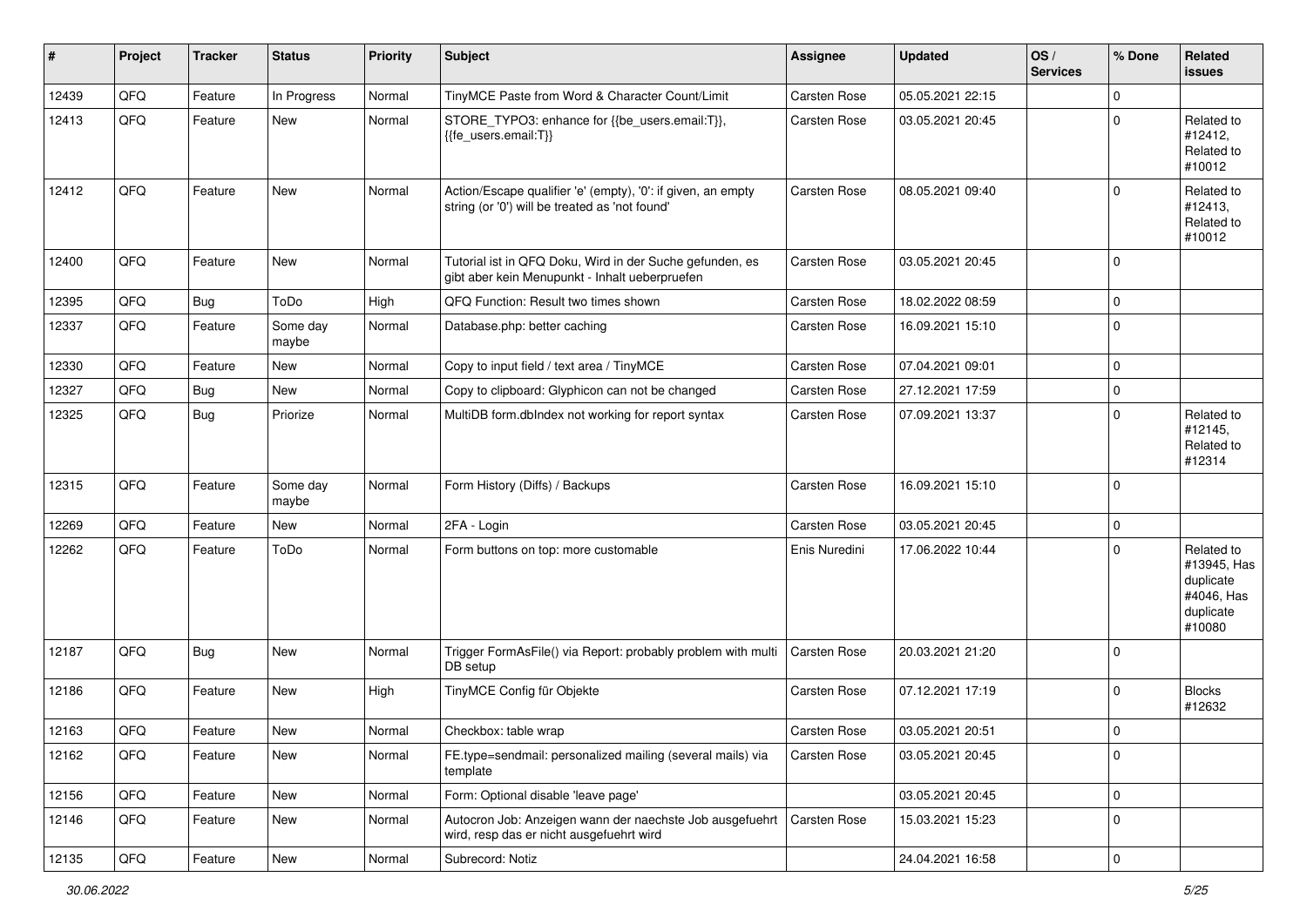| #     | Project | <b>Tracker</b> | <b>Status</b>     | <b>Priority</b> | <b>Subject</b>                                                                                                 | <b>Assignee</b>     | <b>Updated</b>   | OS/<br><b>Services</b> | % Done      | <b>Related</b><br><b>issues</b>                                             |
|-------|---------|----------------|-------------------|-----------------|----------------------------------------------------------------------------------------------------------------|---------------------|------------------|------------------------|-------------|-----------------------------------------------------------------------------|
| 12439 | QFQ     | Feature        | In Progress       | Normal          | TinyMCE Paste from Word & Character Count/Limit                                                                | Carsten Rose        | 05.05.2021 22:15 |                        | $\mathbf 0$ |                                                                             |
| 12413 | QFQ     | Feature        | New               | Normal          | STORE_TYPO3: enhance for {{be_users.email:T}},<br>{{fe_users.email:T}}                                         | <b>Carsten Rose</b> | 03.05.2021 20:45 |                        | $\Omega$    | Related to<br>#12412,<br>Related to<br>#10012                               |
| 12412 | QFQ     | Feature        | <b>New</b>        | Normal          | Action/Escape qualifier 'e' (empty), '0': if given, an empty<br>string (or '0') will be treated as 'not found' | <b>Carsten Rose</b> | 08.05.2021 09:40 |                        | $\Omega$    | Related to<br>#12413,<br>Related to<br>#10012                               |
| 12400 | QFQ     | Feature        | New               | Normal          | Tutorial ist in QFQ Doku, Wird in der Suche gefunden, es<br>gibt aber kein Menupunkt - Inhalt ueberpruefen     | <b>Carsten Rose</b> | 03.05.2021 20:45 |                        | $\mathbf 0$ |                                                                             |
| 12395 | QFQ     | Bug            | ToDo              | High            | QFQ Function: Result two times shown                                                                           | Carsten Rose        | 18.02.2022 08:59 |                        | $\mathbf 0$ |                                                                             |
| 12337 | QFQ     | Feature        | Some day<br>maybe | Normal          | Database.php: better caching                                                                                   | Carsten Rose        | 16.09.2021 15:10 |                        | $\mathbf 0$ |                                                                             |
| 12330 | QFQ     | Feature        | New               | Normal          | Copy to input field / text area / TinyMCE                                                                      | <b>Carsten Rose</b> | 07.04.2021 09:01 |                        | $\mathbf 0$ |                                                                             |
| 12327 | QFQ     | Bug            | New               | Normal          | Copy to clipboard: Glyphicon can not be changed                                                                | Carsten Rose        | 27.12.2021 17:59 |                        | $\mathbf 0$ |                                                                             |
| 12325 | QFQ     | Bug            | Priorize          | Normal          | MultiDB form.dblndex not working for report syntax                                                             | Carsten Rose        | 07.09.2021 13:37 |                        | $\mathbf 0$ | Related to<br>#12145,<br>Related to<br>#12314                               |
| 12315 | QFQ     | Feature        | Some day<br>maybe | Normal          | Form History (Diffs) / Backups                                                                                 | Carsten Rose        | 16.09.2021 15:10 |                        | $\mathbf 0$ |                                                                             |
| 12269 | QFQ     | Feature        | <b>New</b>        | Normal          | 2FA - Login                                                                                                    | Carsten Rose        | 03.05.2021 20:45 |                        | $\mathbf 0$ |                                                                             |
| 12262 | QFQ     | Feature        | ToDo              | Normal          | Form buttons on top: more customable                                                                           | Enis Nuredini       | 17.06.2022 10:44 |                        | 0           | Related to<br>#13945, Has<br>duplicate<br>#4046, Has<br>duplicate<br>#10080 |
| 12187 | QFQ     | <b>Bug</b>     | New               | Normal          | Trigger FormAsFile() via Report: probably problem with multi<br>DB setup                                       | <b>Carsten Rose</b> | 20.03.2021 21:20 |                        | $\mathbf 0$ |                                                                             |
| 12186 | QFQ     | Feature        | New               | High            | TinyMCE Config für Objekte                                                                                     | Carsten Rose        | 07.12.2021 17:19 |                        | 0           | <b>Blocks</b><br>#12632                                                     |
| 12163 | QFQ     | Feature        | <b>New</b>        | Normal          | Checkbox: table wrap                                                                                           | Carsten Rose        | 03.05.2021 20:51 |                        | $\mathbf 0$ |                                                                             |
| 12162 | QFQ     | Feature        | New               | Normal          | FE.type=sendmail: personalized mailing (several mails) via<br>template                                         | Carsten Rose        | 03.05.2021 20:45 |                        | $\mathbf 0$ |                                                                             |
| 12156 | QFQ     | Feature        | New               | Normal          | Form: Optional disable 'leave page'                                                                            |                     | 03.05.2021 20:45 |                        | $\mathbf 0$ |                                                                             |
| 12146 | QFQ     | Feature        | New               | Normal          | Autocron Job: Anzeigen wann der naechste Job ausgefuehrt<br>wird, resp das er nicht ausgefuehrt wird           | Carsten Rose        | 15.03.2021 15:23 |                        | $\mathbf 0$ |                                                                             |
| 12135 | QFQ     | Feature        | New               | Normal          | Subrecord: Notiz                                                                                               |                     | 24.04.2021 16:58 |                        | $\pmb{0}$   |                                                                             |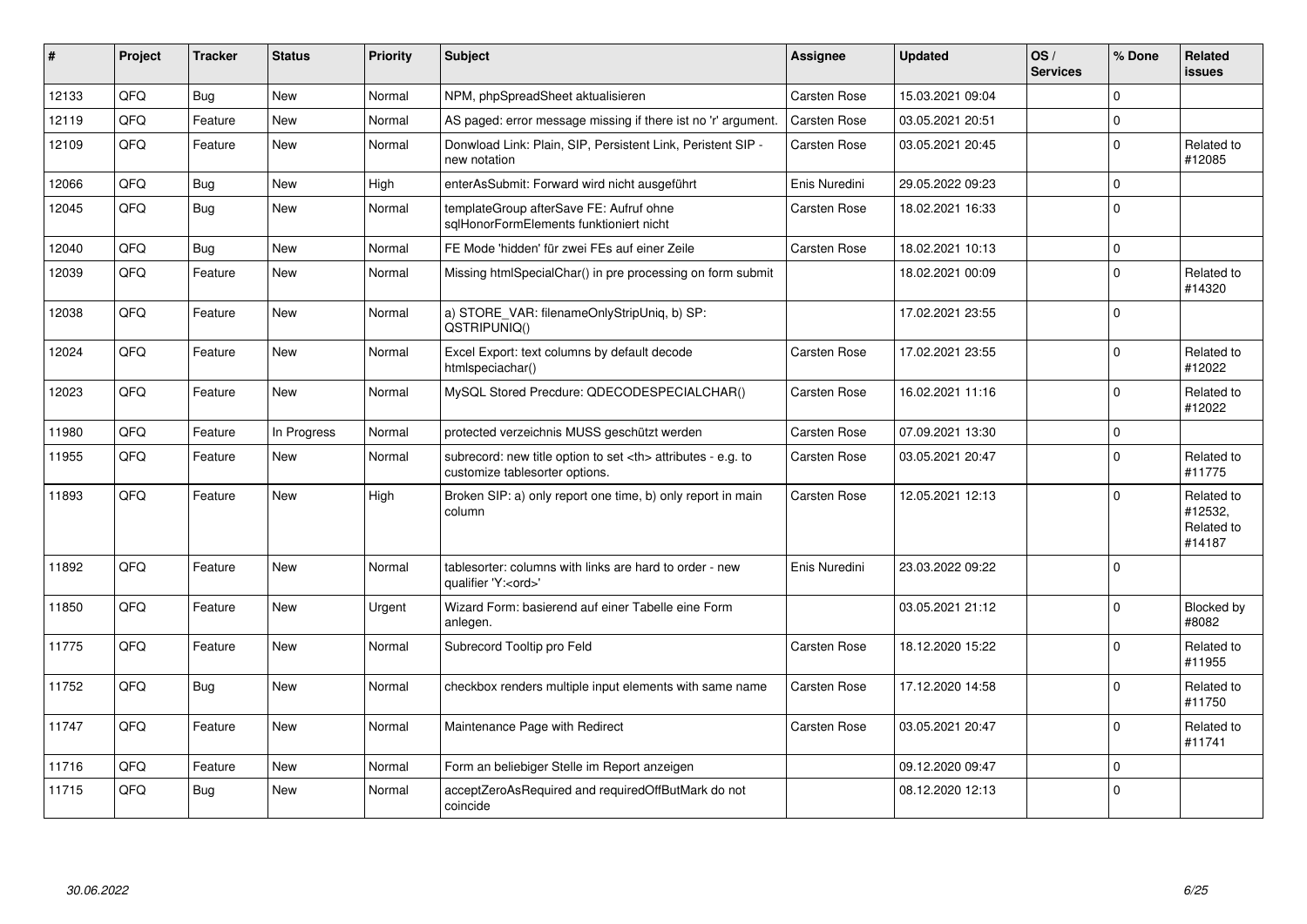| #     | Project | <b>Tracker</b> | <b>Status</b> | <b>Priority</b> | <b>Subject</b>                                                                                       | <b>Assignee</b>                                        | <b>Updated</b>   | OS/<br><b>Services</b> | % Done      | Related<br><b>issues</b>                      |                      |
|-------|---------|----------------|---------------|-----------------|------------------------------------------------------------------------------------------------------|--------------------------------------------------------|------------------|------------------------|-------------|-----------------------------------------------|----------------------|
| 12133 | QFQ     | Bug            | <b>New</b>    | Normal          | NPM, phpSpreadSheet aktualisieren                                                                    | Carsten Rose                                           | 15.03.2021 09:04 |                        | $\Omega$    |                                               |                      |
| 12119 | QFQ     | Feature        | <b>New</b>    | Normal          | AS paged: error message missing if there ist no 'r' argument.                                        | Carsten Rose                                           | 03.05.2021 20:51 |                        | $\mathbf 0$ |                                               |                      |
| 12109 | QFQ     | Feature        | <b>New</b>    | Normal          | Donwload Link: Plain, SIP, Persistent Link, Peristent SIP -<br>new notation                          | Carsten Rose                                           | 03.05.2021 20:45 |                        | $\mathbf 0$ | Related to<br>#12085                          |                      |
| 12066 | QFQ     | Bug            | <b>New</b>    | High            | enterAsSubmit: Forward wird nicht ausgeführt                                                         | Enis Nuredini                                          | 29.05.2022 09:23 |                        | $\mathbf 0$ |                                               |                      |
| 12045 | QFQ     | Bug            | <b>New</b>    | Normal          | templateGroup afterSave FE: Aufruf ohne<br>sglHonorFormElements funktioniert nicht                   | Carsten Rose                                           | 18.02.2021 16:33 |                        | $\mathbf 0$ |                                               |                      |
| 12040 | QFQ     | Bug            | <b>New</b>    | Normal          | FE Mode 'hidden' für zwei FEs auf einer Zeile                                                        | Carsten Rose                                           | 18.02.2021 10:13 |                        | $\mathbf 0$ |                                               |                      |
| 12039 | QFQ     | Feature        | <b>New</b>    | Normal          | Missing htmlSpecialChar() in pre processing on form submit                                           |                                                        | 18.02.2021 00:09 |                        | $\mathbf 0$ | Related to<br>#14320                          |                      |
| 12038 | QFQ     | Feature        | <b>New</b>    | Normal          | a) STORE_VAR: filenameOnlyStripUniq, b) SP:<br>QSTRIPUNIQ()                                          |                                                        | 17.02.2021 23:55 |                        | $\mathbf 0$ |                                               |                      |
| 12024 | QFQ     | Feature        | <b>New</b>    | Normal          | Excel Export: text columns by default decode<br>htmlspeciachar()                                     | Carsten Rose                                           | 17.02.2021 23:55 |                        | $\Omega$    | Related to<br>#12022                          |                      |
| 12023 | QFQ     | Feature        | New           | Normal          | MySQL Stored Precdure: QDECODESPECIALCHAR()                                                          | Carsten Rose                                           | 16.02.2021 11:16 |                        | $\Omega$    | Related to<br>#12022                          |                      |
| 11980 | QFQ     | Feature        | In Progress   | Normal          | protected verzeichnis MUSS geschützt werden                                                          | Carsten Rose                                           | 07.09.2021 13:30 |                        | $\mathbf 0$ |                                               |                      |
| 11955 | QFQ     | Feature        | <b>New</b>    | Normal          | subrecord: new title option to set <th> attributes - e.g. to<br/>customize tablesorter options.</th> | attributes - e.g. to<br>customize tablesorter options. | Carsten Rose     | 03.05.2021 20:47       |             | $\Omega$                                      | Related to<br>#11775 |
| 11893 | QFQ     | Feature        | New           | High            | Broken SIP: a) only report one time, b) only report in main<br>column                                | Carsten Rose                                           | 12.05.2021 12:13 |                        | $\mathbf 0$ | Related to<br>#12532,<br>Related to<br>#14187 |                      |
| 11892 | QFQ     | Feature        | <b>New</b>    | Normal          | tablesorter: columns with links are hard to order - new<br>qualifier 'Y: <ord>'</ord>                | Enis Nuredini                                          | 23.03.2022 09:22 |                        | $\Omega$    |                                               |                      |
| 11850 | QFQ     | Feature        | <b>New</b>    | Urgent          | Wizard Form: basierend auf einer Tabelle eine Form<br>anlegen.                                       |                                                        | 03.05.2021 21:12 |                        | $\mathbf 0$ | Blocked by<br>#8082                           |                      |
| 11775 | QFQ     | Feature        | <b>New</b>    | Normal          | Subrecord Tooltip pro Feld                                                                           | Carsten Rose                                           | 18.12.2020 15:22 |                        | $\Omega$    | Related to<br>#11955                          |                      |
| 11752 | QFQ     | Bug            | <b>New</b>    | Normal          | checkbox renders multiple input elements with same name                                              | Carsten Rose                                           | 17.12.2020 14:58 |                        | $\Omega$    | Related to<br>#11750                          |                      |
| 11747 | QFQ     | Feature        | <b>New</b>    | Normal          | Maintenance Page with Redirect                                                                       | Carsten Rose                                           | 03.05.2021 20:47 |                        | $\mathbf 0$ | Related to<br>#11741                          |                      |
| 11716 | QFQ     | Feature        | <b>New</b>    | Normal          | Form an beliebiger Stelle im Report anzeigen                                                         |                                                        | 09.12.2020 09:47 |                        | $\mathbf 0$ |                                               |                      |
| 11715 | QFQ     | Bug            | <b>New</b>    | Normal          | acceptZeroAsRequired and requiredOffButMark do not<br>coincide                                       |                                                        | 08.12.2020 12:13 |                        | $\Omega$    |                                               |                      |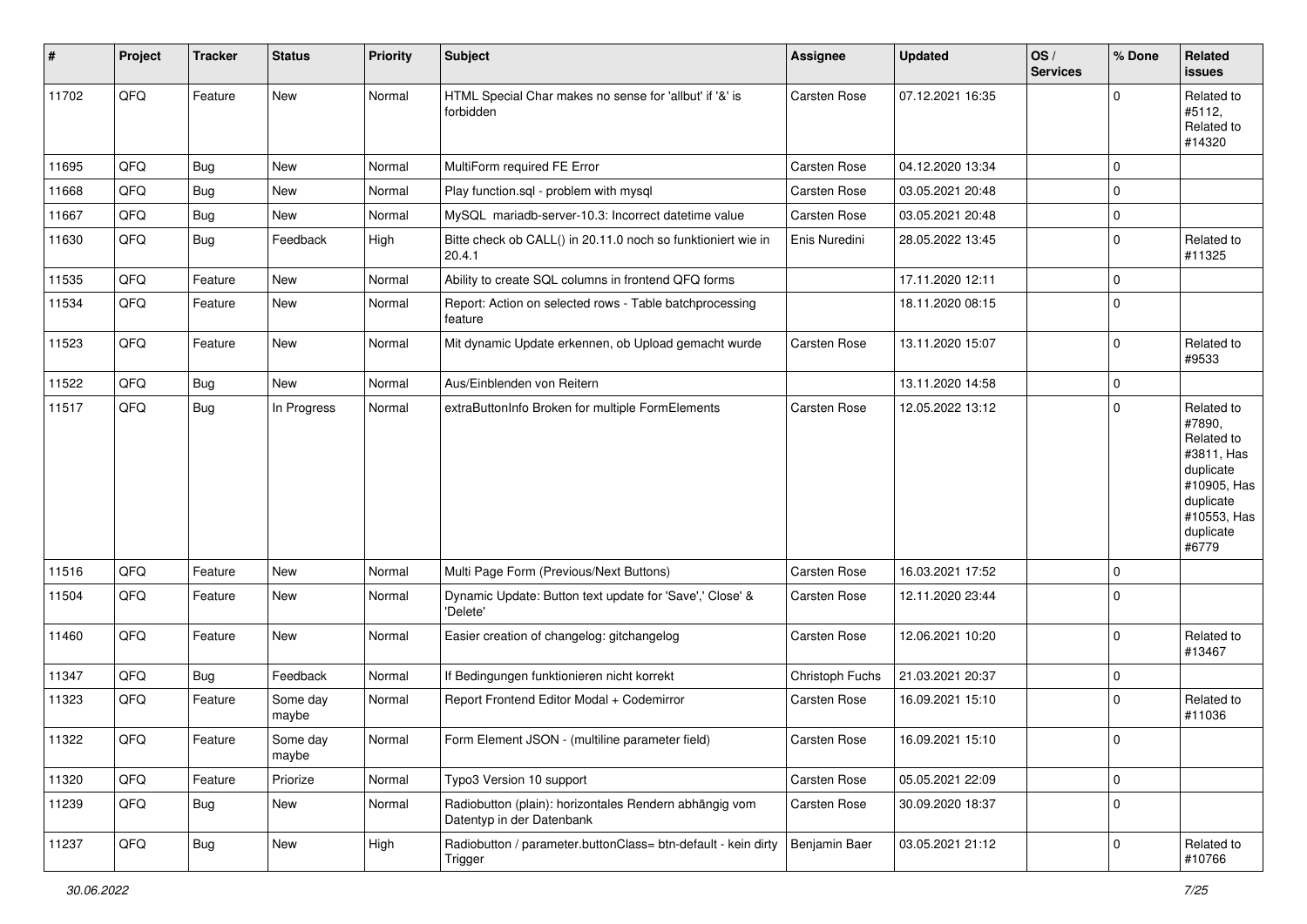| #     | Project | <b>Tracker</b> | <b>Status</b>     | <b>Priority</b> | <b>Subject</b>                                                                      | <b>Assignee</b>     | <b>Updated</b>   | OS/<br><b>Services</b> | % Done              | Related<br>issues                                                                                                              |
|-------|---------|----------------|-------------------|-----------------|-------------------------------------------------------------------------------------|---------------------|------------------|------------------------|---------------------|--------------------------------------------------------------------------------------------------------------------------------|
| 11702 | QFQ     | Feature        | New               | Normal          | HTML Special Char makes no sense for 'allbut' if '&' is<br>forbidden                | <b>Carsten Rose</b> | 07.12.2021 16:35 |                        | $\Omega$            | Related to<br>#5112,<br>Related to<br>#14320                                                                                   |
| 11695 | QFQ     | Bug            | New               | Normal          | MultiForm required FE Error                                                         | Carsten Rose        | 04.12.2020 13:34 |                        | $\mathbf 0$         |                                                                                                                                |
| 11668 | QFQ     | Bug            | New               | Normal          | Play function.sql - problem with mysql                                              | Carsten Rose        | 03.05.2021 20:48 |                        | $\mathbf 0$         |                                                                                                                                |
| 11667 | QFQ     | <b>Bug</b>     | New               | Normal          | MySQL mariadb-server-10.3: Incorrect datetime value                                 | Carsten Rose        | 03.05.2021 20:48 |                        | $\mathbf 0$         |                                                                                                                                |
| 11630 | QFQ     | Bug            | Feedback          | High            | Bitte check ob CALL() in 20.11.0 noch so funktioniert wie in<br>20.4.1              | Enis Nuredini       | 28.05.2022 13:45 |                        | $\mathbf 0$         | Related to<br>#11325                                                                                                           |
| 11535 | QFQ     | Feature        | New               | Normal          | Ability to create SQL columns in frontend QFQ forms                                 |                     | 17.11.2020 12:11 |                        | $\mathbf 0$         |                                                                                                                                |
| 11534 | QFQ     | Feature        | New               | Normal          | Report: Action on selected rows - Table batchprocessing<br>feature                  |                     | 18.11.2020 08:15 |                        | $\mathbf 0$         |                                                                                                                                |
| 11523 | QFQ     | Feature        | New               | Normal          | Mit dynamic Update erkennen, ob Upload gemacht wurde                                | Carsten Rose        | 13.11.2020 15:07 |                        | $\mathbf 0$         | Related to<br>#9533                                                                                                            |
| 11522 | QFQ     | Bug            | New               | Normal          | Aus/Einblenden von Reitern                                                          |                     | 13.11.2020 14:58 |                        | $\mathsf{O}\xspace$ |                                                                                                                                |
| 11517 | QFQ     | <b>Bug</b>     | In Progress       | Normal          | extraButtonInfo Broken for multiple FormElements                                    | Carsten Rose        | 12.05.2022 13:12 |                        | $\mathbf 0$         | Related to<br>#7890,<br>Related to<br>#3811, Has<br>duplicate<br>#10905, Has<br>duplicate<br>#10553, Has<br>duplicate<br>#6779 |
| 11516 | QFQ     | Feature        | <b>New</b>        | Normal          | Multi Page Form (Previous/Next Buttons)                                             | Carsten Rose        | 16.03.2021 17:52 |                        | $\pmb{0}$           |                                                                                                                                |
| 11504 | QFQ     | Feature        | New               | Normal          | Dynamic Update: Button text update for 'Save',' Close' &<br>'Delete'                | Carsten Rose        | 12.11.2020 23:44 |                        | $\mathbf 0$         |                                                                                                                                |
| 11460 | QFQ     | Feature        | New               | Normal          | Easier creation of changelog: gitchangelog                                          | Carsten Rose        | 12.06.2021 10:20 |                        | $\mathbf 0$         | Related to<br>#13467                                                                                                           |
| 11347 | QFQ     | Bug            | Feedback          | Normal          | If Bedingungen funktionieren nicht korrekt                                          | Christoph Fuchs     | 21.03.2021 20:37 |                        | $\mathbf 0$         |                                                                                                                                |
| 11323 | QFQ     | Feature        | Some day<br>maybe | Normal          | Report Frontend Editor Modal + Codemirror                                           | Carsten Rose        | 16.09.2021 15:10 |                        | $\mathbf 0$         | Related to<br>#11036                                                                                                           |
| 11322 | QFQ     | Feature        | Some day<br>maybe | Normal          | Form Element JSON - (multiline parameter field)                                     | <b>Carsten Rose</b> | 16.09.2021 15:10 |                        | 0                   |                                                                                                                                |
| 11320 | QFQ     | Feature        | Priorize          | Normal          | Typo3 Version 10 support                                                            | <b>Carsten Rose</b> | 05.05.2021 22:09 |                        | $\mathbf 0$         |                                                                                                                                |
| 11239 | QFQ     | <b>Bug</b>     | New               | Normal          | Radiobutton (plain): horizontales Rendern abhängig vom<br>Datentyp in der Datenbank | Carsten Rose        | 30.09.2020 18:37 |                        | $\mathbf 0$         |                                                                                                                                |
| 11237 | QFQ     | Bug            | New               | High            | Radiobutton / parameter.buttonClass= btn-default - kein dirty<br>Trigger            | Benjamin Baer       | 03.05.2021 21:12 |                        | $\mathbf 0$         | Related to<br>#10766                                                                                                           |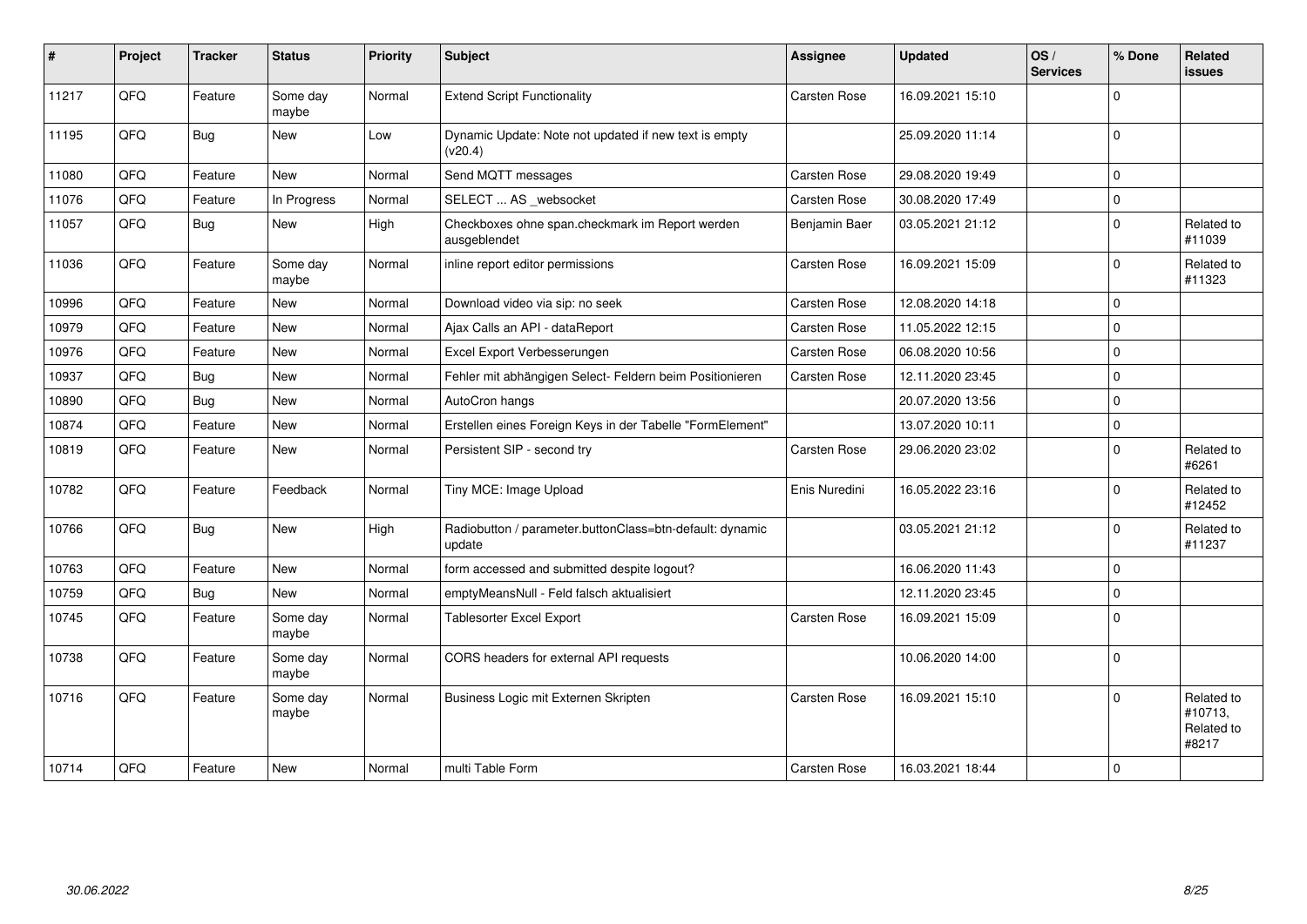| #     | Project | <b>Tracker</b> | <b>Status</b>     | Priority | <b>Subject</b>                                                     | <b>Assignee</b>     | Updated          | OS/<br><b>Services</b> | % Done      | <b>Related</b><br><b>issues</b>              |
|-------|---------|----------------|-------------------|----------|--------------------------------------------------------------------|---------------------|------------------|------------------------|-------------|----------------------------------------------|
| 11217 | QFQ     | Feature        | Some day<br>maybe | Normal   | <b>Extend Script Functionality</b>                                 | Carsten Rose        | 16.09.2021 15:10 |                        | $\mathbf 0$ |                                              |
| 11195 | QFQ     | <b>Bug</b>     | New               | Low      | Dynamic Update: Note not updated if new text is empty<br>(v20.4)   |                     | 25.09.2020 11:14 |                        | $\mathbf 0$ |                                              |
| 11080 | QFQ     | Feature        | New               | Normal   | Send MQTT messages                                                 | Carsten Rose        | 29.08.2020 19:49 |                        | $\mathbf 0$ |                                              |
| 11076 | QFQ     | Feature        | In Progress       | Normal   | SELECT  AS _websocket                                              | Carsten Rose        | 30.08.2020 17:49 |                        | $\pmb{0}$   |                                              |
| 11057 | QFQ     | <b>Bug</b>     | New               | High     | Checkboxes ohne span.checkmark im Report werden<br>ausgeblendet    | Benjamin Baer       | 03.05.2021 21:12 |                        | $\mathbf 0$ | Related to<br>#11039                         |
| 11036 | QFQ     | Feature        | Some day<br>maybe | Normal   | inline report editor permissions                                   | Carsten Rose        | 16.09.2021 15:09 |                        | $\mathbf 0$ | Related to<br>#11323                         |
| 10996 | QFQ     | Feature        | New               | Normal   | Download video via sip: no seek                                    | Carsten Rose        | 12.08.2020 14:18 |                        | $\mathbf 0$ |                                              |
| 10979 | QFQ     | Feature        | <b>New</b>        | Normal   | Ajax Calls an API - dataReport                                     | Carsten Rose        | 11.05.2022 12:15 |                        | $\mathbf 0$ |                                              |
| 10976 | QFQ     | Feature        | <b>New</b>        | Normal   | Excel Export Verbesserungen                                        | <b>Carsten Rose</b> | 06.08.2020 10:56 |                        | $\mathbf 0$ |                                              |
| 10937 | QFQ     | Bug            | <b>New</b>        | Normal   | Fehler mit abhängigen Select- Feldern beim Positionieren           | Carsten Rose        | 12.11.2020 23:45 |                        | $\mathbf 0$ |                                              |
| 10890 | QFQ     | <b>Bug</b>     | New               | Normal   | AutoCron hangs                                                     |                     | 20.07.2020 13:56 |                        | $\mathbf 0$ |                                              |
| 10874 | QFQ     | Feature        | <b>New</b>        | Normal   | Erstellen eines Foreign Keys in der Tabelle "FormElement"          |                     | 13.07.2020 10:11 |                        | $\mathbf 0$ |                                              |
| 10819 | QFQ     | Feature        | New               | Normal   | Persistent SIP - second try                                        | Carsten Rose        | 29.06.2020 23:02 |                        | $\mathbf 0$ | Related to<br>#6261                          |
| 10782 | QFQ     | Feature        | Feedback          | Normal   | Tiny MCE: Image Upload                                             | Enis Nuredini       | 16.05.2022 23:16 |                        | $\Omega$    | Related to<br>#12452                         |
| 10766 | QFQ     | <b>Bug</b>     | New               | High     | Radiobutton / parameter.buttonClass=btn-default: dynamic<br>update |                     | 03.05.2021 21:12 |                        | $\mathbf 0$ | Related to<br>#11237                         |
| 10763 | QFQ     | Feature        | New               | Normal   | form accessed and submitted despite logout?                        |                     | 16.06.2020 11:43 |                        | $\mathbf 0$ |                                              |
| 10759 | QFQ     | <b>Bug</b>     | New               | Normal   | emptyMeansNull - Feld falsch aktualisiert                          |                     | 12.11.2020 23:45 |                        | $\mathbf 0$ |                                              |
| 10745 | QFQ     | Feature        | Some day<br>maybe | Normal   | <b>Tablesorter Excel Export</b>                                    | Carsten Rose        | 16.09.2021 15:09 |                        | $\mathbf 0$ |                                              |
| 10738 | QFQ     | Feature        | Some day<br>maybe | Normal   | CORS headers for external API requests                             |                     | 10.06.2020 14:00 |                        | $\mathbf 0$ |                                              |
| 10716 | QFQ     | Feature        | Some day<br>maybe | Normal   | Business Logic mit Externen Skripten                               | Carsten Rose        | 16.09.2021 15:10 |                        | $\Omega$    | Related to<br>#10713,<br>Related to<br>#8217 |
| 10714 | QFQ     | Feature        | <b>New</b>        | Normal   | multi Table Form                                                   | <b>Carsten Rose</b> | 16.03.2021 18:44 |                        | $\mathbf 0$ |                                              |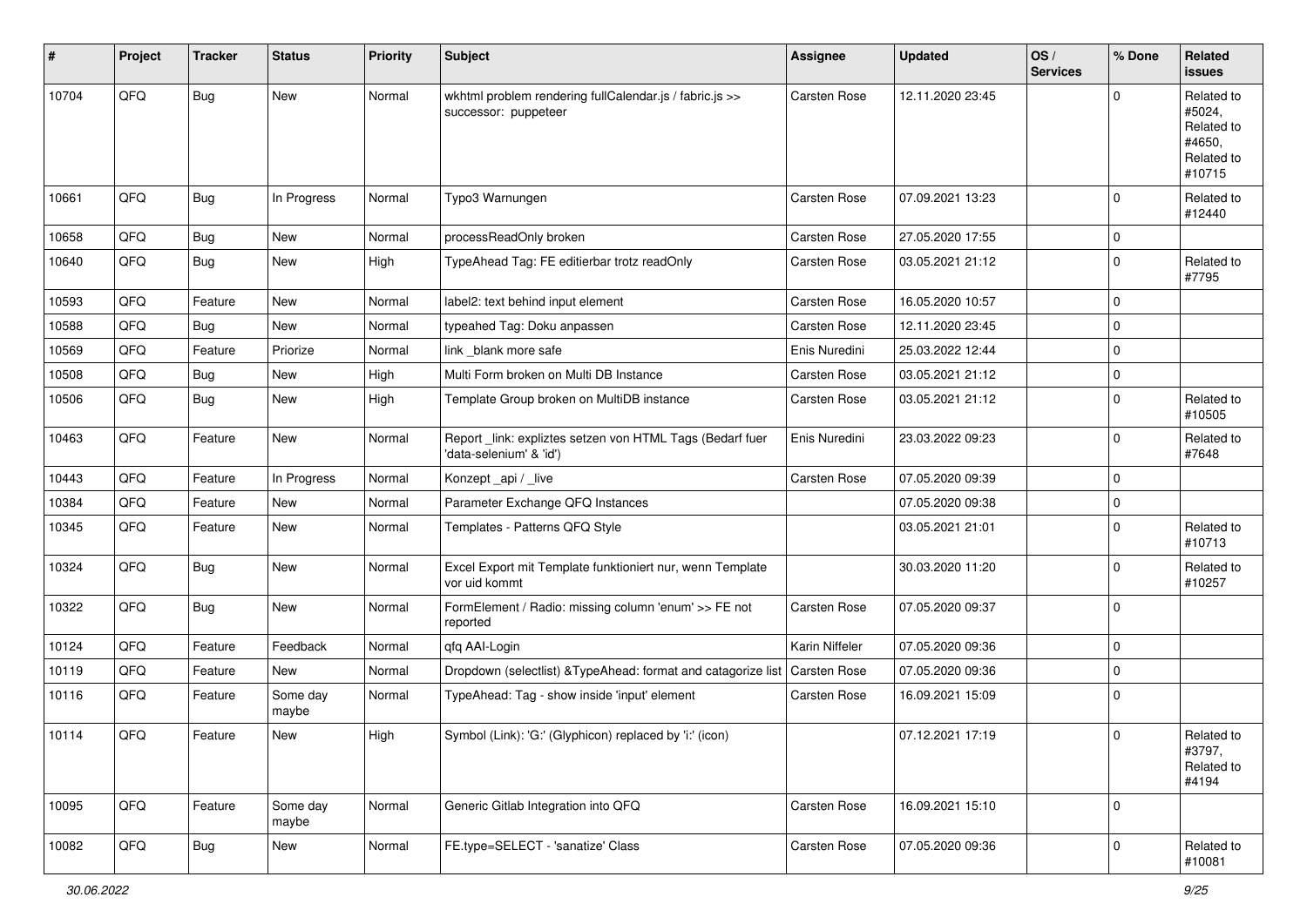| #     | Project | <b>Tracker</b> | <b>Status</b>     | <b>Priority</b> | Subject                                                                             | <b>Assignee</b>     | <b>Updated</b>   | OS/<br><b>Services</b> | % Done      | Related<br>issues                                                    |
|-------|---------|----------------|-------------------|-----------------|-------------------------------------------------------------------------------------|---------------------|------------------|------------------------|-------------|----------------------------------------------------------------------|
| 10704 | QFQ     | Bug            | New               | Normal          | wkhtml problem rendering fullCalendar.js / fabric.js >><br>successor: puppeteer     | Carsten Rose        | 12.11.2020 23:45 |                        | $\Omega$    | Related to<br>#5024,<br>Related to<br>#4650,<br>Related to<br>#10715 |
| 10661 | QFQ     | Bug            | In Progress       | Normal          | Typo3 Warnungen                                                                     | Carsten Rose        | 07.09.2021 13:23 |                        | $\mathbf 0$ | Related to<br>#12440                                                 |
| 10658 | QFQ     | Bug            | New               | Normal          | processReadOnly broken                                                              | Carsten Rose        | 27.05.2020 17:55 |                        | $\mathbf 0$ |                                                                      |
| 10640 | QFQ     | Bug            | New               | High            | TypeAhead Tag: FE editierbar trotz readOnly                                         | Carsten Rose        | 03.05.2021 21:12 |                        | $\mathbf 0$ | Related to<br>#7795                                                  |
| 10593 | QFQ     | Feature        | <b>New</b>        | Normal          | label2: text behind input element                                                   | <b>Carsten Rose</b> | 16.05.2020 10:57 |                        | $\mathbf 0$ |                                                                      |
| 10588 | QFQ     | <b>Bug</b>     | New               | Normal          | typeahed Tag: Doku anpassen                                                         | Carsten Rose        | 12.11.2020 23:45 |                        | $\mathbf 0$ |                                                                      |
| 10569 | QFQ     | Feature        | Priorize          | Normal          | link _blank more safe                                                               | Enis Nuredini       | 25.03.2022 12:44 |                        | $\mathbf 0$ |                                                                      |
| 10508 | QFQ     | Bug            | <b>New</b>        | High            | Multi Form broken on Multi DB Instance                                              | Carsten Rose        | 03.05.2021 21:12 |                        | $\mathbf 0$ |                                                                      |
| 10506 | QFQ     | Bug            | New               | High            | Template Group broken on MultiDB instance                                           | Carsten Rose        | 03.05.2021 21:12 |                        | $\mathbf 0$ | Related to<br>#10505                                                 |
| 10463 | QFQ     | Feature        | New               | Normal          | Report_link: expliztes setzen von HTML Tags (Bedarf fuer<br>'data-selenium' & 'id') | Enis Nuredini       | 23.03.2022 09:23 |                        | $\mathbf 0$ | Related to<br>#7648                                                  |
| 10443 | QFQ     | Feature        | In Progress       | Normal          | Konzept_api / _live                                                                 | Carsten Rose        | 07.05.2020 09:39 |                        | $\mathbf 0$ |                                                                      |
| 10384 | QFQ     | Feature        | New               | Normal          | Parameter Exchange QFQ Instances                                                    |                     | 07.05.2020 09:38 |                        | $\mathbf 0$ |                                                                      |
| 10345 | QFQ     | Feature        | New               | Normal          | Templates - Patterns QFQ Style                                                      |                     | 03.05.2021 21:01 |                        | $\mathbf 0$ | Related to<br>#10713                                                 |
| 10324 | QFQ     | Bug            | New               | Normal          | Excel Export mit Template funktioniert nur, wenn Template<br>vor uid kommt          |                     | 30.03.2020 11:20 |                        | $\mathbf 0$ | Related to<br>#10257                                                 |
| 10322 | QFQ     | Bug            | New               | Normal          | FormElement / Radio: missing column 'enum' >> FE not<br>reported                    | Carsten Rose        | 07.05.2020 09:37 |                        | $\Omega$    |                                                                      |
| 10124 | QFQ     | Feature        | Feedback          | Normal          | qfq AAI-Login                                                                       | Karin Niffeler      | 07.05.2020 09:36 |                        | $\mathbf 0$ |                                                                      |
| 10119 | QFQ     | Feature        | New               | Normal          | Dropdown (selectlist) & TypeAhead: format and catagorize list                       | Carsten Rose        | 07.05.2020 09:36 |                        | $\mathbf 0$ |                                                                      |
| 10116 | QFQ     | Feature        | Some day<br>maybe | Normal          | TypeAhead: Tag - show inside 'input' element                                        | Carsten Rose        | 16.09.2021 15:09 |                        | $\mathbf 0$ |                                                                      |
| 10114 | QFQ     | Feature        | <b>New</b>        | High            | Symbol (Link): 'G:' (Glyphicon) replaced by 'i:' (icon)                             |                     | 07.12.2021 17:19 |                        | 0           | Related to<br>#3797,<br>Related to<br>#4194                          |
| 10095 | QFQ     | Feature        | Some day<br>maybe | Normal          | Generic Gitlab Integration into QFQ                                                 | Carsten Rose        | 16.09.2021 15:10 |                        | $\mathbf 0$ |                                                                      |
| 10082 | QFQ     | <b>Bug</b>     | New               | Normal          | FE.type=SELECT - 'sanatize' Class                                                   | Carsten Rose        | 07.05.2020 09:36 |                        | $\mathbf 0$ | Related to<br>#10081                                                 |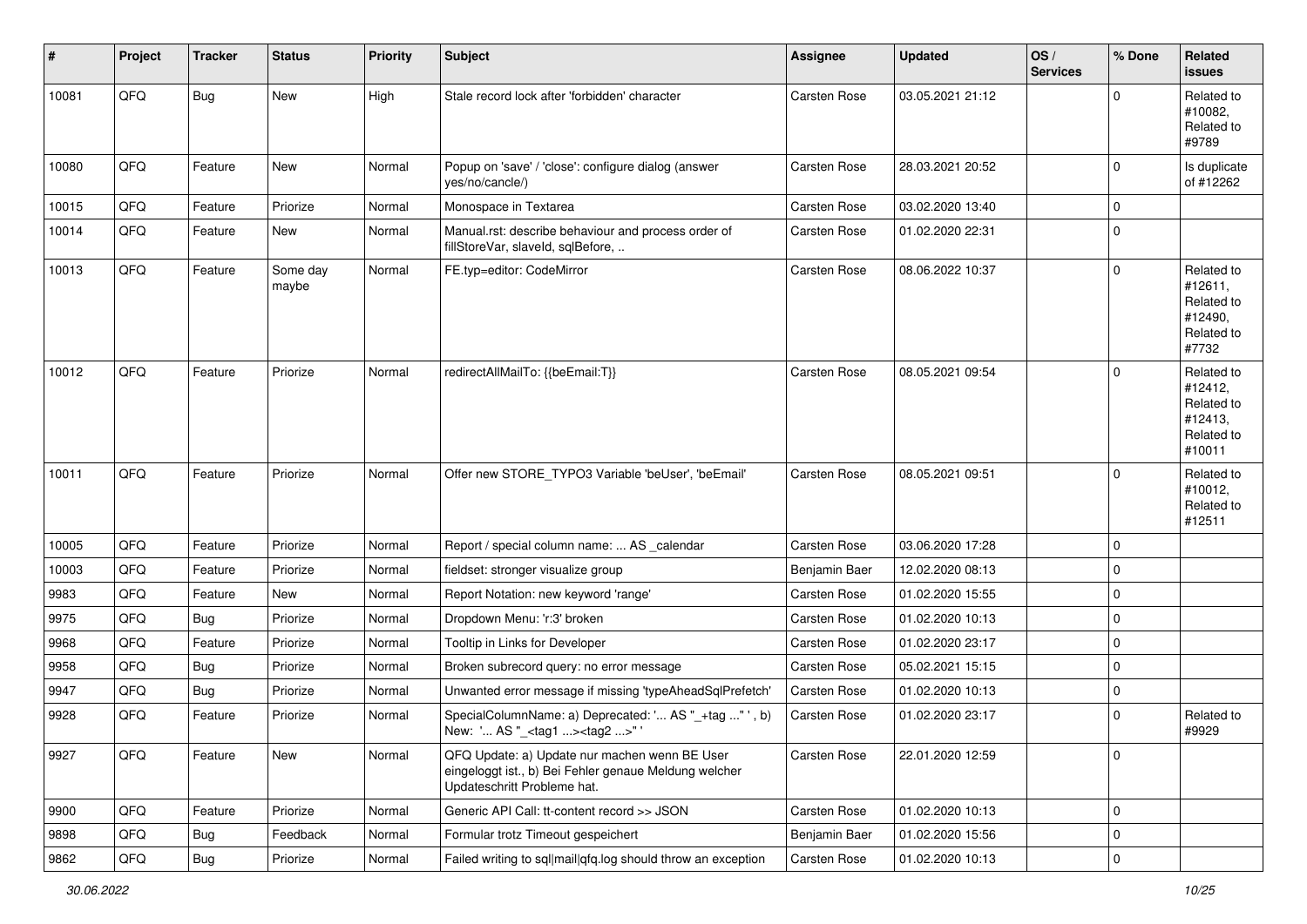| #     | Project | <b>Tracker</b> | <b>Status</b>     | <b>Priority</b> | <b>Subject</b>                                                                                                                        | <b>Assignee</b> | <b>Updated</b>   | OS/<br><b>Services</b> | % Done      | Related<br><b>issues</b>                                               |
|-------|---------|----------------|-------------------|-----------------|---------------------------------------------------------------------------------------------------------------------------------------|-----------------|------------------|------------------------|-------------|------------------------------------------------------------------------|
| 10081 | QFQ     | <b>Bug</b>     | New               | High            | Stale record lock after 'forbidden' character                                                                                         | Carsten Rose    | 03.05.2021 21:12 |                        | $\Omega$    | Related to<br>#10082,<br>Related to<br>#9789                           |
| 10080 | QFQ     | Feature        | New               | Normal          | Popup on 'save' / 'close': configure dialog (answer<br>yes/no/cancle/)                                                                | Carsten Rose    | 28.03.2021 20:52 |                        | $\mathbf 0$ | Is duplicate<br>of #12262                                              |
| 10015 | QFQ     | Feature        | Priorize          | Normal          | Monospace in Textarea                                                                                                                 | Carsten Rose    | 03.02.2020 13:40 |                        | $\mathbf 0$ |                                                                        |
| 10014 | QFQ     | Feature        | New               | Normal          | Manual.rst: describe behaviour and process order of<br>fillStoreVar, slaveId, sqlBefore,                                              | Carsten Rose    | 01.02.2020 22:31 |                        | $\mathbf 0$ |                                                                        |
| 10013 | QFQ     | Feature        | Some day<br>maybe | Normal          | FE.typ=editor: CodeMirror                                                                                                             | Carsten Rose    | 08.06.2022 10:37 |                        | $\mathbf 0$ | Related to<br>#12611,<br>Related to<br>#12490,<br>Related to<br>#7732  |
| 10012 | QFQ     | Feature        | Priorize          | Normal          | redirectAllMailTo: {{beEmail:T}}                                                                                                      | Carsten Rose    | 08.05.2021 09:54 |                        | $\Omega$    | Related to<br>#12412,<br>Related to<br>#12413,<br>Related to<br>#10011 |
| 10011 | QFQ     | Feature        | Priorize          | Normal          | Offer new STORE_TYPO3 Variable 'beUser', 'beEmail'                                                                                    | Carsten Rose    | 08.05.2021 09:51 |                        | $\mathbf 0$ | Related to<br>#10012,<br>Related to<br>#12511                          |
| 10005 | QFQ     | Feature        | Priorize          | Normal          | Report / special column name:  AS _calendar                                                                                           | Carsten Rose    | 03.06.2020 17:28 |                        | $\mathbf 0$ |                                                                        |
| 10003 | QFQ     | Feature        | Priorize          | Normal          | fieldset: stronger visualize group                                                                                                    | Benjamin Baer   | 12.02.2020 08:13 |                        | $\mathbf 0$ |                                                                        |
| 9983  | QFQ     | Feature        | New               | Normal          | Report Notation: new keyword 'range'                                                                                                  | Carsten Rose    | 01.02.2020 15:55 |                        | $\mathbf 0$ |                                                                        |
| 9975  | QFQ     | Bug            | Priorize          | Normal          | Dropdown Menu: 'r:3' broken                                                                                                           | Carsten Rose    | 01.02.2020 10:13 |                        | $\mathbf 0$ |                                                                        |
| 9968  | QFQ     | Feature        | Priorize          | Normal          | Tooltip in Links for Developer                                                                                                        | Carsten Rose    | 01.02.2020 23:17 |                        | $\mathbf 0$ |                                                                        |
| 9958  | QFQ     | <b>Bug</b>     | Priorize          | Normal          | Broken subrecord query: no error message                                                                                              | Carsten Rose    | 05.02.2021 15:15 |                        | $\mathbf 0$ |                                                                        |
| 9947  | QFQ     | Bug            | Priorize          | Normal          | Unwanted error message if missing 'typeAheadSqlPrefetch'                                                                              | Carsten Rose    | 01.02.2020 10:13 |                        | $\mathbf 0$ |                                                                        |
| 9928  | QFQ     | Feature        | Priorize          | Normal          | SpecialColumnName: a) Deprecated: ' AS "_+tag " ', b)<br>New: ' AS "_ <tag1><tag2>" '</tag2></tag1>                                   | Carsten Rose    | 01.02.2020 23:17 |                        | $\mathbf 0$ | Related to<br>#9929                                                    |
| 9927  | QFQ     | Feature        | New               | Normal          | QFQ Update: a) Update nur machen wenn BE User<br>eingeloggt ist., b) Bei Fehler genaue Meldung welcher<br>Updateschritt Probleme hat. | Carsten Rose    | 22.01.2020 12:59 |                        | $\mathbf 0$ |                                                                        |
| 9900  | QFQ     | Feature        | Priorize          | Normal          | Generic API Call: tt-content record >> JSON                                                                                           | Carsten Rose    | 01.02.2020 10:13 |                        | $\mathbf 0$ |                                                                        |
| 9898  | QFQ     | <b>Bug</b>     | Feedback          | Normal          | Formular trotz Timeout gespeichert                                                                                                    | Benjamin Baer   | 01.02.2020 15:56 |                        | $\mathbf 0$ |                                                                        |
| 9862  | QFQ     | Bug            | Priorize          | Normal          | Failed writing to sql mail qfq.log should throw an exception                                                                          | Carsten Rose    | 01.02.2020 10:13 |                        | $\mathbf 0$ |                                                                        |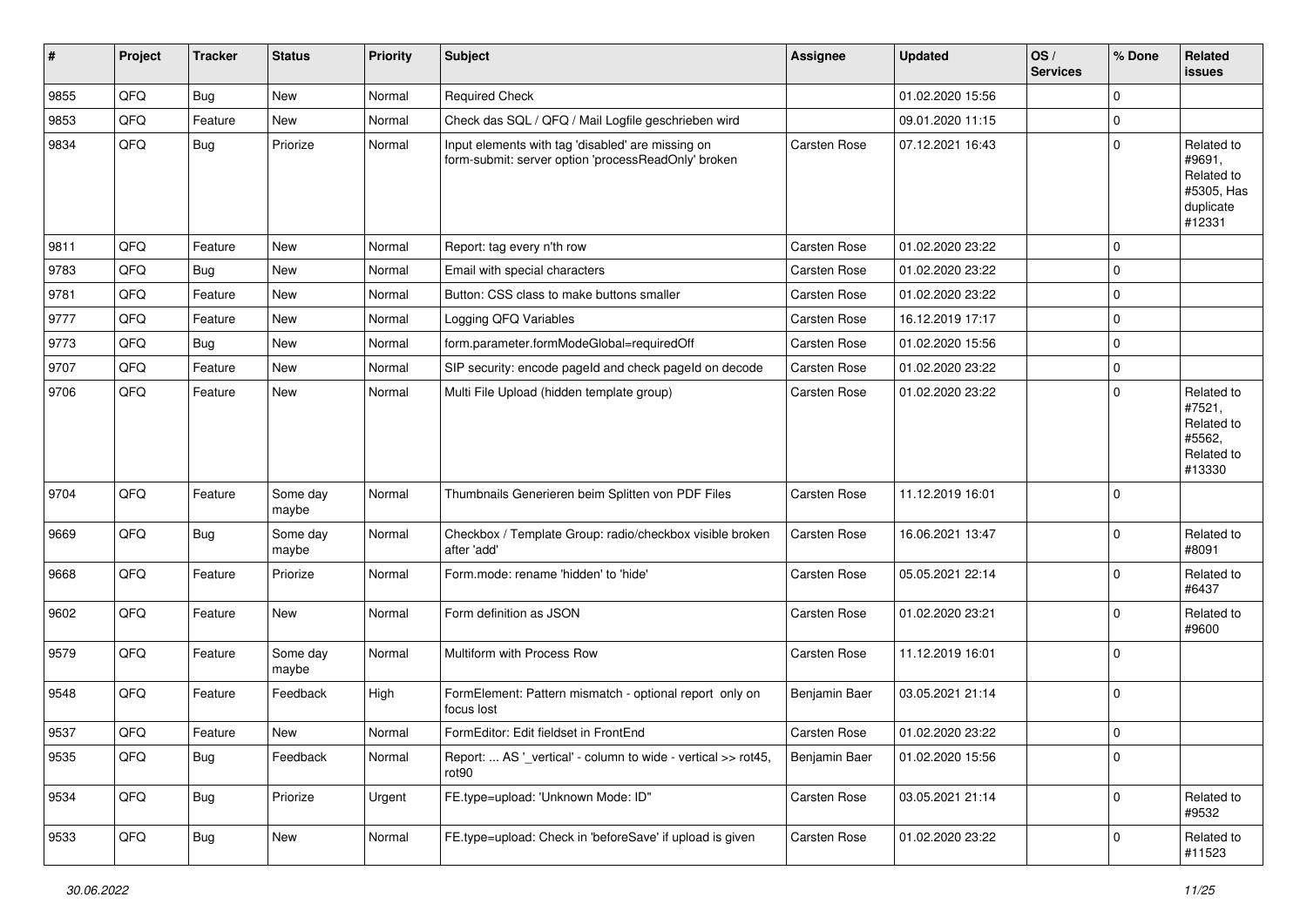| $\vert$ # | Project | <b>Tracker</b> | <b>Status</b>     | <b>Priority</b> | <b>Subject</b>                                                                                           | <b>Assignee</b>     | <b>Updated</b>   | OS/<br><b>Services</b> | % Done      | Related<br><b>issues</b>                                                |
|-----------|---------|----------------|-------------------|-----------------|----------------------------------------------------------------------------------------------------------|---------------------|------------------|------------------------|-------------|-------------------------------------------------------------------------|
| 9855      | QFQ     | Bug            | New               | Normal          | <b>Required Check</b>                                                                                    |                     | 01.02.2020 15:56 |                        | $\mathbf 0$ |                                                                         |
| 9853      | QFQ     | Feature        | New               | Normal          | Check das SQL / QFQ / Mail Logfile geschrieben wird                                                      |                     | 09.01.2020 11:15 |                        | $\mathbf 0$ |                                                                         |
| 9834      | QFQ     | Bug            | Priorize          | Normal          | Input elements with tag 'disabled' are missing on<br>form-submit: server option 'processReadOnly' broken | Carsten Rose        | 07.12.2021 16:43 |                        | $\mathbf 0$ | Related to<br>#9691,<br>Related to<br>#5305, Has<br>duplicate<br>#12331 |
| 9811      | QFQ     | Feature        | <b>New</b>        | Normal          | Report: tag every n'th row                                                                               | Carsten Rose        | 01.02.2020 23:22 |                        | $\mathbf 0$ |                                                                         |
| 9783      | QFQ     | Bug            | New               | Normal          | Email with special characters                                                                            | Carsten Rose        | 01.02.2020 23:22 |                        | $\mathbf 0$ |                                                                         |
| 9781      | QFQ     | Feature        | New               | Normal          | Button: CSS class to make buttons smaller                                                                | Carsten Rose        | 01.02.2020 23:22 |                        | $\mathbf 0$ |                                                                         |
| 9777      | QFQ     | Feature        | New               | Normal          | Logging QFQ Variables                                                                                    | Carsten Rose        | 16.12.2019 17:17 |                        | $\mathbf 0$ |                                                                         |
| 9773      | QFQ     | Bug            | New               | Normal          | form.parameter.formModeGlobal=requiredOff                                                                | Carsten Rose        | 01.02.2020 15:56 |                        | $\mathbf 0$ |                                                                         |
| 9707      | QFQ     | Feature        | <b>New</b>        | Normal          | SIP security: encode pageId and check pageId on decode                                                   | Carsten Rose        | 01.02.2020 23:22 |                        | $\pmb{0}$   |                                                                         |
| 9706      | QFQ     | Feature        | New               | Normal          | Multi File Upload (hidden template group)                                                                | Carsten Rose        | 01.02.2020 23:22 |                        | $\mathbf 0$ | Related to<br>#7521,<br>Related to<br>#5562,<br>Related to<br>#13330    |
| 9704      | QFQ     | Feature        | Some day<br>maybe | Normal          | Thumbnails Generieren beim Splitten von PDF Files                                                        | Carsten Rose        | 11.12.2019 16:01 |                        | $\mathbf 0$ |                                                                         |
| 9669      | QFQ     | <b>Bug</b>     | Some day<br>maybe | Normal          | Checkbox / Template Group: radio/checkbox visible broken<br>after 'add'                                  | Carsten Rose        | 16.06.2021 13:47 |                        | $\mathbf 0$ | Related to<br>#8091                                                     |
| 9668      | QFQ     | Feature        | Priorize          | Normal          | Form.mode: rename 'hidden' to 'hide'                                                                     | Carsten Rose        | 05.05.2021 22:14 |                        | $\mathbf 0$ | Related to<br>#6437                                                     |
| 9602      | QFQ     | Feature        | New               | Normal          | Form definition as JSON                                                                                  | Carsten Rose        | 01.02.2020 23:21 |                        | $\mathbf 0$ | Related to<br>#9600                                                     |
| 9579      | QFQ     | Feature        | Some day<br>maybe | Normal          | Multiform with Process Row                                                                               | <b>Carsten Rose</b> | 11.12.2019 16:01 |                        | $\mathbf 0$ |                                                                         |
| 9548      | QFQ     | Feature        | Feedback          | High            | FormElement: Pattern mismatch - optional report only on<br>focus lost                                    | Benjamin Baer       | 03.05.2021 21:14 |                        | $\mathbf 0$ |                                                                         |
| 9537      | QFQ     | Feature        | <b>New</b>        | Normal          | FormEditor: Edit fieldset in FrontEnd                                                                    | <b>Carsten Rose</b> | 01.02.2020 23:22 |                        | $\mathbf 0$ |                                                                         |
| 9535      | QFQ     | Bug            | Feedback          | Normal          | Report:  AS ' vertical' - column to wide - vertical >> rot45,<br>rot <sub>90</sub>                       | Benjamin Baer       | 01.02.2020 15:56 |                        | $\pmb{0}$   |                                                                         |
| 9534      | QFQ     | <b>Bug</b>     | Priorize          | Urgent          | FE.type=upload: 'Unknown Mode: ID"                                                                       | Carsten Rose        | 03.05.2021 21:14 |                        | $\mathbf 0$ | Related to<br>#9532                                                     |
| 9533      | QFQ     | <b>Bug</b>     | New               | Normal          | FE.type=upload: Check in 'beforeSave' if upload is given                                                 | Carsten Rose        | 01.02.2020 23:22 |                        | 0           | Related to<br>#11523                                                    |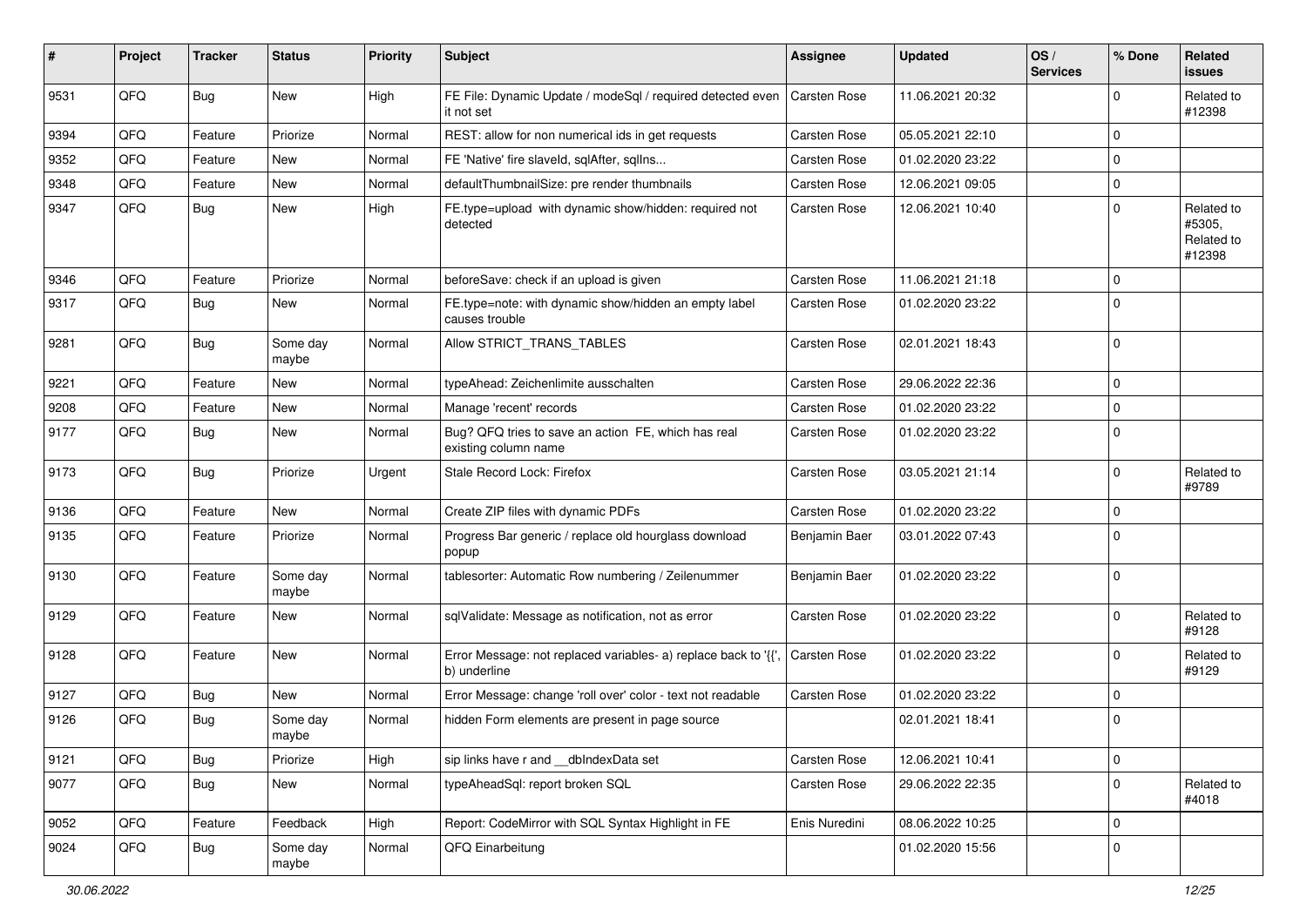| #    | Project | <b>Tracker</b> | <b>Status</b>     | <b>Priority</b> | <b>Subject</b>                                                                          | <b>Assignee</b>     | <b>Updated</b>   | OS/<br><b>Services</b> | % Done              | Related<br><b>issues</b>                     |
|------|---------|----------------|-------------------|-----------------|-----------------------------------------------------------------------------------------|---------------------|------------------|------------------------|---------------------|----------------------------------------------|
| 9531 | QFQ     | Bug            | New               | High            | FE File: Dynamic Update / modeSql / required detected even   Carsten Rose<br>it not set |                     | 11.06.2021 20:32 |                        | $\mathbf 0$         | Related to<br>#12398                         |
| 9394 | QFQ     | Feature        | Priorize          | Normal          | REST: allow for non numerical ids in get requests                                       | Carsten Rose        | 05.05.2021 22:10 |                        | $\mathbf 0$         |                                              |
| 9352 | QFQ     | Feature        | <b>New</b>        | Normal          | FE 'Native' fire slaveld, sqlAfter, sqlIns                                              | Carsten Rose        | 01.02.2020 23:22 |                        | $\mathbf 0$         |                                              |
| 9348 | QFQ     | Feature        | New               | Normal          | defaultThumbnailSize: pre render thumbnails                                             | Carsten Rose        | 12.06.2021 09:05 |                        | $\mathbf 0$         |                                              |
| 9347 | QFQ     | Bug            | New               | High            | FE.type=upload with dynamic show/hidden: required not<br>detected                       | Carsten Rose        | 12.06.2021 10:40 |                        | $\mathbf 0$         | Related to<br>#5305,<br>Related to<br>#12398 |
| 9346 | QFQ     | Feature        | Priorize          | Normal          | beforeSave: check if an upload is given                                                 | Carsten Rose        | 11.06.2021 21:18 |                        | $\mathbf 0$         |                                              |
| 9317 | QFQ     | Bug            | New               | Normal          | FE.type=note: with dynamic show/hidden an empty label<br>causes trouble                 | Carsten Rose        | 01.02.2020 23:22 |                        | $\mathbf 0$         |                                              |
| 9281 | QFQ     | <b>Bug</b>     | Some day<br>maybe | Normal          | Allow STRICT_TRANS_TABLES                                                               | Carsten Rose        | 02.01.2021 18:43 |                        | $\mathbf 0$         |                                              |
| 9221 | QFQ     | Feature        | <b>New</b>        | Normal          | typeAhead: Zeichenlimite ausschalten                                                    | Carsten Rose        | 29.06.2022 22:36 |                        | $\mathbf 0$         |                                              |
| 9208 | QFQ     | Feature        | New               | Normal          | Manage 'recent' records                                                                 | Carsten Rose        | 01.02.2020 23:22 |                        | $\mathbf 0$         |                                              |
| 9177 | QFQ     | Bug            | New               | Normal          | Bug? QFQ tries to save an action FE, which has real<br>existing column name             | Carsten Rose        | 01.02.2020 23:22 |                        | $\mathbf 0$         |                                              |
| 9173 | QFQ     | Bug            | Priorize          | Urgent          | Stale Record Lock: Firefox                                                              | Carsten Rose        | 03.05.2021 21:14 |                        | $\mathbf 0$         | Related to<br>#9789                          |
| 9136 | QFQ     | Feature        | New               | Normal          | Create ZIP files with dynamic PDFs                                                      | Carsten Rose        | 01.02.2020 23:22 |                        | $\mathbf 0$         |                                              |
| 9135 | QFQ     | Feature        | Priorize          | Normal          | Progress Bar generic / replace old hourglass download<br>popup                          | Benjamin Baer       | 03.01.2022 07:43 |                        | $\mathbf 0$         |                                              |
| 9130 | QFQ     | Feature        | Some day<br>maybe | Normal          | tablesorter: Automatic Row numbering / Zeilenummer                                      | Benjamin Baer       | 01.02.2020 23:22 |                        | $\mathbf 0$         |                                              |
| 9129 | QFQ     | Feature        | <b>New</b>        | Normal          | sqlValidate: Message as notification, not as error                                      | Carsten Rose        | 01.02.2020 23:22 |                        | $\mathbf 0$         | Related to<br>#9128                          |
| 9128 | QFQ     | Feature        | New               | Normal          | Error Message: not replaced variables- a) replace back to '{{',<br>b) underline         | <b>Carsten Rose</b> | 01.02.2020 23:22 |                        | $\mathbf 0$         | Related to<br>#9129                          |
| 9127 | QFQ     | Bug            | New               | Normal          | Error Message: change 'roll over' color - text not readable                             | Carsten Rose        | 01.02.2020 23:22 |                        | $\mathbf 0$         |                                              |
| 9126 | QFQ     | Bug            | Some day<br>maybe | Normal          | hidden Form elements are present in page source                                         |                     | 02.01.2021 18:41 |                        | $\mathbf 0$         |                                              |
| 9121 | QFQ     | Bug            | Priorize          | High            | sip links have r and dblndexData set                                                    | Carsten Rose        | 12.06.2021 10:41 |                        | $\mathsf{O}\xspace$ |                                              |
| 9077 | QFQ     | <b>Bug</b>     | New               | Normal          | typeAheadSql: report broken SQL                                                         | Carsten Rose        | 29.06.2022 22:35 |                        | $\mathbf 0$         | Related to<br>#4018                          |
| 9052 | QFQ     | Feature        | Feedback          | High            | Report: CodeMirror with SQL Syntax Highlight in FE                                      | Enis Nuredini       | 08.06.2022 10:25 |                        | $\mathbf 0$         |                                              |
| 9024 | QFQ     | <b>Bug</b>     | Some day<br>maybe | Normal          | QFQ Einarbeitung                                                                        |                     | 01.02.2020 15:56 |                        | $\mathbf 0$         |                                              |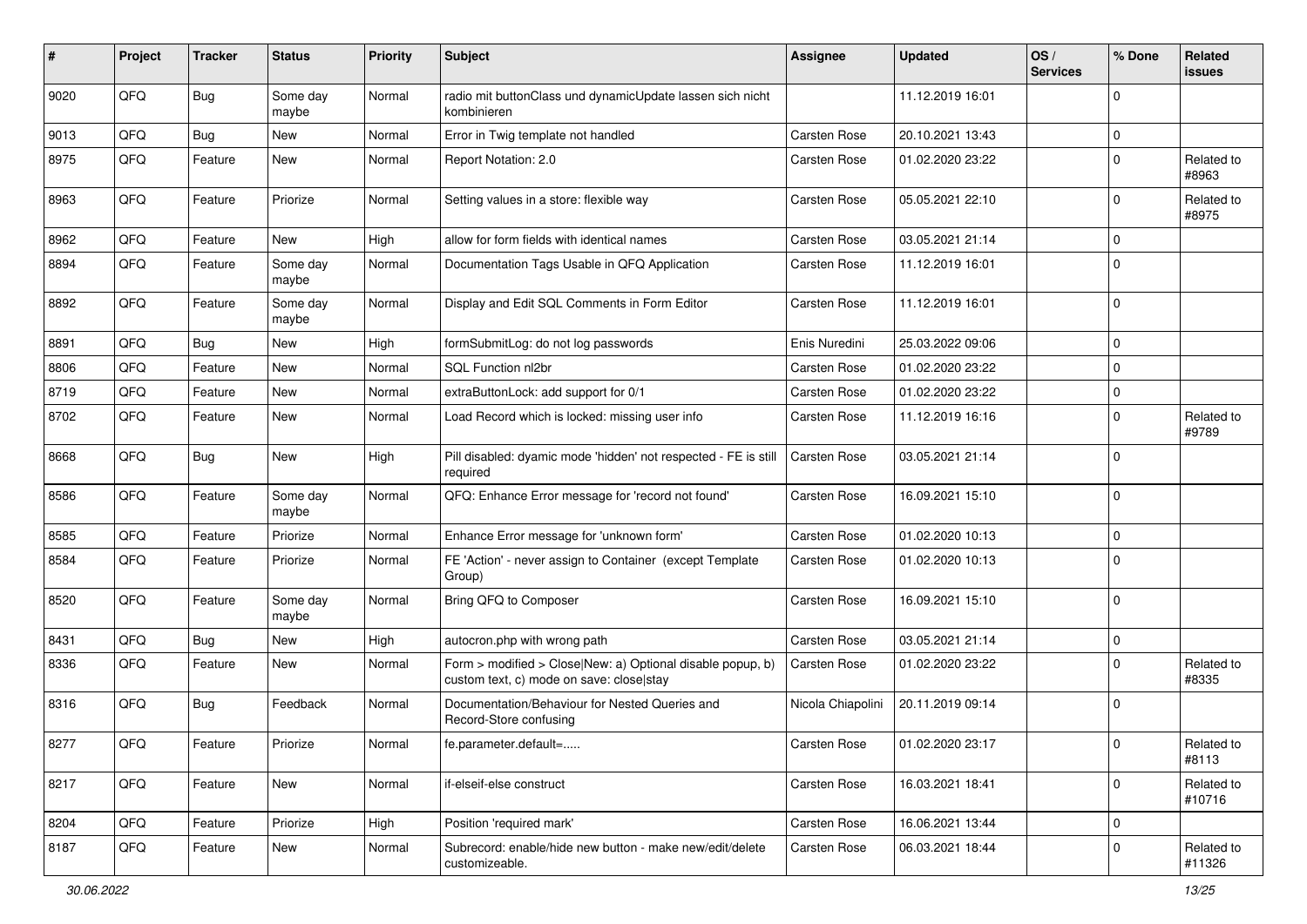| ∦    | Project | <b>Tracker</b> | <b>Status</b>     | <b>Priority</b> | <b>Subject</b>                                                                                         | <b>Assignee</b>   | <b>Updated</b>   | OS/<br><b>Services</b> | % Done      | Related<br><b>issues</b> |
|------|---------|----------------|-------------------|-----------------|--------------------------------------------------------------------------------------------------------|-------------------|------------------|------------------------|-------------|--------------------------|
| 9020 | QFQ     | Bug            | Some day<br>maybe | Normal          | radio mit buttonClass und dynamicUpdate lassen sich nicht<br>kombinieren                               |                   | 11.12.2019 16:01 |                        | $\mathbf 0$ |                          |
| 9013 | QFQ     | Bug            | <b>New</b>        | Normal          | Error in Twig template not handled                                                                     | Carsten Rose      | 20.10.2021 13:43 |                        | $\mathbf 0$ |                          |
| 8975 | QFQ     | Feature        | New               | Normal          | Report Notation: 2.0                                                                                   | Carsten Rose      | 01.02.2020 23:22 |                        | $\mathbf 0$ | Related to<br>#8963      |
| 8963 | QFQ     | Feature        | Priorize          | Normal          | Setting values in a store: flexible way                                                                | Carsten Rose      | 05.05.2021 22:10 |                        | $\mathbf 0$ | Related to<br>#8975      |
| 8962 | QFQ     | Feature        | New               | High            | allow for form fields with identical names                                                             | Carsten Rose      | 03.05.2021 21:14 |                        | $\mathbf 0$ |                          |
| 8894 | QFQ     | Feature        | Some day<br>maybe | Normal          | Documentation Tags Usable in QFQ Application                                                           | Carsten Rose      | 11.12.2019 16:01 |                        | $\mathbf 0$ |                          |
| 8892 | QFQ     | Feature        | Some day<br>maybe | Normal          | Display and Edit SQL Comments in Form Editor                                                           | Carsten Rose      | 11.12.2019 16:01 |                        | $\mathbf 0$ |                          |
| 8891 | QFQ     | Bug            | <b>New</b>        | High            | formSubmitLog: do not log passwords                                                                    | Enis Nuredini     | 25.03.2022 09:06 |                        | $\mathbf 0$ |                          |
| 8806 | QFQ     | Feature        | <b>New</b>        | Normal          | SQL Function nl2br                                                                                     | Carsten Rose      | 01.02.2020 23:22 |                        | $\mathbf 0$ |                          |
| 8719 | QFQ     | Feature        | <b>New</b>        | Normal          | extraButtonLock: add support for 0/1                                                                   | Carsten Rose      | 01.02.2020 23:22 |                        | $\mathbf 0$ |                          |
| 8702 | QFQ     | Feature        | New               | Normal          | Load Record which is locked: missing user info                                                         | Carsten Rose      | 11.12.2019 16:16 |                        | $\mathbf 0$ | Related to<br>#9789      |
| 8668 | QFQ     | Bug            | <b>New</b>        | High            | Pill disabled: dyamic mode 'hidden' not respected - FE is still<br>required                            | Carsten Rose      | 03.05.2021 21:14 |                        | $\mathbf 0$ |                          |
| 8586 | QFQ     | Feature        | Some day<br>maybe | Normal          | QFQ: Enhance Error message for 'record not found'                                                      | Carsten Rose      | 16.09.2021 15:10 |                        | $\mathbf 0$ |                          |
| 8585 | QFQ     | Feature        | Priorize          | Normal          | Enhance Error message for 'unknown form'                                                               | Carsten Rose      | 01.02.2020 10:13 |                        | $\mathbf 0$ |                          |
| 8584 | QFQ     | Feature        | Priorize          | Normal          | FE 'Action' - never assign to Container (except Template<br>Group)                                     | Carsten Rose      | 01.02.2020 10:13 |                        | $\mathbf 0$ |                          |
| 8520 | QFQ     | Feature        | Some day<br>maybe | Normal          | Bring QFQ to Composer                                                                                  | Carsten Rose      | 16.09.2021 15:10 |                        | $\mathbf 0$ |                          |
| 8431 | QFQ     | Bug            | <b>New</b>        | High            | autocron.php with wrong path                                                                           | Carsten Rose      | 03.05.2021 21:14 |                        | $\mathbf 0$ |                          |
| 8336 | QFQ     | Feature        | New               | Normal          | Form > modified > Close New: a) Optional disable popup, b)<br>custom text, c) mode on save: close stay | Carsten Rose      | 01.02.2020 23:22 |                        | $\mathbf 0$ | Related to<br>#8335      |
| 8316 | QFQ     | Bug            | Feedback          | Normal          | Documentation/Behaviour for Nested Queries and<br>Record-Store confusing                               | Nicola Chiapolini | 20.11.2019 09:14 |                        | $\mathbf 0$ |                          |
| 8277 | QFQ     | Feature        | Priorize          | Normal          | fe.parameter.default=                                                                                  | Carsten Rose      | 01.02.2020 23:17 |                        | 0           | Related to<br>#8113      |
| 8217 | QFQ     | Feature        | New               | Normal          | if-elseif-else construct                                                                               | Carsten Rose      | 16.03.2021 18:41 |                        | $\mathbf 0$ | Related to<br>#10716     |
| 8204 | QFQ     | Feature        | Priorize          | High            | Position 'required mark'                                                                               | Carsten Rose      | 16.06.2021 13:44 |                        | $\mathbf 0$ |                          |
| 8187 | QFQ     | Feature        | New               | Normal          | Subrecord: enable/hide new button - make new/edit/delete<br>customizeable.                             | Carsten Rose      | 06.03.2021 18:44 |                        | $\mathbf 0$ | Related to<br>#11326     |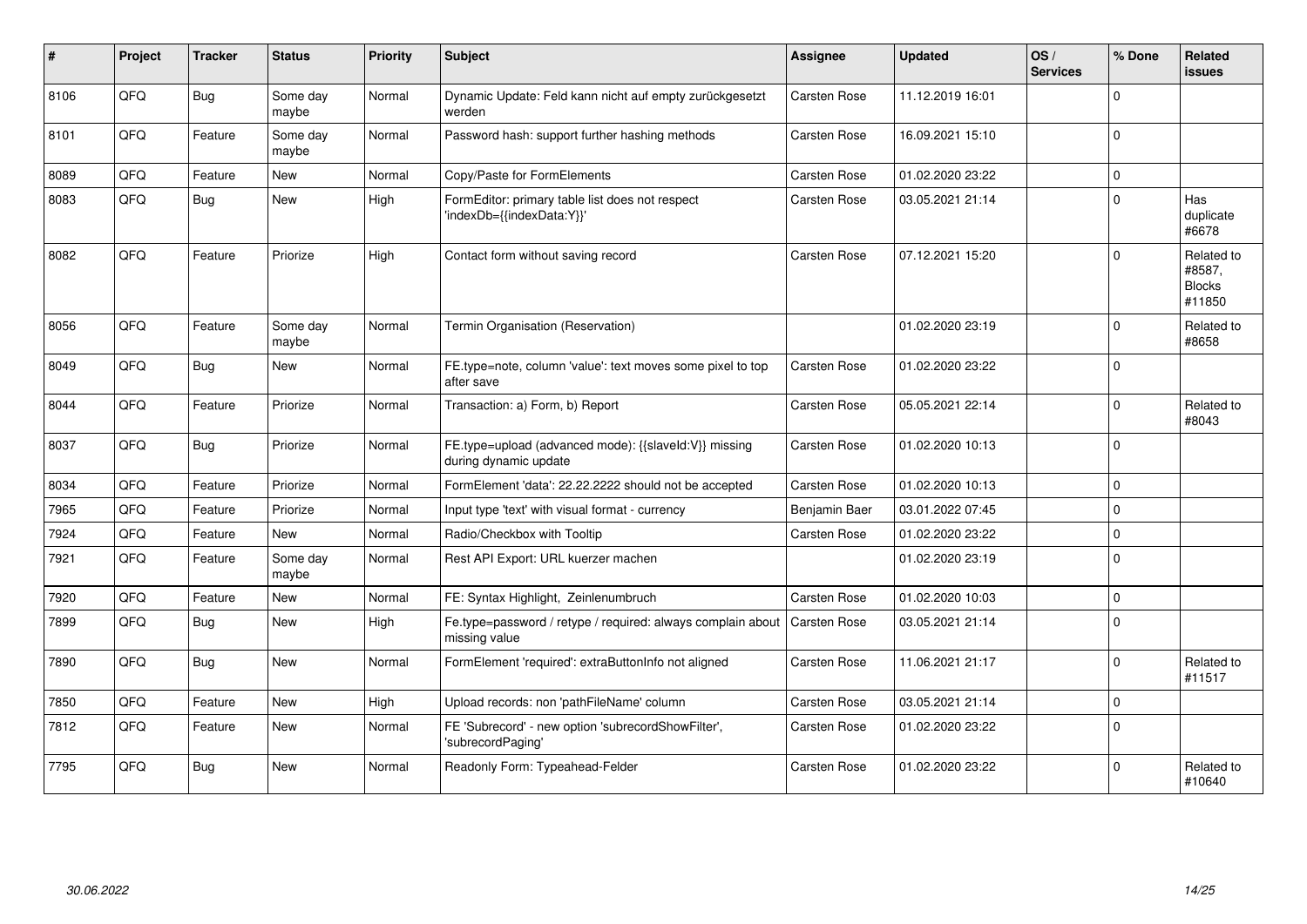| ∦    | Project | <b>Tracker</b> | <b>Status</b>     | <b>Priority</b> | Subject                                                                        | <b>Assignee</b>     | <b>Updated</b>   | OS/<br><b>Services</b> | % Done      | Related<br>issues                               |
|------|---------|----------------|-------------------|-----------------|--------------------------------------------------------------------------------|---------------------|------------------|------------------------|-------------|-------------------------------------------------|
| 8106 | QFQ     | <b>Bug</b>     | Some day<br>maybe | Normal          | Dynamic Update: Feld kann nicht auf empty zurückgesetzt<br>werden              | Carsten Rose        | 11.12.2019 16:01 |                        | $\Omega$    |                                                 |
| 8101 | QFQ     | Feature        | Some day<br>maybe | Normal          | Password hash: support further hashing methods                                 | Carsten Rose        | 16.09.2021 15:10 |                        | $\Omega$    |                                                 |
| 8089 | QFQ     | Feature        | New               | Normal          | Copy/Paste for FormElements                                                    | Carsten Rose        | 01.02.2020 23:22 |                        | $\Omega$    |                                                 |
| 8083 | QFQ     | <b>Bug</b>     | <b>New</b>        | High            | FormEditor: primary table list does not respect<br>'indexDb={{indexData:Y}}'   | Carsten Rose        | 03.05.2021 21:14 |                        | $\Omega$    | Has<br>duplicate<br>#6678                       |
| 8082 | QFQ     | Feature        | Priorize          | High            | Contact form without saving record                                             | Carsten Rose        | 07.12.2021 15:20 |                        | $\Omega$    | Related to<br>#8587,<br><b>Blocks</b><br>#11850 |
| 8056 | QFQ     | Feature        | Some day<br>maybe | Normal          | Termin Organisation (Reservation)                                              |                     | 01.02.2020 23:19 |                        | $\Omega$    | Related to<br>#8658                             |
| 8049 | QFQ     | <b>Bug</b>     | New               | Normal          | FE.type=note, column 'value': text moves some pixel to top<br>after save       | Carsten Rose        | 01.02.2020 23:22 |                        | $\Omega$    |                                                 |
| 8044 | QFQ     | Feature        | Priorize          | Normal          | Transaction: a) Form, b) Report                                                | Carsten Rose        | 05.05.2021 22:14 |                        | $\Omega$    | Related to<br>#8043                             |
| 8037 | QFQ     | Bug            | Priorize          | Normal          | FE.type=upload (advanced mode): {{slaveld:V}} missing<br>during dynamic update | Carsten Rose        | 01.02.2020 10:13 |                        | $\mathbf 0$ |                                                 |
| 8034 | QFQ     | Feature        | Priorize          | Normal          | FormElement 'data': 22.22.2222 should not be accepted                          | Carsten Rose        | 01.02.2020 10:13 |                        | $\mathbf 0$ |                                                 |
| 7965 | QFQ     | Feature        | Priorize          | Normal          | Input type 'text' with visual format - currency                                | Benjamin Baer       | 03.01.2022 07:45 |                        | $\mathbf 0$ |                                                 |
| 7924 | QFQ     | Feature        | <b>New</b>        | Normal          | Radio/Checkbox with Tooltip                                                    | Carsten Rose        | 01.02.2020 23:22 |                        | $\mathbf 0$ |                                                 |
| 7921 | QFQ     | Feature        | Some day<br>maybe | Normal          | Rest API Export: URL kuerzer machen                                            |                     | 01.02.2020 23:19 |                        | $\mathbf 0$ |                                                 |
| 7920 | QFQ     | Feature        | New               | Normal          | FE: Syntax Highlight, Zeinlenumbruch                                           | Carsten Rose        | 01.02.2020 10:03 |                        | $\mathbf 0$ |                                                 |
| 7899 | QFQ     | <b>Bug</b>     | New               | High            | Fe.type=password / retype / required: always complain about<br>missing value   | <b>Carsten Rose</b> | 03.05.2021 21:14 |                        | $\Omega$    |                                                 |
| 7890 | QFQ     | <b>Bug</b>     | New               | Normal          | FormElement 'required': extraButtonInfo not aligned                            | Carsten Rose        | 11.06.2021 21:17 |                        | $\mathbf 0$ | Related to<br>#11517                            |
| 7850 | QFQ     | Feature        | <b>New</b>        | High            | Upload records: non 'pathFileName' column                                      | <b>Carsten Rose</b> | 03.05.2021 21:14 |                        | $\Omega$    |                                                 |
| 7812 | QFQ     | Feature        | <b>New</b>        | Normal          | FE 'Subrecord' - new option 'subrecordShowFilter',<br>'subrecordPaging'        | Carsten Rose        | 01.02.2020 23:22 |                        | $\Omega$    |                                                 |
| 7795 | QFQ     | <b>Bug</b>     | New               | Normal          | Readonly Form: Typeahead-Felder                                                | <b>Carsten Rose</b> | 01.02.2020 23:22 |                        | $\Omega$    | Related to<br>#10640                            |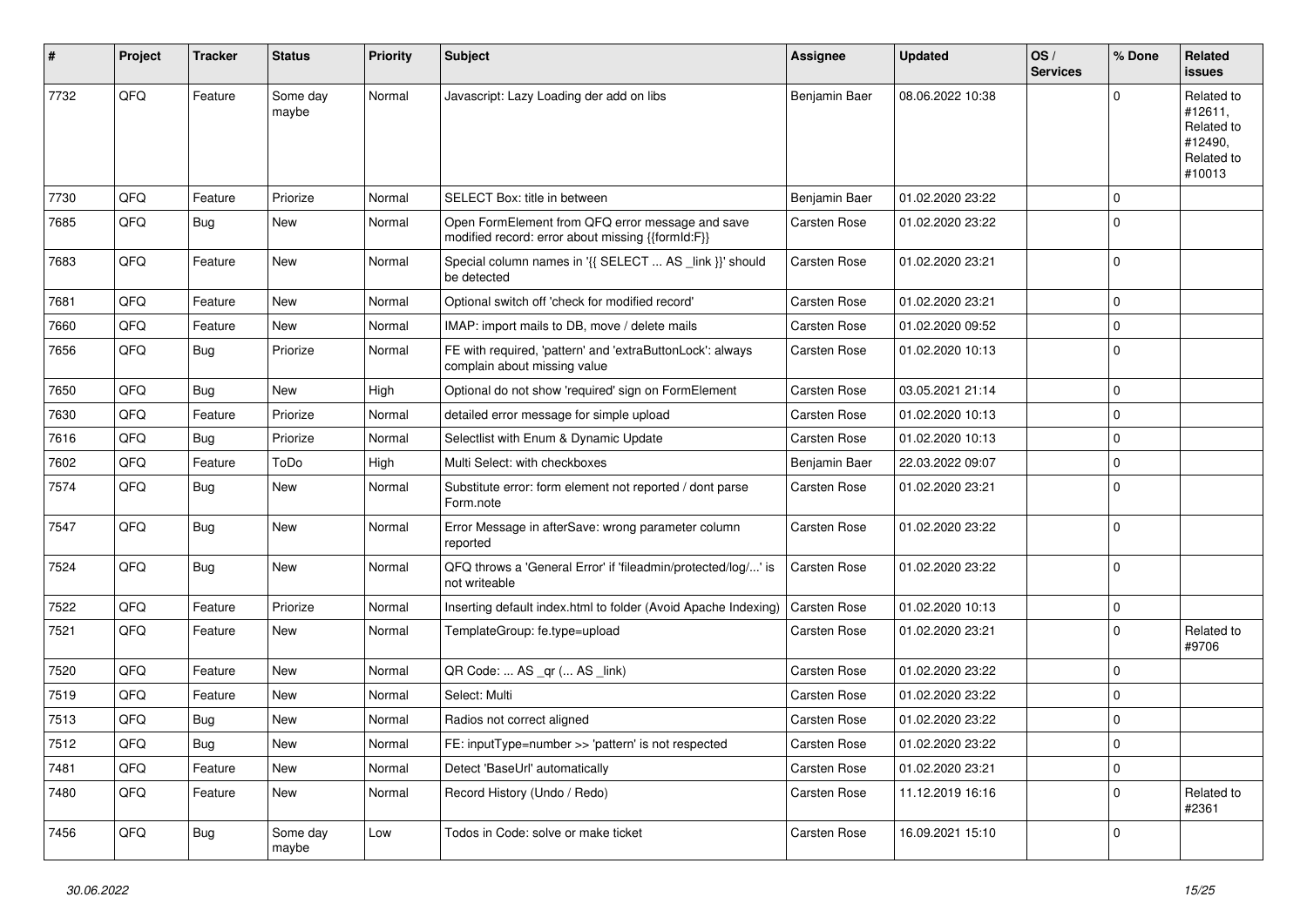| $\vert$ # | Project | <b>Tracker</b> | <b>Status</b>     | <b>Priority</b> | <b>Subject</b>                                                                                        | Assignee      | <b>Updated</b>   | OS/<br><b>Services</b> | % Done      | Related<br><b>issues</b>                                               |
|-----------|---------|----------------|-------------------|-----------------|-------------------------------------------------------------------------------------------------------|---------------|------------------|------------------------|-------------|------------------------------------------------------------------------|
| 7732      | QFQ     | Feature        | Some day<br>maybe | Normal          | Javascript: Lazy Loading der add on libs                                                              | Benjamin Baer | 08.06.2022 10:38 |                        | $\Omega$    | Related to<br>#12611,<br>Related to<br>#12490,<br>Related to<br>#10013 |
| 7730      | QFQ     | Feature        | Priorize          | Normal          | SELECT Box: title in between                                                                          | Benjamin Baer | 01.02.2020 23:22 |                        | $\mathbf 0$ |                                                                        |
| 7685      | QFQ     | Bug            | New               | Normal          | Open FormElement from QFQ error message and save<br>modified record: error about missing {{formId:F}} | Carsten Rose  | 01.02.2020 23:22 |                        | $\mathbf 0$ |                                                                        |
| 7683      | QFQ     | Feature        | New               | Normal          | Special column names in '{{ SELECT  AS _link }}' should<br>be detected                                | Carsten Rose  | 01.02.2020 23:21 |                        | $\mathbf 0$ |                                                                        |
| 7681      | QFQ     | Feature        | New               | Normal          | Optional switch off 'check for modified record'                                                       | Carsten Rose  | 01.02.2020 23:21 |                        | $\pmb{0}$   |                                                                        |
| 7660      | QFQ     | Feature        | New               | Normal          | IMAP: import mails to DB, move / delete mails                                                         | Carsten Rose  | 01.02.2020 09:52 |                        | $\mathbf 0$ |                                                                        |
| 7656      | QFQ     | <b>Bug</b>     | Priorize          | Normal          | FE with required, 'pattern' and 'extraButtonLock': always<br>complain about missing value             | Carsten Rose  | 01.02.2020 10:13 |                        | $\mathbf 0$ |                                                                        |
| 7650      | QFQ     | Bug            | New               | High            | Optional do not show 'required' sign on FormElement                                                   | Carsten Rose  | 03.05.2021 21:14 |                        | $\mathbf 0$ |                                                                        |
| 7630      | QFQ     | Feature        | Priorize          | Normal          | detailed error message for simple upload                                                              | Carsten Rose  | 01.02.2020 10:13 |                        | $\pmb{0}$   |                                                                        |
| 7616      | QFQ     | <b>Bug</b>     | Priorize          | Normal          | Selectlist with Enum & Dynamic Update                                                                 | Carsten Rose  | 01.02.2020 10:13 |                        | $\mathbf 0$ |                                                                        |
| 7602      | QFQ     | Feature        | ToDo              | High            | Multi Select: with checkboxes                                                                         | Benjamin Baer | 22.03.2022 09:07 |                        | $\mathbf 0$ |                                                                        |
| 7574      | QFQ     | Bug            | New               | Normal          | Substitute error: form element not reported / dont parse<br>Form.note                                 | Carsten Rose  | 01.02.2020 23:21 |                        | $\mathbf 0$ |                                                                        |
| 7547      | QFQ     | Bug            | New               | Normal          | Error Message in afterSave: wrong parameter column<br>reported                                        | Carsten Rose  | 01.02.2020 23:22 |                        | $\mathbf 0$ |                                                                        |
| 7524      | QFQ     | Bug            | New               | Normal          | QFQ throws a 'General Error' if 'fileadmin/protected/log/' is<br>not writeable                        | Carsten Rose  | 01.02.2020 23:22 |                        | $\mathbf 0$ |                                                                        |
| 7522      | QFQ     | Feature        | Priorize          | Normal          | Inserting default index.html to folder (Avoid Apache Indexing)                                        | Carsten Rose  | 01.02.2020 10:13 |                        | $\mathbf 0$ |                                                                        |
| 7521      | QFQ     | Feature        | New               | Normal          | TemplateGroup: fe.type=upload                                                                         | Carsten Rose  | 01.02.2020 23:21 |                        | $\mathbf 0$ | Related to<br>#9706                                                    |
| 7520      | QFQ     | Feature        | <b>New</b>        | Normal          | QR Code:  AS _qr ( AS _link)                                                                          | Carsten Rose  | 01.02.2020 23:22 |                        | $\mathbf 0$ |                                                                        |
| 7519      | QFQ     | Feature        | New               | Normal          | Select: Multi                                                                                         | Carsten Rose  | 01.02.2020 23:22 |                        | $\mathbf 0$ |                                                                        |
| 7513      | QFQ     | <b>Bug</b>     | New               | Normal          | Radios not correct aligned                                                                            | Carsten Rose  | 01.02.2020 23:22 |                        | $\mathbf 0$ |                                                                        |
| 7512      | QFQ     | Bug            | <b>New</b>        | Normal          | FE: inputType=number >> 'pattern' is not respected                                                    | Carsten Rose  | 01.02.2020 23:22 |                        | 0           |                                                                        |
| 7481      | QFQ     | Feature        | New               | Normal          | Detect 'BaseUrl' automatically                                                                        | Carsten Rose  | 01.02.2020 23:21 |                        | $\pmb{0}$   |                                                                        |
| 7480      | QFQ     | Feature        | New               | Normal          | Record History (Undo / Redo)                                                                          | Carsten Rose  | 11.12.2019 16:16 |                        | $\mathbf 0$ | Related to<br>#2361                                                    |
| 7456      | QFQ     | <b>Bug</b>     | Some day<br>maybe | Low             | Todos in Code: solve or make ticket                                                                   | Carsten Rose  | 16.09.2021 15:10 |                        | 0           |                                                                        |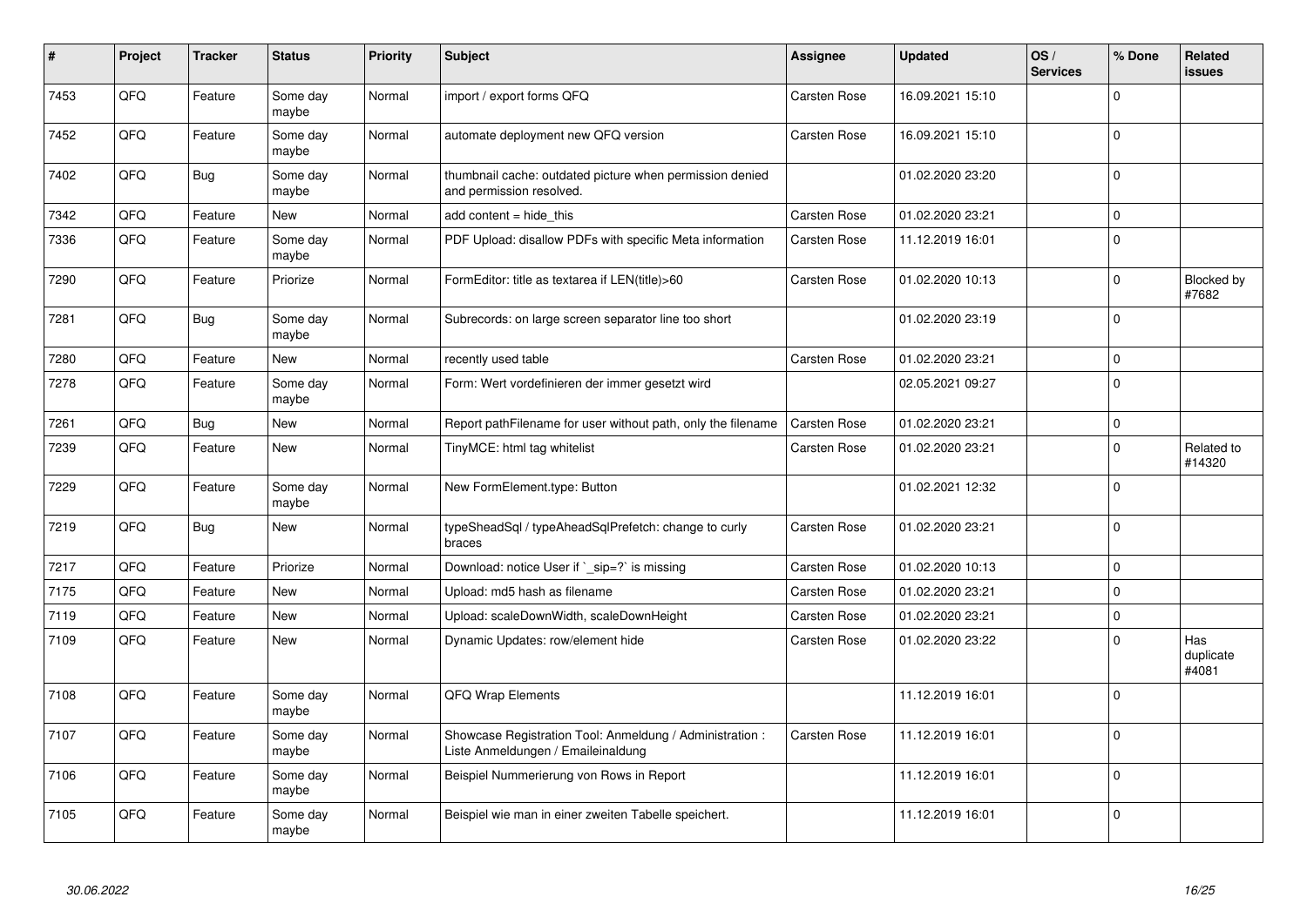| #    | Project | <b>Tracker</b> | <b>Status</b>     | <b>Priority</b> | <b>Subject</b>                                                                                 | <b>Assignee</b>     | <b>Updated</b>   | OS/<br><b>Services</b> | % Done              | Related<br><b>issues</b>  |
|------|---------|----------------|-------------------|-----------------|------------------------------------------------------------------------------------------------|---------------------|------------------|------------------------|---------------------|---------------------------|
| 7453 | QFQ     | Feature        | Some day<br>maybe | Normal          | import / export forms QFQ                                                                      | Carsten Rose        | 16.09.2021 15:10 |                        | $\Omega$            |                           |
| 7452 | QFQ     | Feature        | Some day<br>maybe | Normal          | automate deployment new QFQ version                                                            | Carsten Rose        | 16.09.2021 15:10 |                        | $\mathbf 0$         |                           |
| 7402 | QFQ     | <b>Bug</b>     | Some day<br>maybe | Normal          | thumbnail cache: outdated picture when permission denied<br>and permission resolved.           |                     | 01.02.2020 23:20 |                        | $\mathbf 0$         |                           |
| 7342 | QFQ     | Feature        | New               | Normal          | add content = hide this                                                                        | Carsten Rose        | 01.02.2020 23:21 |                        | $\mathbf 0$         |                           |
| 7336 | QFQ     | Feature        | Some day<br>maybe | Normal          | PDF Upload: disallow PDFs with specific Meta information                                       | Carsten Rose        | 11.12.2019 16:01 |                        | $\mathbf 0$         |                           |
| 7290 | QFQ     | Feature        | Priorize          | Normal          | FormEditor: title as textarea if LEN(title)>60                                                 | Carsten Rose        | 01.02.2020 10:13 |                        | $\Omega$            | Blocked by<br>#7682       |
| 7281 | QFQ     | <b>Bug</b>     | Some day<br>maybe | Normal          | Subrecords: on large screen separator line too short                                           |                     | 01.02.2020 23:19 |                        | $\mathbf 0$         |                           |
| 7280 | QFQ     | Feature        | <b>New</b>        | Normal          | recently used table                                                                            | <b>Carsten Rose</b> | 01.02.2020 23:21 |                        | $\mathsf{O}\xspace$ |                           |
| 7278 | QFQ     | Feature        | Some day<br>maybe | Normal          | Form: Wert vordefinieren der immer gesetzt wird                                                |                     | 02.05.2021 09:27 |                        | $\mathbf 0$         |                           |
| 7261 | QFQ     | <b>Bug</b>     | <b>New</b>        | Normal          | Report pathFilename for user without path, only the filename                                   | Carsten Rose        | 01.02.2020 23:21 |                        | $\mathsf{O}\xspace$ |                           |
| 7239 | QFQ     | Feature        | <b>New</b>        | Normal          | TinyMCE: html tag whitelist                                                                    | Carsten Rose        | 01.02.2020 23:21 |                        | $\mathbf 0$         | Related to<br>#14320      |
| 7229 | QFQ     | Feature        | Some day<br>maybe | Normal          | New FormElement.type: Button                                                                   |                     | 01.02.2021 12:32 |                        | $\mathbf 0$         |                           |
| 7219 | QFQ     | <b>Bug</b>     | <b>New</b>        | Normal          | typeSheadSql / typeAheadSqlPrefetch: change to curly<br>braces                                 | Carsten Rose        | 01.02.2020 23:21 |                        | $\mathbf 0$         |                           |
| 7217 | QFQ     | Feature        | Priorize          | Normal          | Download: notice User if `_sip=?` is missing                                                   | Carsten Rose        | 01.02.2020 10:13 |                        | $\Omega$            |                           |
| 7175 | QFQ     | Feature        | New               | Normal          | Upload: md5 hash as filename                                                                   | Carsten Rose        | 01.02.2020 23:21 |                        | $\mathbf 0$         |                           |
| 7119 | QFQ     | Feature        | <b>New</b>        | Normal          | Upload: scaleDownWidth, scaleDownHeight                                                        | Carsten Rose        | 01.02.2020 23:21 |                        | $\mathbf 0$         |                           |
| 7109 | QFQ     | Feature        | <b>New</b>        | Normal          | Dynamic Updates: row/element hide                                                              | Carsten Rose        | 01.02.2020 23:22 |                        | $\mathbf 0$         | Has<br>duplicate<br>#4081 |
| 7108 | QFQ     | Feature        | Some day<br>maybe | Normal          | QFQ Wrap Elements                                                                              |                     | 11.12.2019 16:01 |                        | $\mathbf 0$         |                           |
| 7107 | QFQ     | Feature        | Some day<br>maybe | Normal          | Showcase Registration Tool: Anmeldung / Administration :<br>Liste Anmeldungen / Emaileinaldung | Carsten Rose        | 11.12.2019 16:01 |                        | $\mathbf 0$         |                           |
| 7106 | QFQ     | Feature        | Some day<br>maybe | Normal          | Beispiel Nummerierung von Rows in Report                                                       |                     | 11.12.2019 16:01 |                        | $\mathbf 0$         |                           |
| 7105 | QFQ     | Feature        | Some day<br>maybe | Normal          | Beispiel wie man in einer zweiten Tabelle speichert.                                           |                     | 11.12.2019 16:01 |                        | $\mathbf 0$         |                           |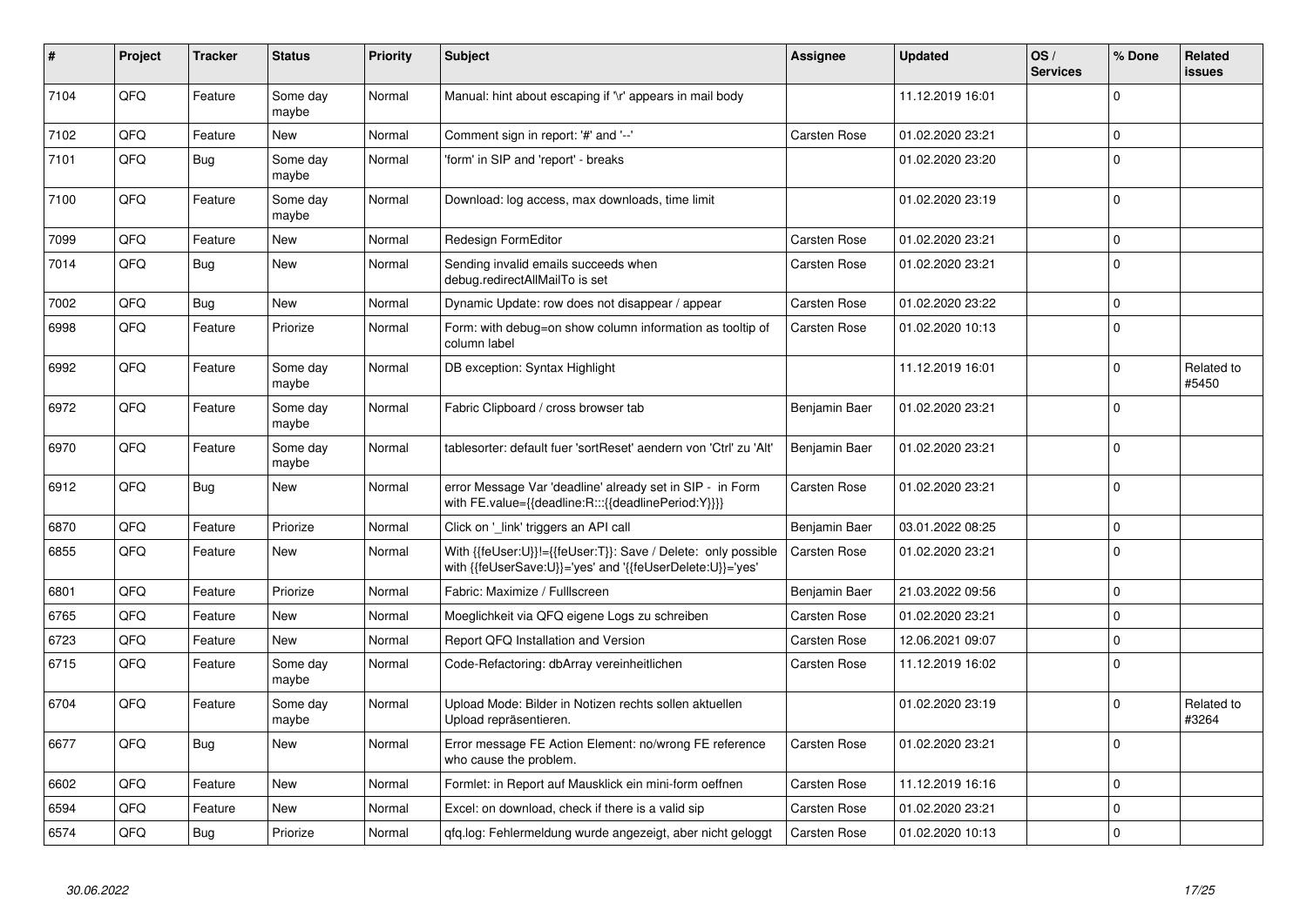| #    | Project | <b>Tracker</b> | <b>Status</b>     | <b>Priority</b> | <b>Subject</b>                                                                                                             | <b>Assignee</b>     | <b>Updated</b>   | OS/<br><b>Services</b> | % Done       | Related<br>issues   |
|------|---------|----------------|-------------------|-----------------|----------------------------------------------------------------------------------------------------------------------------|---------------------|------------------|------------------------|--------------|---------------------|
| 7104 | QFQ     | Feature        | Some day<br>maybe | Normal          | Manual: hint about escaping if '\r' appears in mail body                                                                   |                     | 11.12.2019 16:01 |                        | $\Omega$     |                     |
| 7102 | QFQ     | Feature        | <b>New</b>        | Normal          | Comment sign in report: '#' and '--'                                                                                       | <b>Carsten Rose</b> | 01.02.2020 23:21 |                        | $\mathbf 0$  |                     |
| 7101 | QFQ     | <b>Bug</b>     | Some day<br>maybe | Normal          | 'form' in SIP and 'report' - breaks                                                                                        |                     | 01.02.2020 23:20 |                        | $\Omega$     |                     |
| 7100 | QFQ     | Feature        | Some day<br>maybe | Normal          | Download: log access, max downloads, time limit                                                                            |                     | 01.02.2020 23:19 |                        | $\Omega$     |                     |
| 7099 | QFQ     | Feature        | <b>New</b>        | Normal          | Redesign FormEditor                                                                                                        | Carsten Rose        | 01.02.2020 23:21 |                        | $\mathbf 0$  |                     |
| 7014 | QFQ     | <b>Bug</b>     | <b>New</b>        | Normal          | Sending invalid emails succeeds when<br>debug.redirectAllMailTo is set                                                     | Carsten Rose        | 01.02.2020 23:21 |                        | $\Omega$     |                     |
| 7002 | QFQ     | <b>Bug</b>     | New               | Normal          | Dynamic Update: row does not disappear / appear                                                                            | Carsten Rose        | 01.02.2020 23:22 |                        | $\Omega$     |                     |
| 6998 | QFQ     | Feature        | Priorize          | Normal          | Form: with debug=on show column information as tooltip of<br>column label                                                  | Carsten Rose        | 01.02.2020 10:13 |                        | $\Omega$     |                     |
| 6992 | QFQ     | Feature        | Some day<br>maybe | Normal          | DB exception: Syntax Highlight                                                                                             |                     | 11.12.2019 16:01 |                        | $\mathbf 0$  | Related to<br>#5450 |
| 6972 | QFQ     | Feature        | Some day<br>maybe | Normal          | Fabric Clipboard / cross browser tab                                                                                       | Benjamin Baer       | 01.02.2020 23:21 |                        | $\mathbf{0}$ |                     |
| 6970 | QFQ     | Feature        | Some day<br>maybe | Normal          | tablesorter: default fuer 'sortReset' aendern von 'Ctrl' zu 'Alt'                                                          | Benjamin Baer       | 01.02.2020 23:21 |                        | $\mathbf 0$  |                     |
| 6912 | QFQ     | Bug            | New               | Normal          | error Message Var 'deadline' already set in SIP - in Form<br>with FE.value={{deadline:R:::{{deadlinePeriod:Y}}}}           | Carsten Rose        | 01.02.2020 23:21 |                        | l 0          |                     |
| 6870 | QFQ     | Feature        | Priorize          | Normal          | Click on 'link' triggers an API call                                                                                       | Benjamin Baer       | 03.01.2022 08:25 |                        | $\mathbf 0$  |                     |
| 6855 | QFQ     | Feature        | New               | Normal          | With {{feUser:U}}!={{feUser:T}}: Save / Delete: only possible<br>with {{feUserSave:U}}='yes' and '{{feUserDelete:U}}='yes' | Carsten Rose        | 01.02.2020 23:21 |                        | I٥           |                     |
| 6801 | QFQ     | Feature        | Priorize          | Normal          | Fabric: Maximize / Fulllscreen                                                                                             | Benjamin Baer       | 21.03.2022 09:56 |                        | $\Omega$     |                     |
| 6765 | QFQ     | Feature        | <b>New</b>        | Normal          | Moeglichkeit via QFQ eigene Logs zu schreiben                                                                              | Carsten Rose        | 01.02.2020 23:21 |                        | l 0          |                     |
| 6723 | QFQ     | Feature        | <b>New</b>        | Normal          | Report QFQ Installation and Version                                                                                        | <b>Carsten Rose</b> | 12.06.2021 09:07 |                        | $\mathbf 0$  |                     |
| 6715 | QFQ     | Feature        | Some day<br>maybe | Normal          | Code-Refactoring: dbArray vereinheitlichen                                                                                 | Carsten Rose        | 11.12.2019 16:02 |                        | I٥           |                     |
| 6704 | QFQ     | Feature        | Some dav<br>maybe | Normal          | Upload Mode: Bilder in Notizen rechts sollen aktuellen<br>Upload repräsentieren.                                           |                     | 01.02.2020 23:19 |                        | $\Omega$     | Related to<br>#3264 |
| 6677 | QFQ     | <b>Bug</b>     | <b>New</b>        | Normal          | Error message FE Action Element: no/wrong FE reference<br>who cause the problem.                                           | Carsten Rose        | 01.02.2020 23:21 |                        | l 0          |                     |
| 6602 | QFQ     | Feature        | <b>New</b>        | Normal          | Formlet: in Report auf Mausklick ein mini-form oeffnen                                                                     | Carsten Rose        | 11.12.2019 16:16 |                        | $\Omega$     |                     |
| 6594 | QFQ     | Feature        | New               | Normal          | Excel: on download, check if there is a valid sip                                                                          | Carsten Rose        | 01.02.2020 23:21 |                        | l 0          |                     |
| 6574 | QFQ     | <b>Bug</b>     | Priorize          | Normal          | gfg.log: Fehlermeldung wurde angezeigt, aber nicht geloggt                                                                 | Carsten Rose        | 01.02.2020 10:13 |                        | $\Omega$     |                     |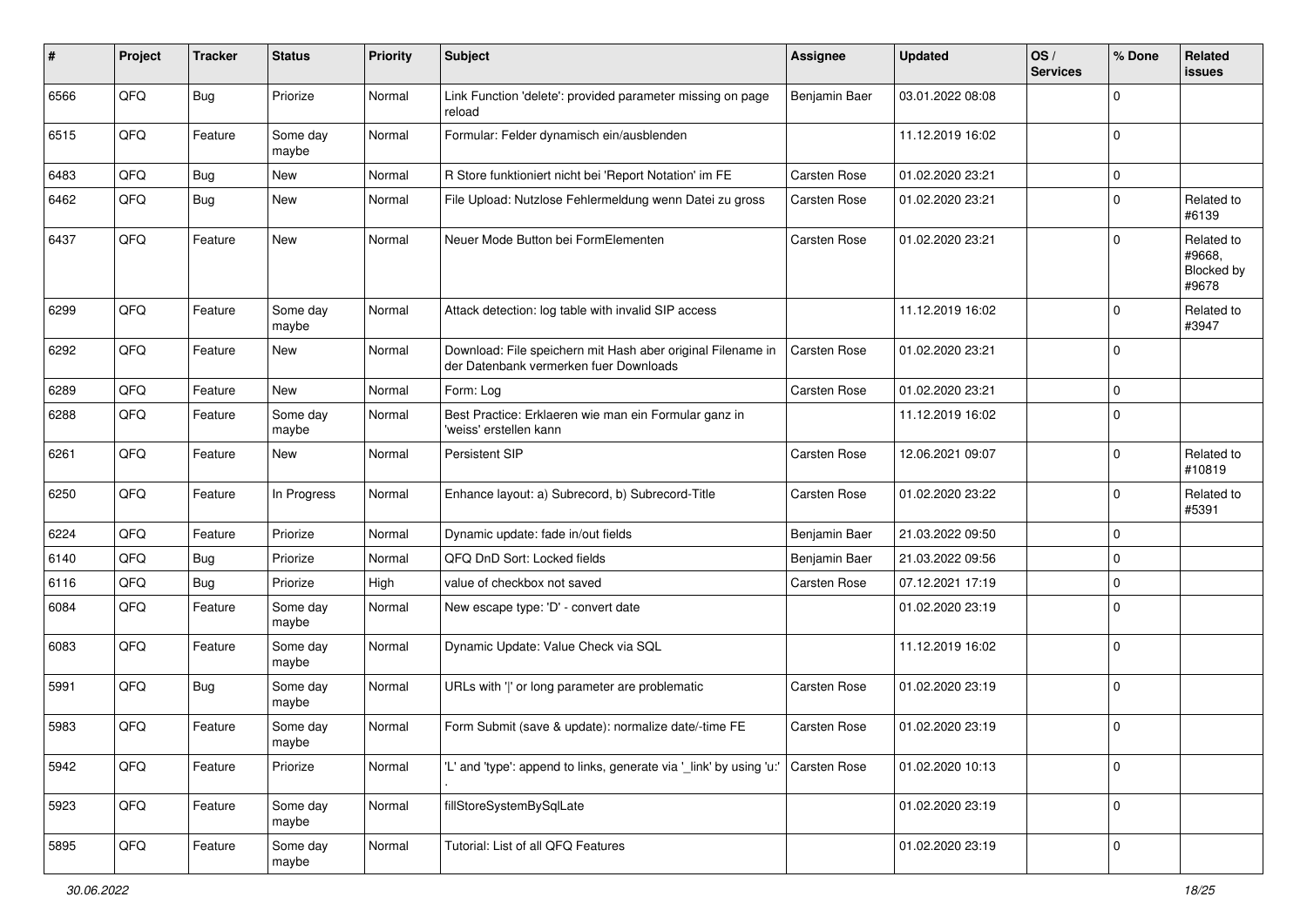| #    | Project | <b>Tracker</b> | <b>Status</b>     | <b>Priority</b> | Subject                                                                                               | <b>Assignee</b> | <b>Updated</b>   | OS/<br><b>Services</b> | % Done      | Related<br>issues                           |
|------|---------|----------------|-------------------|-----------------|-------------------------------------------------------------------------------------------------------|-----------------|------------------|------------------------|-------------|---------------------------------------------|
| 6566 | QFQ     | <b>Bug</b>     | Priorize          | Normal          | Link Function 'delete': provided parameter missing on page<br>reload                                  | Benjamin Baer   | 03.01.2022 08:08 |                        | $\mathbf 0$ |                                             |
| 6515 | QFQ     | Feature        | Some day<br>maybe | Normal          | Formular: Felder dynamisch ein/ausblenden                                                             |                 | 11.12.2019 16:02 |                        | $\mathbf 0$ |                                             |
| 6483 | QFQ     | <b>Bug</b>     | <b>New</b>        | Normal          | R Store funktioniert nicht bei 'Report Notation' im FE                                                | Carsten Rose    | 01.02.2020 23:21 |                        | $\mathbf 0$ |                                             |
| 6462 | QFQ     | Bug            | New               | Normal          | File Upload: Nutzlose Fehlermeldung wenn Datei zu gross                                               | Carsten Rose    | 01.02.2020 23:21 |                        | $\mathbf 0$ | Related to<br>#6139                         |
| 6437 | QFQ     | Feature        | <b>New</b>        | Normal          | Neuer Mode Button bei FormElementen                                                                   | Carsten Rose    | 01.02.2020 23:21 |                        | $\mathbf 0$ | Related to<br>#9668,<br>Blocked by<br>#9678 |
| 6299 | QFQ     | Feature        | Some day<br>maybe | Normal          | Attack detection: log table with invalid SIP access                                                   |                 | 11.12.2019 16:02 |                        | $\mathbf 0$ | Related to<br>#3947                         |
| 6292 | QFQ     | Feature        | New               | Normal          | Download: File speichern mit Hash aber original Filename in<br>der Datenbank vermerken fuer Downloads | Carsten Rose    | 01.02.2020 23:21 |                        | $\mathbf 0$ |                                             |
| 6289 | QFQ     | Feature        | <b>New</b>        | Normal          | Form: Log                                                                                             | Carsten Rose    | 01.02.2020 23:21 |                        | $\mathbf 0$ |                                             |
| 6288 | QFQ     | Feature        | Some day<br>maybe | Normal          | Best Practice: Erklaeren wie man ein Formular ganz in<br>'weiss' erstellen kann                       |                 | 11.12.2019 16:02 |                        | $\mathbf 0$ |                                             |
| 6261 | QFQ     | Feature        | New               | Normal          | Persistent SIP                                                                                        | Carsten Rose    | 12.06.2021 09:07 |                        | $\mathbf 0$ | Related to<br>#10819                        |
| 6250 | QFQ     | Feature        | In Progress       | Normal          | Enhance layout: a) Subrecord, b) Subrecord-Title                                                      | Carsten Rose    | 01.02.2020 23:22 |                        | $\mathbf 0$ | Related to<br>#5391                         |
| 6224 | QFQ     | Feature        | Priorize          | Normal          | Dynamic update: fade in/out fields                                                                    | Benjamin Baer   | 21.03.2022 09:50 |                        | $\mathbf 0$ |                                             |
| 6140 | QFQ     | Bug            | Priorize          | Normal          | QFQ DnD Sort: Locked fields                                                                           | Benjamin Baer   | 21.03.2022 09:56 |                        | $\mathbf 0$ |                                             |
| 6116 | QFQ     | Bug            | Priorize          | High            | value of checkbox not saved                                                                           | Carsten Rose    | 07.12.2021 17:19 |                        | $\mathbf 0$ |                                             |
| 6084 | QFQ     | Feature        | Some day<br>maybe | Normal          | New escape type: 'D' - convert date                                                                   |                 | 01.02.2020 23:19 |                        | $\mathbf 0$ |                                             |
| 6083 | QFQ     | Feature        | Some day<br>maybe | Normal          | Dynamic Update: Value Check via SQL                                                                   |                 | 11.12.2019 16:02 |                        | $\mathbf 0$ |                                             |
| 5991 | QFQ     | Bug            | Some day<br>maybe | Normal          | URLs with ' ' or long parameter are problematic                                                       | Carsten Rose    | 01.02.2020 23:19 |                        | $\mathbf 0$ |                                             |
| 5983 | QFQ     | Feature        | Some day<br>maybe | Normal          | Form Submit (save & update): normalize date/-time FE                                                  | Carsten Rose    | 01.02.2020 23:19 |                        | $\mathbf 0$ |                                             |
| 5942 | QFQ     | Feature        | Priorize          | Normal          | 'L' and 'type': append to links, generate via 'link' by using 'u:' Carsten Rose                       |                 | 01.02.2020 10:13 |                        | $\mathbf 0$ |                                             |
| 5923 | QFO     | Feature        | Some day<br>maybe | Normal          | fillStoreSystemBySqlLate                                                                              |                 | 01.02.2020 23:19 |                        | $\mathbf 0$ |                                             |
| 5895 | QFO     | Feature        | Some day<br>maybe | Normal          | Tutorial: List of all QFQ Features                                                                    |                 | 01.02.2020 23:19 |                        | $\mathbf 0$ |                                             |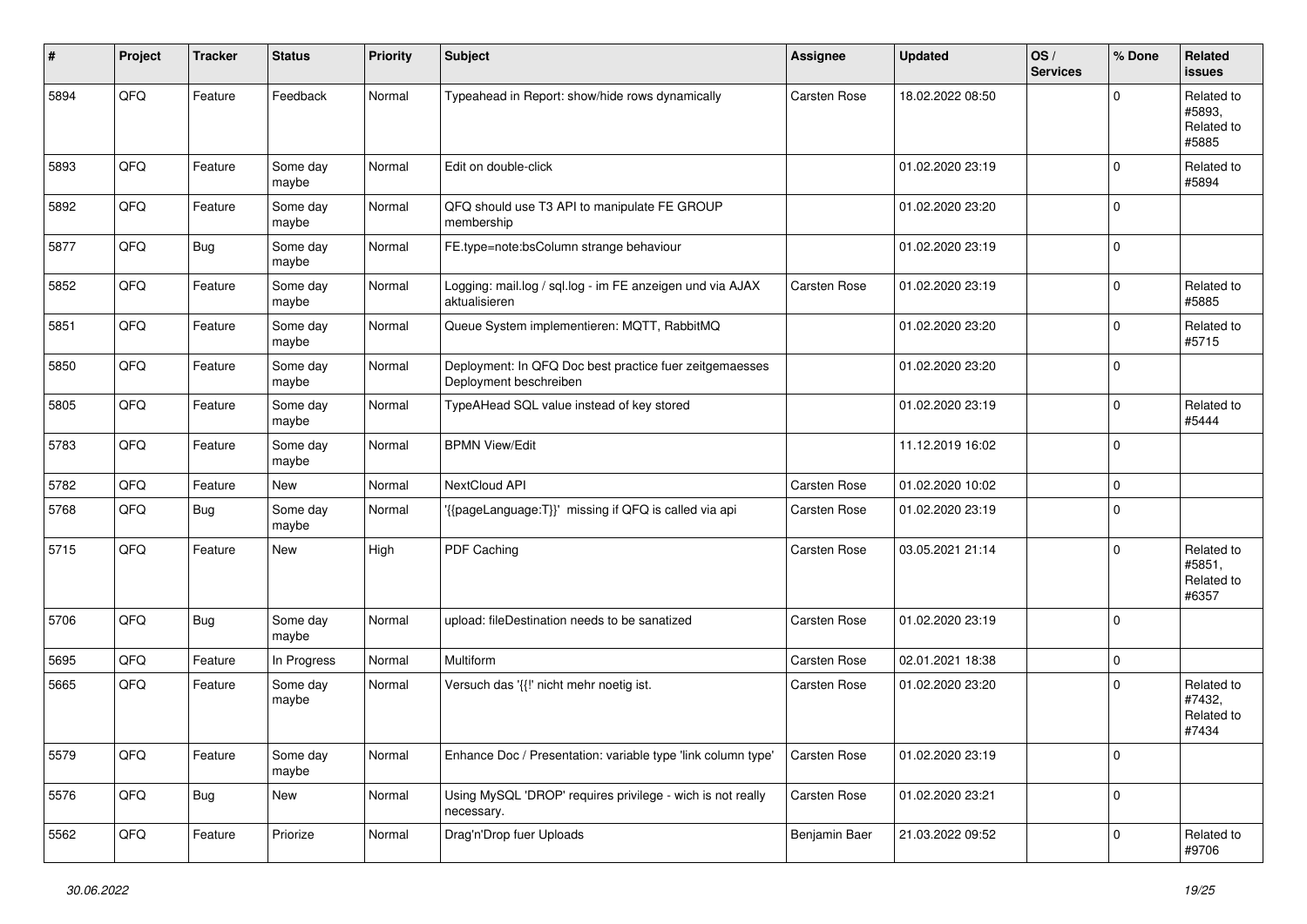| #    | Project | <b>Tracker</b> | <b>Status</b>     | <b>Priority</b> | <b>Subject</b>                                                                    | <b>Assignee</b> | <b>Updated</b>   | OS/<br><b>Services</b> | % Done      | Related<br><b>issues</b>                    |
|------|---------|----------------|-------------------|-----------------|-----------------------------------------------------------------------------------|-----------------|------------------|------------------------|-------------|---------------------------------------------|
| 5894 | QFQ     | Feature        | Feedback          | Normal          | Typeahead in Report: show/hide rows dynamically                                   | Carsten Rose    | 18.02.2022 08:50 |                        | $\Omega$    | Related to<br>#5893.<br>Related to<br>#5885 |
| 5893 | QFQ     | Feature        | Some day<br>maybe | Normal          | Edit on double-click                                                              |                 | 01.02.2020 23:19 |                        | $\mathbf 0$ | Related to<br>#5894                         |
| 5892 | QFQ     | Feature        | Some day<br>maybe | Normal          | QFQ should use T3 API to manipulate FE GROUP<br>membership                        |                 | 01.02.2020 23:20 |                        | $\mathbf 0$ |                                             |
| 5877 | QFQ     | <b>Bug</b>     | Some day<br>maybe | Normal          | FE.type=note:bsColumn strange behaviour                                           |                 | 01.02.2020 23:19 |                        | $\mathbf 0$ |                                             |
| 5852 | QFQ     | Feature        | Some day<br>maybe | Normal          | Logging: mail.log / sql.log - im FE anzeigen und via AJAX<br>aktualisieren        | Carsten Rose    | 01.02.2020 23:19 |                        | $\Omega$    | Related to<br>#5885                         |
| 5851 | QFQ     | Feature        | Some day<br>maybe | Normal          | Queue System implementieren: MQTT, RabbitMQ                                       |                 | 01.02.2020 23:20 |                        | $\mathbf 0$ | Related to<br>#5715                         |
| 5850 | QFQ     | Feature        | Some day<br>maybe | Normal          | Deployment: In QFQ Doc best practice fuer zeitgemaesses<br>Deployment beschreiben |                 | 01.02.2020 23:20 |                        | $\mathbf 0$ |                                             |
| 5805 | QFQ     | Feature        | Some day<br>maybe | Normal          | TypeAHead SQL value instead of key stored                                         |                 | 01.02.2020 23:19 |                        | $\mathbf 0$ | Related to<br>#5444                         |
| 5783 | QFQ     | Feature        | Some day<br>maybe | Normal          | <b>BPMN View/Edit</b>                                                             |                 | 11.12.2019 16:02 |                        | $\mathbf 0$ |                                             |
| 5782 | QFQ     | Feature        | New               | Normal          | NextCloud API                                                                     | Carsten Rose    | 01.02.2020 10:02 |                        | $\mathbf 0$ |                                             |
| 5768 | QFQ     | Bug            | Some day<br>maybe | Normal          | '{{pageLanguage:T}}' missing if QFQ is called via api                             | Carsten Rose    | 01.02.2020 23:19 |                        | $\mathbf 0$ |                                             |
| 5715 | QFQ     | Feature        | New               | High            | PDF Caching                                                                       | Carsten Rose    | 03.05.2021 21:14 |                        | $\Omega$    | Related to<br>#5851,<br>Related to<br>#6357 |
| 5706 | QFQ     | Bug            | Some day<br>maybe | Normal          | upload: fileDestination needs to be sanatized                                     | Carsten Rose    | 01.02.2020 23:19 |                        | $\mathbf 0$ |                                             |
| 5695 | QFQ     | Feature        | In Progress       | Normal          | Multiform                                                                         | Carsten Rose    | 02.01.2021 18:38 |                        | $\mathbf 0$ |                                             |
| 5665 | QFQ     | Feature        | Some day<br>maybe | Normal          | Versuch das '{{!' nicht mehr noetig ist.                                          | Carsten Rose    | 01.02.2020 23:20 |                        | $\mathbf 0$ | Related to<br>#7432,<br>Related to<br>#7434 |
| 5579 | QFG     | Feature        | Some day<br>maybe | Normal          | Enhance Doc / Presentation: variable type 'link column type'                      | Carsten Rose    | 01.02.2020 23:19 |                        | $\mathbf 0$ |                                             |
| 5576 | QFO     | <b>Bug</b>     | New               | Normal          | Using MySQL 'DROP' requires privilege - wich is not really<br>necessary.          | Carsten Rose    | 01.02.2020 23:21 |                        | $\mathbf 0$ |                                             |
| 5562 | QFQ     | Feature        | Priorize          | Normal          | Drag'n'Drop fuer Uploads                                                          | Benjamin Baer   | 21.03.2022 09:52 |                        | $\mathbf 0$ | Related to<br>#9706                         |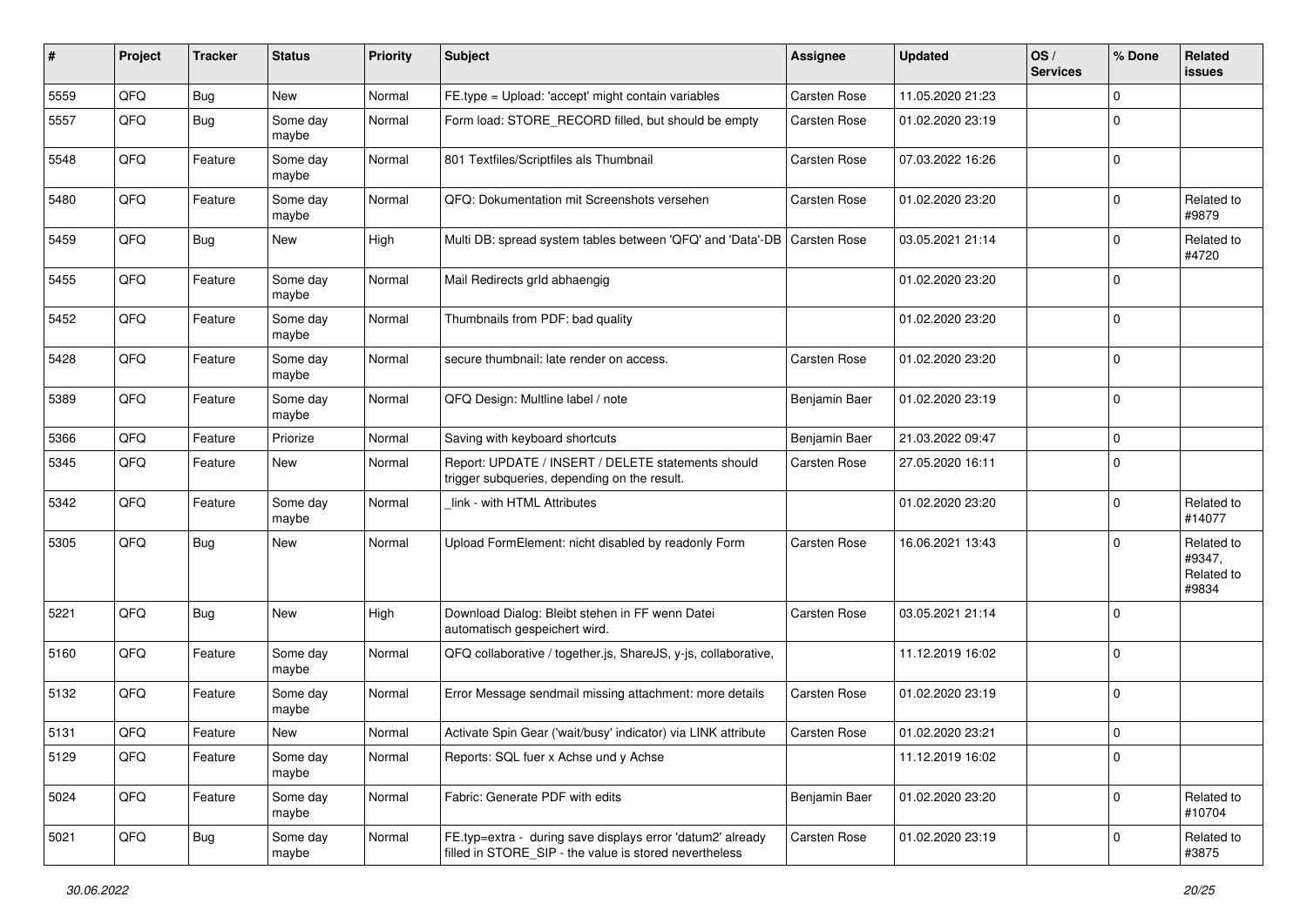| #    | Project | <b>Tracker</b> | <b>Status</b>     | <b>Priority</b> | <b>Subject</b>                                                                                                       | <b>Assignee</b>     | <b>Updated</b>   | OS/<br><b>Services</b> | % Done      | Related<br><b>issues</b>                    |
|------|---------|----------------|-------------------|-----------------|----------------------------------------------------------------------------------------------------------------------|---------------------|------------------|------------------------|-------------|---------------------------------------------|
| 5559 | QFQ     | Bug            | New               | Normal          | FE.type = Upload: 'accept' might contain variables                                                                   | Carsten Rose        | 11.05.2020 21:23 |                        | $\Omega$    |                                             |
| 5557 | QFQ     | <b>Bug</b>     | Some day<br>maybe | Normal          | Form load: STORE_RECORD filled, but should be empty                                                                  | Carsten Rose        | 01.02.2020 23:19 |                        | $\mathbf 0$ |                                             |
| 5548 | QFQ     | Feature        | Some day<br>maybe | Normal          | 801 Textfiles/Scriptfiles als Thumbnail                                                                              | Carsten Rose        | 07.03.2022 16:26 |                        | $\mathbf 0$ |                                             |
| 5480 | QFQ     | Feature        | Some day<br>maybe | Normal          | QFQ: Dokumentation mit Screenshots versehen                                                                          | Carsten Rose        | 01.02.2020 23:20 |                        | $\mathbf 0$ | Related to<br>#9879                         |
| 5459 | QFQ     | <b>Bug</b>     | <b>New</b>        | High            | Multi DB: spread system tables between 'QFQ' and 'Data'-DB                                                           | <b>Carsten Rose</b> | 03.05.2021 21:14 |                        | $\mathbf 0$ | Related to<br>#4720                         |
| 5455 | QFQ     | Feature        | Some day<br>maybe | Normal          | Mail Redirects grld abhaengig                                                                                        |                     | 01.02.2020 23:20 |                        | $\mathbf 0$ |                                             |
| 5452 | QFQ     | Feature        | Some day<br>maybe | Normal          | Thumbnails from PDF: bad quality                                                                                     |                     | 01.02.2020 23:20 |                        | $\mathbf 0$ |                                             |
| 5428 | QFQ     | Feature        | Some day<br>maybe | Normal          | secure thumbnail: late render on access.                                                                             | Carsten Rose        | 01.02.2020 23:20 |                        | $\mathbf 0$ |                                             |
| 5389 | QFQ     | Feature        | Some day<br>maybe | Normal          | QFQ Design: Multline label / note                                                                                    | Benjamin Baer       | 01.02.2020 23:19 |                        | $\mathbf 0$ |                                             |
| 5366 | QFQ     | Feature        | Priorize          | Normal          | Saving with keyboard shortcuts                                                                                       | Benjamin Baer       | 21.03.2022 09:47 |                        | $\mathbf 0$ |                                             |
| 5345 | QFQ     | Feature        | <b>New</b>        | Normal          | Report: UPDATE / INSERT / DELETE statements should<br>trigger subqueries, depending on the result.                   | Carsten Rose        | 27.05.2020 16:11 |                        | $\mathbf 0$ |                                             |
| 5342 | QFQ     | Feature        | Some day<br>maybe | Normal          | link - with HTML Attributes                                                                                          |                     | 01.02.2020 23:20 |                        | $\mathbf 0$ | Related to<br>#14077                        |
| 5305 | QFQ     | <b>Bug</b>     | New               | Normal          | Upload FormElement: nicht disabled by readonly Form                                                                  | <b>Carsten Rose</b> | 16.06.2021 13:43 |                        | $\mathbf 0$ | Related to<br>#9347,<br>Related to<br>#9834 |
| 5221 | QFQ     | <b>Bug</b>     | New               | High            | Download Dialog: Bleibt stehen in FF wenn Datei<br>automatisch gespeichert wird.                                     | Carsten Rose        | 03.05.2021 21:14 |                        | $\mathbf 0$ |                                             |
| 5160 | QFQ     | Feature        | Some day<br>maybe | Normal          | QFQ collaborative / together.js, ShareJS, y-js, collaborative,                                                       |                     | 11.12.2019 16:02 |                        | $\mathbf 0$ |                                             |
| 5132 | QFQ     | Feature        | Some day<br>maybe | Normal          | Error Message sendmail missing attachment: more details                                                              | Carsten Rose        | 01.02.2020 23:19 |                        | $\mathbf 0$ |                                             |
| 5131 | QFQ     | Feature        | <b>New</b>        | Normal          | Activate Spin Gear ('wait/busy' indicator) via LINK attribute                                                        | <b>Carsten Rose</b> | 01.02.2020 23:21 |                        | $\mathbf 0$ |                                             |
| 5129 | QFQ     | Feature        | Some day<br>maybe | Normal          | Reports: SQL fuer x Achse und y Achse                                                                                |                     | 11.12.2019 16:02 |                        | $\pmb{0}$   |                                             |
| 5024 | QFQ     | Feature        | Some day<br>maybe | Normal          | Fabric: Generate PDF with edits                                                                                      | Benjamin Baer       | 01.02.2020 23:20 |                        | $\mathbf 0$ | Related to<br>#10704                        |
| 5021 | QFQ     | <b>Bug</b>     | Some day<br>maybe | Normal          | FE.typ=extra - during save displays error 'datum2' already<br>filled in STORE_SIP - the value is stored nevertheless | Carsten Rose        | 01.02.2020 23:19 |                        | $\mathbf 0$ | Related to<br>#3875                         |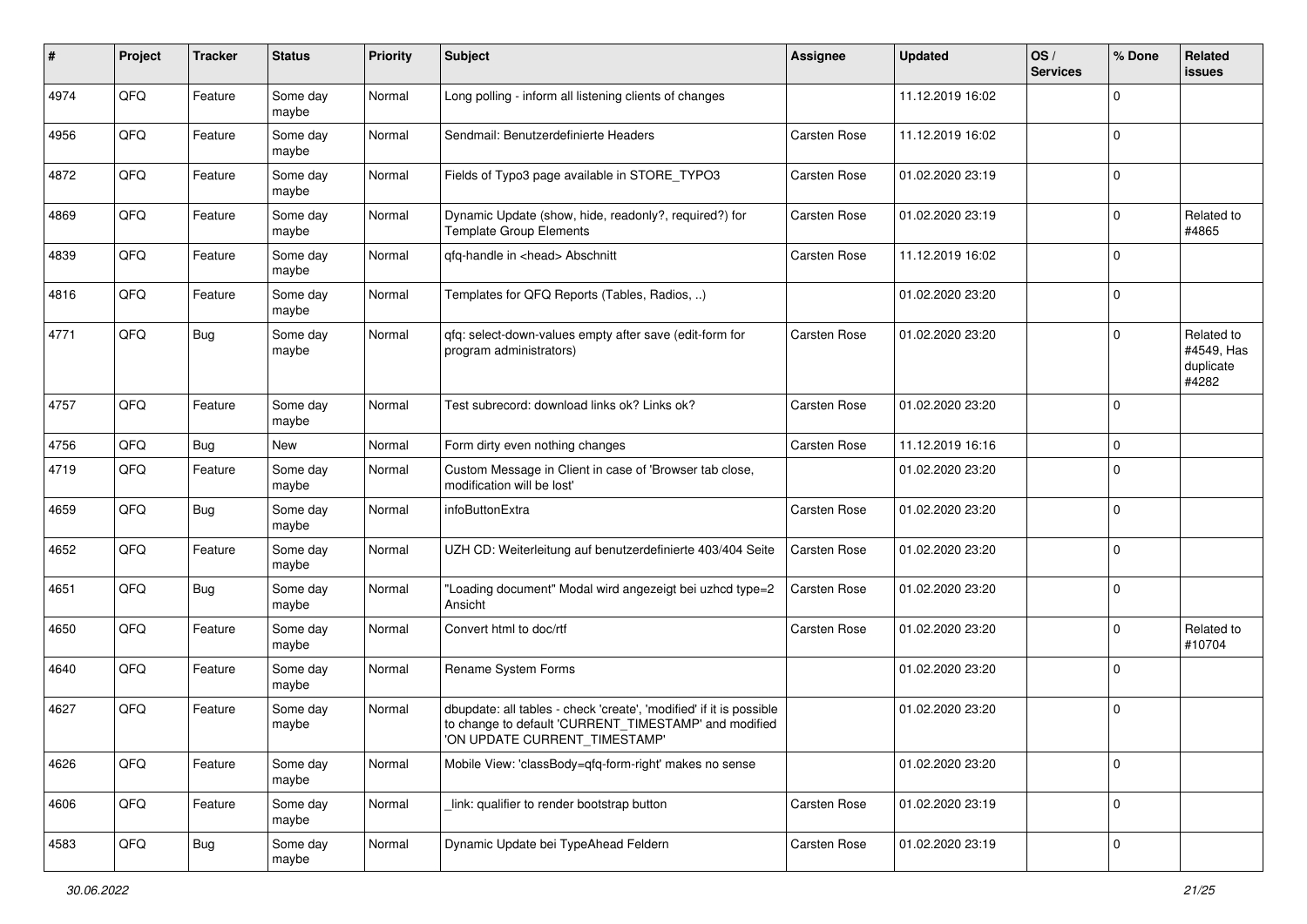| #    | Project | <b>Tracker</b> | <b>Status</b>     | <b>Priority</b> | Subject                                                                                                                                                       | <b>Assignee</b> | <b>Updated</b>   | OS/<br><b>Services</b> | % Done      | Related<br><b>issues</b>                       |
|------|---------|----------------|-------------------|-----------------|---------------------------------------------------------------------------------------------------------------------------------------------------------------|-----------------|------------------|------------------------|-------------|------------------------------------------------|
| 4974 | QFQ     | Feature        | Some day<br>maybe | Normal          | Long polling - inform all listening clients of changes                                                                                                        |                 | 11.12.2019 16:02 |                        | $\Omega$    |                                                |
| 4956 | QFQ     | Feature        | Some day<br>maybe | Normal          | Sendmail: Benutzerdefinierte Headers                                                                                                                          | Carsten Rose    | 11.12.2019 16:02 |                        | $\mathbf 0$ |                                                |
| 4872 | QFQ     | Feature        | Some day<br>maybe | Normal          | Fields of Typo3 page available in STORE_TYPO3                                                                                                                 | Carsten Rose    | 01.02.2020 23:19 |                        | $\mathbf 0$ |                                                |
| 4869 | QFQ     | Feature        | Some day<br>maybe | Normal          | Dynamic Update (show, hide, readonly?, required?) for<br><b>Template Group Elements</b>                                                                       | Carsten Rose    | 01.02.2020 23:19 |                        | $\mathbf 0$ | Related to<br>#4865                            |
| 4839 | QFQ     | Feature        | Some day<br>maybe | Normal          | qfq-handle in <head> Abschnitt</head>                                                                                                                         | Carsten Rose    | 11.12.2019 16:02 |                        | $\mathbf 0$ |                                                |
| 4816 | QFQ     | Feature        | Some day<br>maybe | Normal          | Templates for QFQ Reports (Tables, Radios, )                                                                                                                  |                 | 01.02.2020 23:20 |                        | $\mathbf 0$ |                                                |
| 4771 | QFQ     | Bug            | Some day<br>maybe | Normal          | gfg: select-down-values empty after save (edit-form for<br>program administrators)                                                                            | Carsten Rose    | 01.02.2020 23:20 |                        | $\Omega$    | Related to<br>#4549, Has<br>duplicate<br>#4282 |
| 4757 | QFQ     | Feature        | Some day<br>maybe | Normal          | Test subrecord: download links ok? Links ok?                                                                                                                  | Carsten Rose    | 01.02.2020 23:20 |                        | $\mathbf 0$ |                                                |
| 4756 | QFQ     | Bug            | New               | Normal          | Form dirty even nothing changes                                                                                                                               | Carsten Rose    | 11.12.2019 16:16 |                        | $\mathbf 0$ |                                                |
| 4719 | QFQ     | Feature        | Some day<br>maybe | Normal          | Custom Message in Client in case of 'Browser tab close,<br>modification will be lost'                                                                         |                 | 01.02.2020 23:20 |                        | $\mathbf 0$ |                                                |
| 4659 | QFQ     | Bug            | Some day<br>maybe | Normal          | infoButtonExtra                                                                                                                                               | Carsten Rose    | 01.02.2020 23:20 |                        | $\mathbf 0$ |                                                |
| 4652 | QFQ     | Feature        | Some day<br>maybe | Normal          | UZH CD: Weiterleitung auf benutzerdefinierte 403/404 Seite                                                                                                    | Carsten Rose    | 01.02.2020 23:20 |                        | $\mathbf 0$ |                                                |
| 4651 | QFQ     | Bug            | Some day<br>maybe | Normal          | "Loading document" Modal wird angezeigt bei uzhcd type=2<br>Ansicht                                                                                           | Carsten Rose    | 01.02.2020 23:20 |                        | $\mathbf 0$ |                                                |
| 4650 | QFQ     | Feature        | Some day<br>maybe | Normal          | Convert html to doc/rtf                                                                                                                                       | Carsten Rose    | 01.02.2020 23:20 |                        | $\mathbf 0$ | Related to<br>#10704                           |
| 4640 | QFQ     | Feature        | Some day<br>maybe | Normal          | Rename System Forms                                                                                                                                           |                 | 01.02.2020 23:20 |                        | $\Omega$    |                                                |
| 4627 | QFQ     | Feature        | Some day<br>maybe | Normal          | dbupdate: all tables - check 'create', 'modified' if it is possible<br>to change to default 'CURRENT_TIMESTAMP' and modified<br>'ON UPDATE CURRENT_TIMESTAMP' |                 | 01.02.2020 23:20 |                        | $\mathbf 0$ |                                                |
| 4626 | QFQ     | Feature        | Some day<br>maybe | Normal          | Mobile View: 'classBody=qfq-form-right' makes no sense                                                                                                        |                 | 01.02.2020 23:20 |                        | $\mathbf 0$ |                                                |
| 4606 | QFQ     | Feature        | Some day<br>maybe | Normal          | link: qualifier to render bootstrap button                                                                                                                    | Carsten Rose    | 01.02.2020 23:19 |                        | $\mathbf 0$ |                                                |
| 4583 | QFQ     | Bug            | Some day<br>maybe | Normal          | Dynamic Update bei TypeAhead Feldern                                                                                                                          | Carsten Rose    | 01.02.2020 23:19 |                        | $\mathbf 0$ |                                                |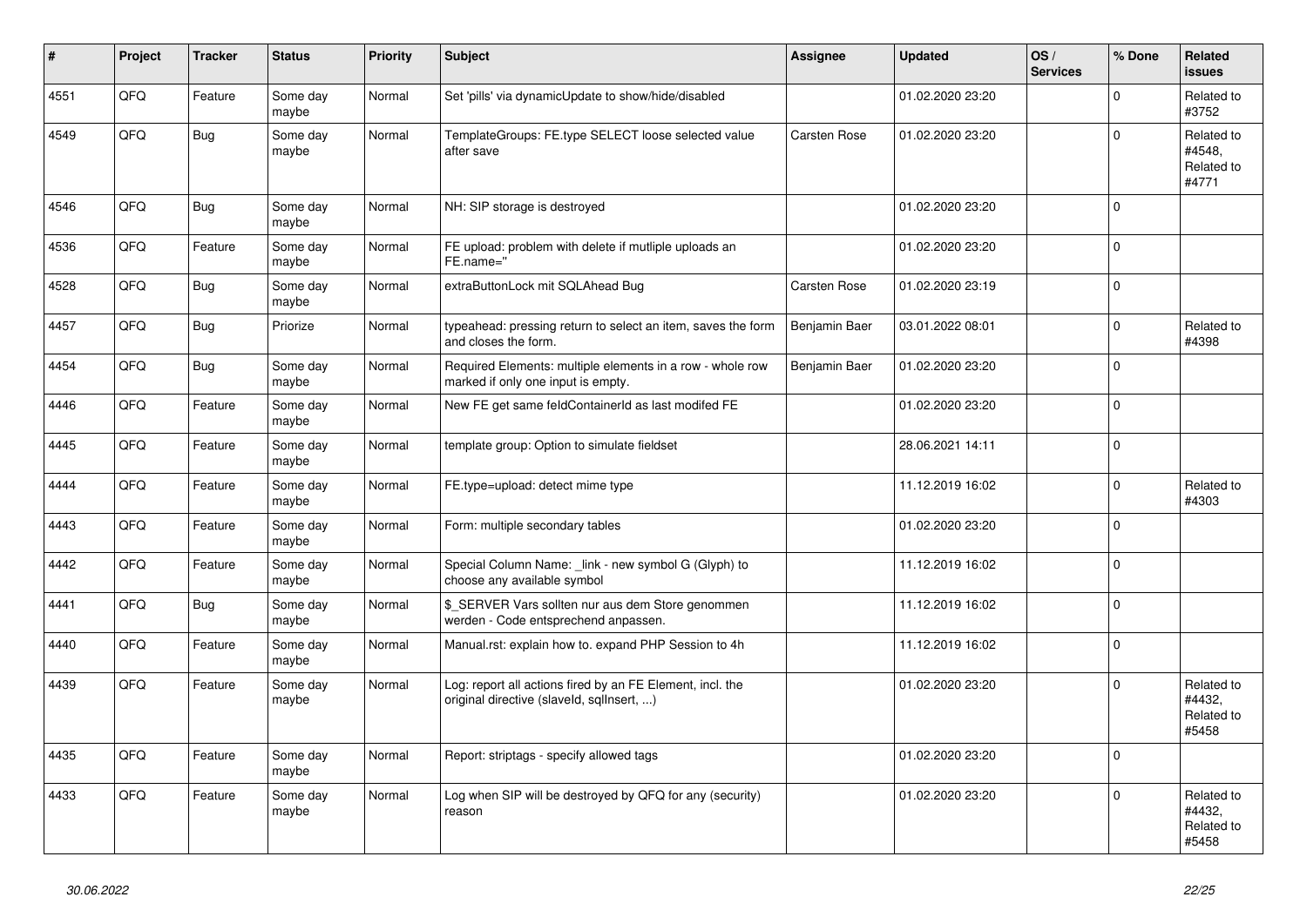| #    | Project | <b>Tracker</b> | <b>Status</b>     | <b>Priority</b> | <b>Subject</b>                                                                                         | Assignee      | <b>Updated</b>   | OS/<br><b>Services</b> | % Done      | Related<br><b>issues</b>                    |
|------|---------|----------------|-------------------|-----------------|--------------------------------------------------------------------------------------------------------|---------------|------------------|------------------------|-------------|---------------------------------------------|
| 4551 | QFQ     | Feature        | Some day<br>maybe | Normal          | Set 'pills' via dynamicUpdate to show/hide/disabled                                                    |               | 01.02.2020 23:20 |                        | $\Omega$    | Related to<br>#3752                         |
| 4549 | QFQ     | <b>Bug</b>     | Some day<br>maybe | Normal          | TemplateGroups: FE.type SELECT loose selected value<br>after save                                      | Carsten Rose  | 01.02.2020 23:20 |                        | $\Omega$    | Related to<br>#4548,<br>Related to<br>#4771 |
| 4546 | QFQ     | <b>Bug</b>     | Some day<br>maybe | Normal          | NH: SIP storage is destroyed                                                                           |               | 01.02.2020 23:20 |                        | $\Omega$    |                                             |
| 4536 | QFQ     | Feature        | Some day<br>maybe | Normal          | FE upload: problem with delete if mutliple uploads an<br>FE.name="                                     |               | 01.02.2020 23:20 |                        | $\mathbf 0$ |                                             |
| 4528 | QFQ     | <b>Bug</b>     | Some day<br>maybe | Normal          | extraButtonLock mit SQLAhead Bug                                                                       | Carsten Rose  | 01.02.2020 23:19 |                        | $\mathbf 0$ |                                             |
| 4457 | QFQ     | Bug            | Priorize          | Normal          | typeahead: pressing return to select an item, saves the form<br>and closes the form.                   | Benjamin Baer | 03.01.2022 08:01 |                        | $\Omega$    | Related to<br>#4398                         |
| 4454 | QFQ     | Bug            | Some day<br>maybe | Normal          | Required Elements: multiple elements in a row - whole row<br>marked if only one input is empty.        | Benjamin Baer | 01.02.2020 23:20 |                        | $\Omega$    |                                             |
| 4446 | QFQ     | Feature        | Some day<br>maybe | Normal          | New FE get same feldContainerId as last modifed FE                                                     |               | 01.02.2020 23:20 |                        | $\mathsf 0$ |                                             |
| 4445 | QFQ     | Feature        | Some day<br>maybe | Normal          | template group: Option to simulate fieldset                                                            |               | 28.06.2021 14:11 |                        | $\mathbf 0$ |                                             |
| 4444 | QFQ     | Feature        | Some day<br>maybe | Normal          | FE.type=upload: detect mime type                                                                       |               | 11.12.2019 16:02 |                        | $\Omega$    | Related to<br>#4303                         |
| 4443 | QFQ     | Feature        | Some day<br>maybe | Normal          | Form: multiple secondary tables                                                                        |               | 01.02.2020 23:20 |                        | $\mathbf 0$ |                                             |
| 4442 | QFQ     | Feature        | Some day<br>maybe | Normal          | Special Column Name: _link - new symbol G (Glyph) to<br>choose any available symbol                    |               | 11.12.2019 16:02 |                        | $\mathbf 0$ |                                             |
| 4441 | QFQ     | <b>Bug</b>     | Some day<br>maybe | Normal          | \$ SERVER Vars sollten nur aus dem Store genommen<br>werden - Code entsprechend anpassen.              |               | 11.12.2019 16:02 |                        | $\mathbf 0$ |                                             |
| 4440 | QFQ     | Feature        | Some day<br>maybe | Normal          | Manual.rst: explain how to. expand PHP Session to 4h                                                   |               | 11.12.2019 16:02 |                        | $\Omega$    |                                             |
| 4439 | QFQ     | Feature        | Some day<br>maybe | Normal          | Log: report all actions fired by an FE Element, incl. the<br>original directive (slaveld, sqllnsert, ) |               | 01.02.2020 23:20 |                        | $\Omega$    | Related to<br>#4432,<br>Related to<br>#5458 |
| 4435 | QFQ     | Feature        | Some day<br>maybe | Normal          | Report: striptags - specify allowed tags                                                               |               | 01.02.2020 23:20 |                        | $\mathbf 0$ |                                             |
| 4433 | QFQ     | Feature        | Some day<br>maybe | Normal          | Log when SIP will be destroyed by QFQ for any (security)<br>reason                                     |               | 01.02.2020 23:20 |                        | $\mathbf 0$ | Related to<br>#4432,<br>Related to<br>#5458 |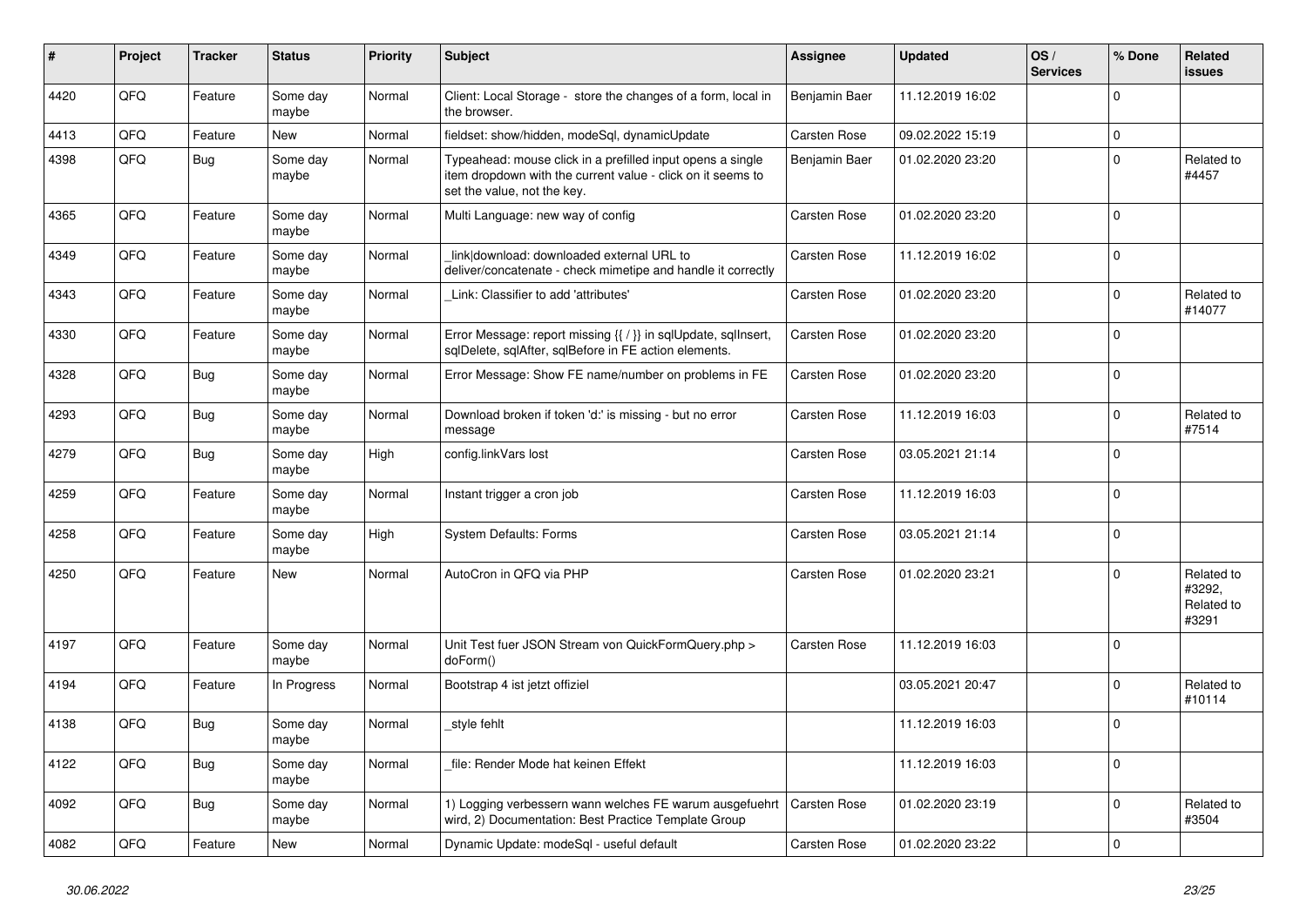| ∦    | Project | <b>Tracker</b> | <b>Status</b>     | <b>Priority</b> | <b>Subject</b>                                                                                                                                           | Assignee            | <b>Updated</b>   | OS/<br><b>Services</b> | % Done              | Related<br><b>issues</b>                    |
|------|---------|----------------|-------------------|-----------------|----------------------------------------------------------------------------------------------------------------------------------------------------------|---------------------|------------------|------------------------|---------------------|---------------------------------------------|
| 4420 | QFQ     | Feature        | Some day<br>maybe | Normal          | Client: Local Storage - store the changes of a form, local in<br>the browser.                                                                            | Benjamin Baer       | 11.12.2019 16:02 |                        | $\mathbf 0$         |                                             |
| 4413 | QFQ     | Feature        | <b>New</b>        | Normal          | fieldset: show/hidden, modeSql, dynamicUpdate                                                                                                            | Carsten Rose        | 09.02.2022 15:19 |                        | $\mathsf{O}\xspace$ |                                             |
| 4398 | QFQ     | <b>Bug</b>     | Some day<br>maybe | Normal          | Typeahead: mouse click in a prefilled input opens a single<br>item dropdown with the current value - click on it seems to<br>set the value, not the key. | Benjamin Baer       | 01.02.2020 23:20 |                        | $\mathbf 0$         | Related to<br>#4457                         |
| 4365 | QFQ     | Feature        | Some day<br>maybe | Normal          | Multi Language: new way of config                                                                                                                        | Carsten Rose        | 01.02.2020 23:20 |                        | $\mathbf 0$         |                                             |
| 4349 | QFQ     | Feature        | Some day<br>maybe | Normal          | link download: downloaded external URL to<br>deliver/concatenate - check mimetipe and handle it correctly                                                | Carsten Rose        | 11.12.2019 16:02 |                        | $\mathbf 0$         |                                             |
| 4343 | QFQ     | Feature        | Some day<br>maybe | Normal          | Link: Classifier to add 'attributes'                                                                                                                     | Carsten Rose        | 01.02.2020 23:20 |                        | $\Omega$            | Related to<br>#14077                        |
| 4330 | QFQ     | Feature        | Some day<br>maybe | Normal          | Error Message: report missing {{ / }} in sqlUpdate, sqlInsert,<br>sqlDelete, sqlAfter, sqlBefore in FE action elements.                                  | Carsten Rose        | 01.02.2020 23:20 |                        | $\Omega$            |                                             |
| 4328 | QFQ     | <b>Bug</b>     | Some day<br>maybe | Normal          | Error Message: Show FE name/number on problems in FE                                                                                                     | Carsten Rose        | 01.02.2020 23:20 |                        | $\mathbf 0$         |                                             |
| 4293 | QFQ     | Bug            | Some day<br>maybe | Normal          | Download broken if token 'd:' is missing - but no error<br>message                                                                                       | Carsten Rose        | 11.12.2019 16:03 |                        | $\Omega$            | Related to<br>#7514                         |
| 4279 | QFQ     | Bug            | Some day<br>maybe | High            | config.linkVars lost                                                                                                                                     | Carsten Rose        | 03.05.2021 21:14 |                        | $\mathbf 0$         |                                             |
| 4259 | QFQ     | Feature        | Some day<br>maybe | Normal          | Instant trigger a cron job                                                                                                                               | Carsten Rose        | 11.12.2019 16:03 |                        | $\mathbf 0$         |                                             |
| 4258 | QFQ     | Feature        | Some day<br>maybe | High            | <b>System Defaults: Forms</b>                                                                                                                            | Carsten Rose        | 03.05.2021 21:14 |                        | $\Omega$            |                                             |
| 4250 | QFQ     | Feature        | <b>New</b>        | Normal          | AutoCron in QFQ via PHP                                                                                                                                  | Carsten Rose        | 01.02.2020 23:21 |                        | $\Omega$            | Related to<br>#3292,<br>Related to<br>#3291 |
| 4197 | QFQ     | Feature        | Some day<br>maybe | Normal          | Unit Test fuer JSON Stream von QuickFormQuery.php ><br>doForm()                                                                                          | Carsten Rose        | 11.12.2019 16:03 |                        | $\mathbf 0$         |                                             |
| 4194 | QFQ     | Feature        | In Progress       | Normal          | Bootstrap 4 ist jetzt offiziel                                                                                                                           |                     | 03.05.2021 20:47 |                        | $\Omega$            | Related to<br>#10114                        |
| 4138 | QFQ     | <b>Bug</b>     | Some day<br>maybe | Normal          | style fehlt                                                                                                                                              |                     | 11.12.2019 16:03 |                        | $\Omega$            |                                             |
| 4122 | QFQ     | Bug            | Some day<br>maybe | Normal          | file: Render Mode hat keinen Effekt                                                                                                                      |                     | 11.12.2019 16:03 |                        | $\mathbf 0$         |                                             |
| 4092 | QFQ     | Bug            | Some day<br>maybe | Normal          | 1) Logging verbessern wann welches FE warum ausgefuehrt<br>wird, 2) Documentation: Best Practice Template Group                                          | <b>Carsten Rose</b> | 01.02.2020 23:19 |                        | $\mathbf 0$         | Related to<br>#3504                         |
| 4082 | QFQ     | Feature        | <b>New</b>        | Normal          | Dynamic Update: modeSql - useful default                                                                                                                 | Carsten Rose        | 01.02.2020 23:22 |                        | $\Omega$            |                                             |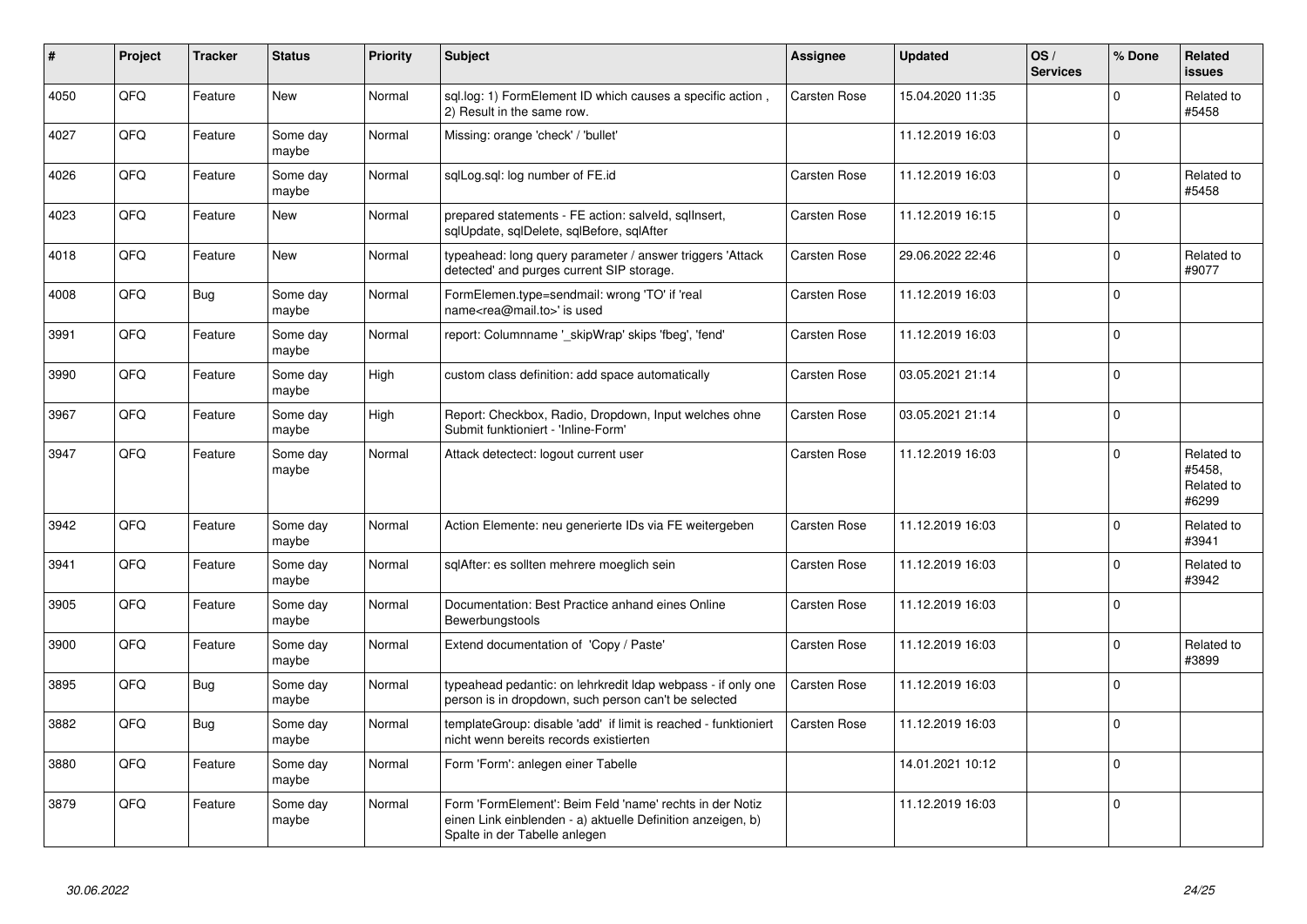| #    | Project | <b>Tracker</b> | <b>Status</b>     | <b>Priority</b> | <b>Subject</b>                                                                                                                                           | <b>Assignee</b> | <b>Updated</b>   | OS/<br><b>Services</b> | % Done      | Related<br><b>issues</b>                    |
|------|---------|----------------|-------------------|-----------------|----------------------------------------------------------------------------------------------------------------------------------------------------------|-----------------|------------------|------------------------|-------------|---------------------------------------------|
| 4050 | QFQ     | Feature        | <b>New</b>        | Normal          | sql.log: 1) FormElement ID which causes a specific action,<br>2) Result in the same row.                                                                 | Carsten Rose    | 15.04.2020 11:35 |                        | $\mathbf 0$ | Related to<br>#5458                         |
| 4027 | QFQ     | Feature        | Some day<br>maybe | Normal          | Missing: orange 'check' / 'bullet'                                                                                                                       |                 | 11.12.2019 16:03 |                        | $\mathbf 0$ |                                             |
| 4026 | QFQ     | Feature        | Some day<br>maybe | Normal          | sglLog.sgl: log number of FE.id                                                                                                                          | Carsten Rose    | 11.12.2019 16:03 |                        | $\Omega$    | Related to<br>#5458                         |
| 4023 | QFQ     | Feature        | New               | Normal          | prepared statements - FE action: salveld, sqllnsert,<br>sqlUpdate, sqlDelete, sqlBefore, sqlAfter                                                        | Carsten Rose    | 11.12.2019 16:15 |                        | $\Omega$    |                                             |
| 4018 | QFQ     | Feature        | <b>New</b>        | Normal          | typeahead: long query parameter / answer triggers 'Attack<br>detected' and purges current SIP storage.                                                   | Carsten Rose    | 29.06.2022 22:46 |                        | $\Omega$    | Related to<br>#9077                         |
| 4008 | QFQ     | Bug            | Some day<br>maybe | Normal          | FormElemen.type=sendmail: wrong 'TO' if 'real<br>name <rea@mail.to>' is used</rea@mail.to>                                                               | Carsten Rose    | 11.12.2019 16:03 |                        | $\Omega$    |                                             |
| 3991 | QFQ     | Feature        | Some day<br>maybe | Normal          | report: Columnname ' skipWrap' skips 'fbeg', 'fend'                                                                                                      | Carsten Rose    | 11.12.2019 16:03 |                        | $\Omega$    |                                             |
| 3990 | QFQ     | Feature        | Some day<br>maybe | High            | custom class definition: add space automatically                                                                                                         | Carsten Rose    | 03.05.2021 21:14 |                        | $\mathbf 0$ |                                             |
| 3967 | QFQ     | Feature        | Some day<br>maybe | High            | Report: Checkbox, Radio, Dropdown, Input welches ohne<br>Submit funktioniert - 'Inline-Form'                                                             | Carsten Rose    | 03.05.2021 21:14 |                        | $\mathbf 0$ |                                             |
| 3947 | QFQ     | Feature        | Some day<br>maybe | Normal          | Attack detectect: logout current user                                                                                                                    | Carsten Rose    | 11.12.2019 16:03 |                        | $\Omega$    | Related to<br>#5458,<br>Related to<br>#6299 |
| 3942 | QFQ     | Feature        | Some day<br>maybe | Normal          | Action Elemente: neu generierte IDs via FE weitergeben                                                                                                   | Carsten Rose    | 11.12.2019 16:03 |                        | $\Omega$    | Related to<br>#3941                         |
| 3941 | QFQ     | Feature        | Some day<br>maybe | Normal          | sqlAfter: es sollten mehrere moeglich sein                                                                                                               | Carsten Rose    | 11.12.2019 16:03 |                        | $\Omega$    | Related to<br>#3942                         |
| 3905 | QFQ     | Feature        | Some day<br>maybe | Normal          | Documentation: Best Practice anhand eines Online<br>Bewerbungstools                                                                                      | Carsten Rose    | 11.12.2019 16:03 |                        | $\Omega$    |                                             |
| 3900 | QFQ     | Feature        | Some day<br>maybe | Normal          | Extend documentation of 'Copy / Paste'                                                                                                                   | Carsten Rose    | 11.12.2019 16:03 |                        | $\Omega$    | Related to<br>#3899                         |
| 3895 | QFQ     | Bug            | Some day<br>maybe | Normal          | typeahead pedantic: on lehrkredit Idap webpass - if only one<br>person is in dropdown, such person can't be selected                                     | Carsten Rose    | 11.12.2019 16:03 |                        | $\mathbf 0$ |                                             |
| 3882 | QFQ     | Bug            | Some day<br>maybe | Normal          | templateGroup: disable 'add' if limit is reached - funktioniert<br>nicht wenn bereits records existierten                                                | Carsten Rose    | 11.12.2019 16:03 |                        | $\Omega$    |                                             |
| 3880 | QFQ     | Feature        | Some day<br>maybe | Normal          | Form 'Form': anlegen einer Tabelle                                                                                                                       |                 | 14.01.2021 10:12 |                        | $\Omega$    |                                             |
| 3879 | QFQ     | Feature        | Some day<br>maybe | Normal          | Form 'FormElement': Beim Feld 'name' rechts in der Notiz<br>einen Link einblenden - a) aktuelle Definition anzeigen, b)<br>Spalte in der Tabelle anlegen |                 | 11.12.2019 16:03 |                        | $\mathbf 0$ |                                             |